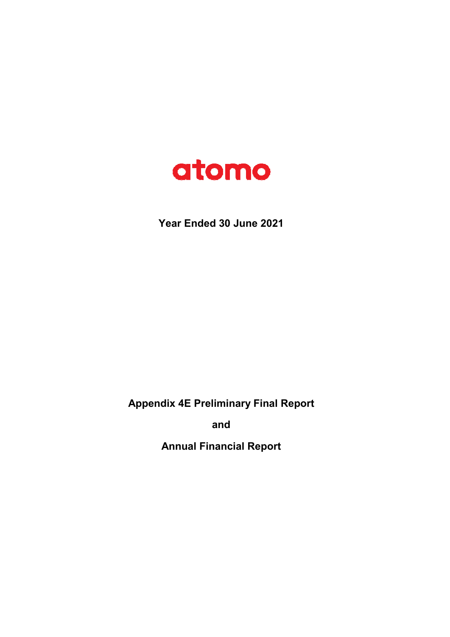

**Year Ended 30 June 2021**

**Appendix 4E Preliminary Final Report**

**and**

**Annual Financial Report**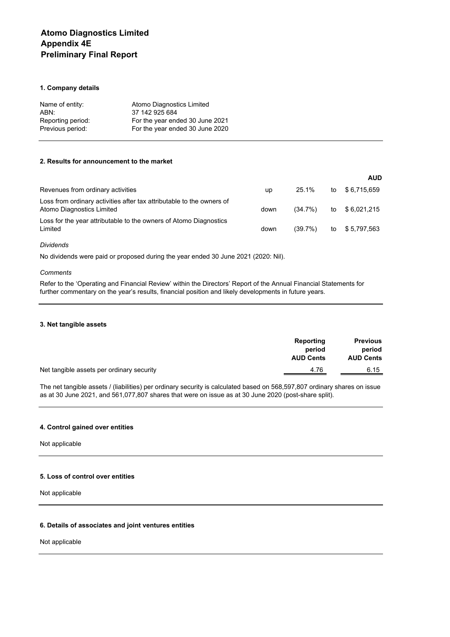# **Atomo Diagnostics Limited Appendix 4E Preliminary Final Report**

# **1. Company details**

| Name of entity:   | Atomo Diagnostics Limited       |
|-------------------|---------------------------------|
| ABN:              | 37 142 925 684                  |
| Reporting period: | For the year ended 30 June 2021 |
| Previous period:  | For the year ended 30 June 2020 |

# **2. Results for announcement to the market**

|                                                                                                    |      |         |    | <b>AUD</b>   |
|----------------------------------------------------------------------------------------------------|------|---------|----|--------------|
| Revenues from ordinary activities                                                                  | up   | 25.1%   | to | \$6,715,659  |
| Loss from ordinary activities after tax attributable to the owners of<br>Atomo Diagnostics Limited | down | (34.7%) | to | \$6,021,215  |
| Loss for the year attributable to the owners of Atomo Diagnostics<br>Limited                       | down | (39.7%) | to | \$ 5,797,563 |

# *Dividends*

No dividends were paid or proposed during the year ended 30 June 2021 (2020: Nil).

## *Comments*

Refer to the 'Operating and Financial Review' within the Directors' Report of the Annual Financial Statements for further commentary on the year's results, financial position and likely developments in future years.

#### **3. Net tangible assets**

|                                           | Reporting<br>period<br><b>AUD Cents</b> | <b>Previous</b><br>period<br><b>AUD Cents</b> |
|-------------------------------------------|-----------------------------------------|-----------------------------------------------|
| Net tangible assets per ordinary security | 4.76                                    | 6.15                                          |

The net tangible assets / (liabilities) per ordinary security is calculated based on 568,597,807 ordinary shares on issue as at 30 June 2021, and 561,077,807 shares that were on issue as at 30 June 2020 (post-share split).

## **4. Control gained over entities**

Not applicable

# **5. Loss of control over entities**

Not applicable

# **6. Details of associates and joint ventures entities**

Not applicable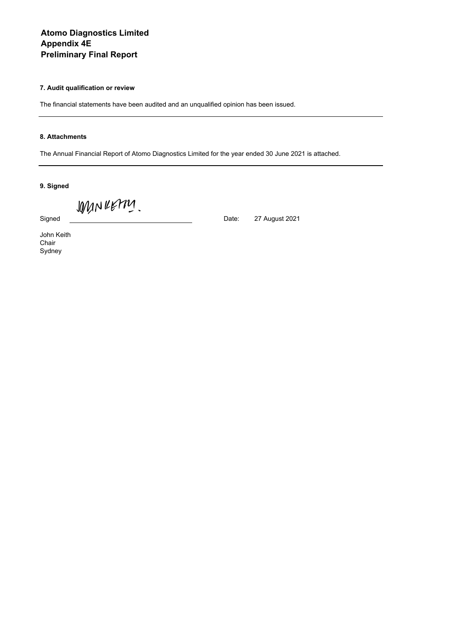# **Atomo Diagnostics Limited Appendix 4E Preliminary Final Report**

# **7. Audit qualification or review**

The financial statements have been audited and an unqualified opinion has been issued.

# **8. Attachments**

The Annual Financial Report of Atomo Diagnostics Limited for the year ended 30 June 2021 is attached.

27 August 2021

**9. Signed**

WINNERM.

Signed **Date:** Date:

John Keith Chair Sydney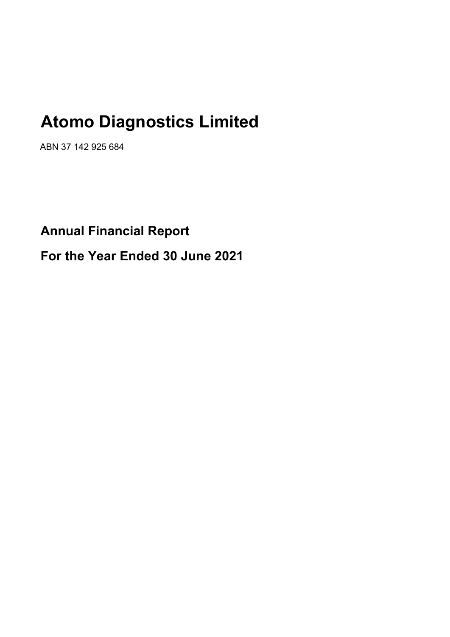# **Atomo Diagnostics Limited**

ABN 37 142 925 684

# **Annual Financial Report For the Year Ended 30 June 2021**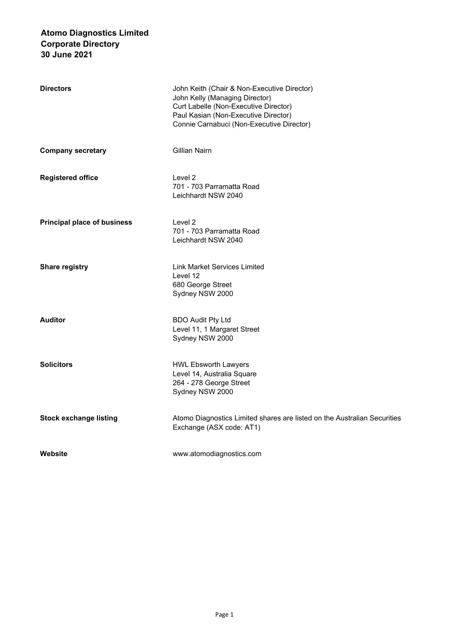| <b>Directors</b>                   | John Keith (Chair & Non-Executive Director)<br>John Kelly (Managing Director)<br>Curt Labelle (Non-Executive Director)<br>Paul Kasian (Non-Executive Director)<br>Connie Carnabuci (Non-Executive Director) |
|------------------------------------|-------------------------------------------------------------------------------------------------------------------------------------------------------------------------------------------------------------|
| <b>Company secretary</b>           | Gillian Nairn                                                                                                                                                                                               |
| <b>Registered office</b>           | Level 2<br>701 - 703 Parramatta Road<br>Leichhardt NSW 2040                                                                                                                                                 |
| <b>Principal place of business</b> | Level 2<br>701 - 703 Parramatta Road<br>Leichhardt NSW 2040                                                                                                                                                 |
| <b>Share registry</b>              | Link Market Services Limited<br>Level 12<br>680 George Street<br>Sydney NSW 2000                                                                                                                            |
| Auditor                            | <b>BDO Audit Pty Ltd</b><br>Level 11, 1 Margaret Street<br>Sydney NSW 2000                                                                                                                                  |
| Solicitors                         | <b>HWL Ebsworth Lawyers</b><br>Level 14, Australia Square<br>264 - 278 George Street<br>Sydney NSW 2000                                                                                                     |
| <b>Stock exchange listing</b>      | Atomo Diagnostics Limited shares are listed on the Australian Securities<br>Exchange (ASX code: AT1)                                                                                                        |
| Website                            | www.atomodiagnostics.com                                                                                                                                                                                    |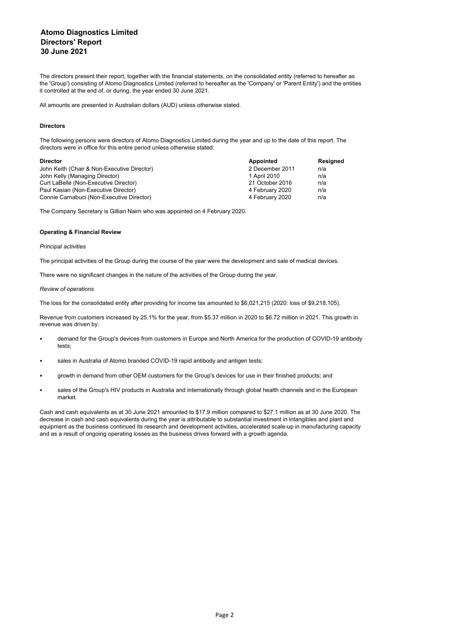The directors present their report, together with the financial statements, on the consolidated entity (referred to hereafter as the 'Group') consisting of Atomo Diagnostics Limited (referred to hereafter as the 'Company' or 'Parent Entity') and the entities it controlled at the end of, or during, the year ended 30 June 2021.

All amounts are presented in Australian dollars (AUD) unless otherwise stated.

### **Directors**

The following persons were directors of Atomo Diagnostics Limited during the year and up to the date of this report. The directors were in office for this entire period unless otherwise stated:

| <b>Director</b>                             | Appointed       | Resigned |
|---------------------------------------------|-----------------|----------|
| John Keith (Chair & Non-Executive Director) | 2 December 2011 | n/a      |
| John Kelly (Managing Director)              | 1 April 2010    | n/a      |
| Curt LaBelle (Non-Executive Director)       | 21 October 2016 | n/a      |
| Paul Kasian (Non-Executive Director)        | 4 February 2020 | n/a      |
| Connie Carnabuci (Non-Executive Director)   | 4 February 2020 | n/a      |

The Company Secretary is Gillian Nairn who was appointed on 4 February 2020.

#### **Operating & Financial Review**

#### *Principal activities*

The principal activities of the Group during the course of the year were the development and sale of medical devices.

There were no significant changes in the nature of the activities of the Group during the year.

#### *Review of operations*

The loss for the consolidated entity after providing for income tax amounted to \$6,021,215 (2020: loss of \$9,218,105).

Revenue from customers increased by 25.1% for the year, from \$5.37 million in 2020 to \$6.72 million in 2021. This growth in revenue was driven by:

- demand for the Group's devices from customers in Europe and North America for the production of COVID-19 antibody tests;
- sales in Australia of Atomo branded COVID-19 rapid antibody and antigen tests;
- growth in demand from other OEM customers for the Group's devices for use in their finished products; and
- sales of the Group's HIV products in Australia and internationally through global health channels and in the European market.

Cash and cash equivalents as at 30 June 2021 amounted to \$17.9 million compared to \$27.1 million as at 30 June 2020. The decrease in cash and cash equivalents during the year is attributable to substantial investment in intangibles and plant and equipment as the business continued its research and development activities, accelerated scale-up in manufacturing capacity and as a result of ongoing operating losses as the business drives forward with a growth agenda.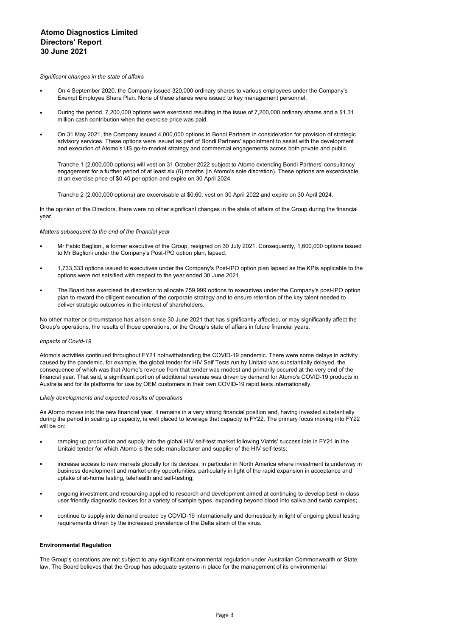#### *Significant changes in the state of affairs*

- On 4 September 2020, the Company issued 320,000 ordinary shares to various employees under the Company's Exempt Employee Share Plan. None of these shares were issued to key management personnel.
- During the period, 7,200,000 options were exercised resulting in the issue of 7,200,000 ordinary shares and a \$1.31 million cash contribution when the exercise price was paid.
- On 31 May 2021, the Company issued 4,000,000 options to Bondi Partners in consideration for provision of strategic advisory services. These options were issued as part of Bondi Partners' appointment to assist with the development and execution of Atomo's US go-to-market strategy and commercial engagements across both private and public

Tranche 1 (2,000,000 options) will vest on 31 October 2022 subject to Atomo extending Bondi Partners' consultancy engagement for a further period of at least six (6) months (in Atomo's sole discretion). These options are excercisable at an exercise price of \$0.40 per option and expire on 30 April 2024.

Tranche 2 (2,000,000 options) are excercisable at \$0.60, vest on 30 April 2022 and expire on 30 April 2024.

In the opinion of the Directors, there were no other significant changes in the state of affairs of the Group during the financial year.

#### *Matters subsequent to the end of the financial year*

- Mr Fabio Baglioni, a former executive of the Group, resigned on 30 July 2021. Consequently, 1,600,000 options issued to Mr Baglioni under the Company's Post-IPO option plan, lapsed.
- 1,733,333 options issued to executives under the Company's Post-IPO option plan lapsed as the KPIs applicable to the options were not satsified with respect to the year ended 30 June 2021.
- The Board has exercised its discretion to allocate 759,999 options to executives under the Company's post-IPO option plan to reward the diligent execution of the corporate strategy and to ensure retention of the key talent needed to deliver strategic outcomes in the interest of shareholders.

No other matter or circumstance has arisen since 30 June 2021 that has significantly affected, or may significantly affect the Group's operations, the results of those operations, or the Group's state of affairs in future financial years.

#### *Impacts of Covid-19*

Atomo's activities continued throughout FY21 nothwithstanding the COVID-19 pandemic. There were some delays in activity caused by the pandemic, for example, the global tender for HIV Self Tests run by Unitaid was substantially delayed, the consequence of which was that Atomo's revenue from that tender was modest and primarily occured at the very end of the financial year. That said, a significant portion of additional revenue was driven by demand for Atomo's COVID-19 products in Australia and for its platforms for use by OEM customers in their own COVID-19 rapid tests internationally.

#### *Likely developments and expected results of operations*

As Atomo moves into the new financial year, it remains in a very strong financial position and, having invested substantially during the period in scaling up capacity, is well placed to leverage that capacity in FY22. The primary focus moving into FY22 will be on:

- ramping up production and supply into the global HIV self-test market following Viatris' success late in FY21 in the Unitaid tender for which Atomo is the sole manufacturer and supplier of the HIV self-tests;
- increase access to new markets globally for its devices, in particular in North America where investment is underway in business development and market entry opportunities, particularly in light of the rapid expansion in acceptance and uptake of at-home testing, telehealth and self-testing;
- ongoing investment and resourcing applied to research and development aimed at continuing to develop best-in-class user friendly diagnostic devices for a variety of sample types, expanding beyond blood into saliva and swab samples;
- continue to supply into demand created by COVID-19 internationally and domestically in light of ongoing global testing requirements driven by the increased prevalence of the Delta strain of the virus.

#### **Environmental Regulation**

The Group's operations are not subject to any significant environmental regulation under Australian Commonwealth or State law. The Board believes that the Group has adequate systems in place for the management of its environmental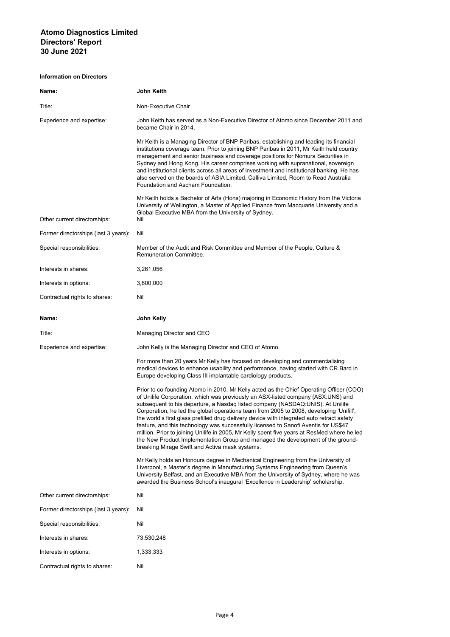| Name:                                | John Keith                                                                                                                                                                                                                                                                                                                                                                                                                                                                                                                                                                                                                                                                                                                                                                        |
|--------------------------------------|-----------------------------------------------------------------------------------------------------------------------------------------------------------------------------------------------------------------------------------------------------------------------------------------------------------------------------------------------------------------------------------------------------------------------------------------------------------------------------------------------------------------------------------------------------------------------------------------------------------------------------------------------------------------------------------------------------------------------------------------------------------------------------------|
| Title:                               | Non-Executive Chair                                                                                                                                                                                                                                                                                                                                                                                                                                                                                                                                                                                                                                                                                                                                                               |
| Experience and expertise:            | John Keith has served as a Non-Executive Director of Atomo since December 2011 and<br>became Chair in 2014.                                                                                                                                                                                                                                                                                                                                                                                                                                                                                                                                                                                                                                                                       |
|                                      | Mr Keith is a Managing Director of BNP Paribas, establishing and leading its financial<br>institutions coverage team. Prior to joining BNP Paribas in 2011, Mr Keith held country<br>management and senior business and coverage positions for Nomura Securities in<br>Sydney and Hong Kong. His career comprises working with supranational, sovereign<br>and institutional clients across all areas of investment and institutional banking. He has<br>also served on the boards of ASIA Limited, Calliva Limited, Room to Read Australia<br>Foundation and Ascham Foundation.                                                                                                                                                                                                  |
| Other current directorships:         | Mr Keith holds a Bachelor of Arts (Hons) majoring in Economic History from the Victoria<br>University of Wellington, a Master of Applied Finance from Macquarie University and a<br>Global Executive MBA from the University of Sydney.<br>Nil                                                                                                                                                                                                                                                                                                                                                                                                                                                                                                                                    |
| Former directorships (last 3 years): | Nil                                                                                                                                                                                                                                                                                                                                                                                                                                                                                                                                                                                                                                                                                                                                                                               |
| Special responsibilities:            | Member of the Audit and Risk Committee and Member of the People, Culture &<br><b>Remuneration Committee.</b>                                                                                                                                                                                                                                                                                                                                                                                                                                                                                                                                                                                                                                                                      |
| Interests in shares:                 | 3,261,056                                                                                                                                                                                                                                                                                                                                                                                                                                                                                                                                                                                                                                                                                                                                                                         |
| Interests in options:                | 3,600,000                                                                                                                                                                                                                                                                                                                                                                                                                                                                                                                                                                                                                                                                                                                                                                         |
| Contractual rights to shares:        | Nil                                                                                                                                                                                                                                                                                                                                                                                                                                                                                                                                                                                                                                                                                                                                                                               |
| Name:                                | John Kelly                                                                                                                                                                                                                                                                                                                                                                                                                                                                                                                                                                                                                                                                                                                                                                        |
|                                      |                                                                                                                                                                                                                                                                                                                                                                                                                                                                                                                                                                                                                                                                                                                                                                                   |
| Title:                               | Managing Director and CEO                                                                                                                                                                                                                                                                                                                                                                                                                                                                                                                                                                                                                                                                                                                                                         |
| Experience and expertise:            | John Kelly is the Managing Director and CEO of Atomo.                                                                                                                                                                                                                                                                                                                                                                                                                                                                                                                                                                                                                                                                                                                             |
|                                      | For more than 20 years Mr Kelly has focused on developing and commercialising<br>medical devices to enhance usability and performance, having started with CR Bard in<br>Europe developing Class III implantable cardiology products.                                                                                                                                                                                                                                                                                                                                                                                                                                                                                                                                             |
|                                      | Prior to co-founding Atomo in 2010, Mr Kelly acted as the Chief Operating Officer (COO)<br>of Unilife Corporation, which was previously an ASX-listed company (ASX:UNS) and<br>subsequent to his departure, a Nasdaq listed company (NASDAQ:UNIS). At Unilife<br>Corporation, he led the global operations team from 2005 to 2008, developing 'Unifill',<br>the world's first glass prefilled drug delivery device with integrated auto retract safety<br>feature, and this technology was successfully licensed to Sanofi Aventis for US\$47<br>million. Prior to joining Unilife in 2005, Mr Kelly spent five years at ResMed where he led<br>the New Product Implementation Group and managed the development of the ground-<br>breaking Mirage Swift and Activa mask systems. |
|                                      | Mr Kelly holds an Honours degree in Mechanical Engineering from the University of<br>Liverpool, a Master's degree in Manufacturing Systems Engineering from Queen's<br>University Belfast, and an Executive MBA from the University of Sydney, where he was<br>awarded the Business School's inaugural 'Excellence in Leadership' scholarship.                                                                                                                                                                                                                                                                                                                                                                                                                                    |
| Other current directorships:         | Nil                                                                                                                                                                                                                                                                                                                                                                                                                                                                                                                                                                                                                                                                                                                                                                               |
| Former directorships (last 3 years): | Nil                                                                                                                                                                                                                                                                                                                                                                                                                                                                                                                                                                                                                                                                                                                                                                               |
| Special responsibilities:            | Nil                                                                                                                                                                                                                                                                                                                                                                                                                                                                                                                                                                                                                                                                                                                                                                               |
| Interests in shares:                 | 73,530,248                                                                                                                                                                                                                                                                                                                                                                                                                                                                                                                                                                                                                                                                                                                                                                        |
| Interests in options:                | 1,333,333                                                                                                                                                                                                                                                                                                                                                                                                                                                                                                                                                                                                                                                                                                                                                                         |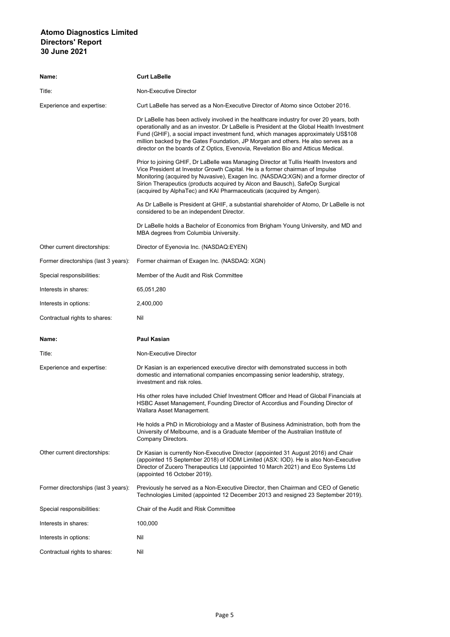| Name:                                | <b>Curt LaBelle</b>                                                                                                                                                                                                                                                                                                                                                                                                                                  |
|--------------------------------------|------------------------------------------------------------------------------------------------------------------------------------------------------------------------------------------------------------------------------------------------------------------------------------------------------------------------------------------------------------------------------------------------------------------------------------------------------|
| Title:                               | Non-Executive Director                                                                                                                                                                                                                                                                                                                                                                                                                               |
| Experience and expertise:            | Curt LaBelle has served as a Non-Executive Director of Atomo since October 2016.                                                                                                                                                                                                                                                                                                                                                                     |
|                                      | Dr LaBelle has been actively involved in the healthcare industry for over 20 years, both<br>operationally and as an investor. Dr LaBelle is President at the Global Health Investment<br>Fund (GHIF), a social impact investment fund, which manages approximately US\$108<br>million backed by the Gates Foundation, JP Morgan and others. He also serves as a<br>director on the boards of Z Optics, Evenovia, Revelation Bio and Atticus Medical. |
|                                      | Prior to joining GHIF, Dr LaBelle was Managing Director at Tullis Health Investors and<br>Vice President at Investor Growth Capital. He is a former chairman of Impulse<br>Monitoring (acquired by Nuvasive), Exagen Inc. (NASDAQ:XGN) and a former director of<br>Sirion Therapeutics (products acquired by Alcon and Bausch), SafeOp Surgical<br>(acquired by AlphaTec) and KAI Pharmaceuticals (acquired by Amgen).                               |
|                                      | As Dr LaBelle is President at GHIF, a substantial shareholder of Atomo, Dr LaBelle is not<br>considered to be an independent Director.                                                                                                                                                                                                                                                                                                               |
|                                      | Dr LaBelle holds a Bachelor of Economics from Brigham Young University, and MD and<br>MBA degrees from Columbia University.                                                                                                                                                                                                                                                                                                                          |
| Other current directorships:         | Director of Eyenovia Inc. (NASDAQ:EYEN)                                                                                                                                                                                                                                                                                                                                                                                                              |
| Former directorships (last 3 years): | Former chairman of Exagen Inc. (NASDAQ: XGN)                                                                                                                                                                                                                                                                                                                                                                                                         |
| Special responsibilities:            | Member of the Audit and Risk Committee                                                                                                                                                                                                                                                                                                                                                                                                               |
| Interests in shares:                 | 65,051,280                                                                                                                                                                                                                                                                                                                                                                                                                                           |
| Interests in options:                | 2,400,000                                                                                                                                                                                                                                                                                                                                                                                                                                            |
| Contractual rights to shares:        | Nil                                                                                                                                                                                                                                                                                                                                                                                                                                                  |
| Name:                                | <b>Paul Kasian</b>                                                                                                                                                                                                                                                                                                                                                                                                                                   |
| Title:                               | Non-Executive Director                                                                                                                                                                                                                                                                                                                                                                                                                               |
| Experience and expertise:            | Dr Kasian is an experienced executive director with demonstrated success in both<br>domestic and international companies encompassing senior leadership, strategy,<br>investment and risk roles.                                                                                                                                                                                                                                                     |
|                                      | His other roles have included Chief Investment Officer and Head of Global Financials at<br>HSBC Asset Management, Founding Director of Accordius and Founding Director of<br>Wallara Asset Management.                                                                                                                                                                                                                                               |
|                                      | He holds a PhD in Microbiology and a Master of Business Administration, both from the<br>University of Melbourne, and is a Graduate Member of the Australian Institute of<br>Company Directors.                                                                                                                                                                                                                                                      |
| Other current directorships:         | Dr Kasian is currently Non-Executive Director (appointed 31 August 2016) and Chair<br>(appointed 15 September 2018) of IODM Limited (ASX: IOD). He is also Non-Executive<br>Director of Zucero Therapeutics Ltd (appointed 10 March 2021) and Eco Systems Ltd<br>(appointed 16 October 2019).                                                                                                                                                        |
| Former directorships (last 3 years): | Previously he served as a Non-Executive Director, then Chairman and CEO of Genetic<br>Technologies Limited (appointed 12 December 2013 and resigned 23 September 2019).                                                                                                                                                                                                                                                                              |
| Special responsibilities:            | Chair of the Audit and Risk Committee                                                                                                                                                                                                                                                                                                                                                                                                                |
| Interests in shares:                 | 100,000                                                                                                                                                                                                                                                                                                                                                                                                                                              |
| Interests in options:                | Nil                                                                                                                                                                                                                                                                                                                                                                                                                                                  |
| Contractual rights to shares:        | Nil                                                                                                                                                                                                                                                                                                                                                                                                                                                  |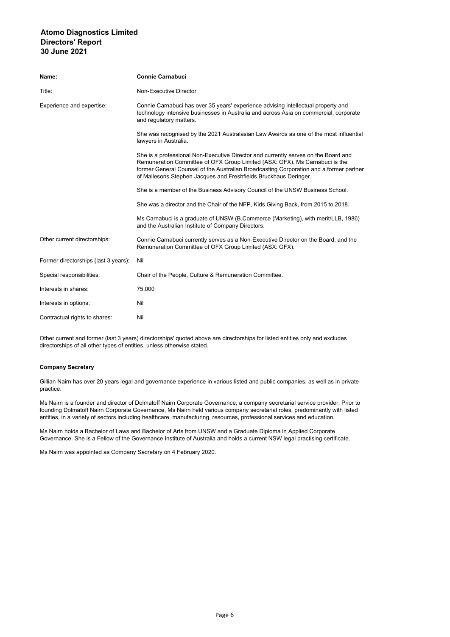| Name:                                | <b>Connie Carnabuci</b>                                                                                                                                                                                                                                                                                                         |
|--------------------------------------|---------------------------------------------------------------------------------------------------------------------------------------------------------------------------------------------------------------------------------------------------------------------------------------------------------------------------------|
| Title:                               | Non-Executive Director                                                                                                                                                                                                                                                                                                          |
| Experience and expertise:            | Connie Carnabuci has over 35 years' experience advising intellectual property and<br>technology intensive businesses in Australia and across Asia on commercial, corporate<br>and regulatory matters.                                                                                                                           |
|                                      | She was recognised by the 2021 Australasian Law Awards as one of the most influential<br>lawyers in Australia.                                                                                                                                                                                                                  |
|                                      | She is a professional Non-Executive Director and currently serves on the Board and<br>Remuneration Committee of OFX Group Limited (ASX: OFX). Ms Carnabuci is the<br>former General Counsel of the Australian Broadcasting Corporation and a former partner<br>of Mallesons Stephen Jacques and Freshfields Bruckhaus Deringer. |
|                                      | She is a member of the Business Advisory Council of the UNSW Business School.                                                                                                                                                                                                                                                   |
|                                      | She was a director and the Chair of the NFP, Kids Giving Back, from 2015 to 2018.                                                                                                                                                                                                                                               |
|                                      | Ms Carnabuci is a graduate of UNSW (B.Commerce (Marketing), with merit/LLB, 1986)<br>and the Australian Institute of Company Directors.                                                                                                                                                                                         |
| Other current directorships:         | Connie Carnabuci currently serves as a Non-Executive Director on the Board, and the<br>Remuneration Committee of OFX Group Limited (ASX: OFX).                                                                                                                                                                                  |
| Former directorships (last 3 years): | Nil                                                                                                                                                                                                                                                                                                                             |
| Special responsibilities:            | Chair of the People, Culture & Remuneration Committee.                                                                                                                                                                                                                                                                          |
| Interests in shares:                 | 75,000                                                                                                                                                                                                                                                                                                                          |
| Interests in options:                | Nil                                                                                                                                                                                                                                                                                                                             |
| Contractual rights to shares:        | Nil                                                                                                                                                                                                                                                                                                                             |

Other current and former (last 3 years) directorships' quoted above are directorships for listed entities only and excludes directorships of all other types of entities, unless otherwise stated.

## **Company Secretary**

Gillian Nairn has over 20 years legal and governance experience in various listed and public companies, as well as in private practice.

Ms Nairn is a founder and director of Dolmatoff Nairn Corporate Governance, a company secretarial service provider. Prior to founding Dolmatoff Nairn Corporate Governance, Ms Nairn held various company secretarial roles, predominantly with listed entities, in a variety of sectors including healthcare, manufacturing, resources, professional services and education.

Ms Nairn holds a Bachelor of Laws and Bachelor of Arts from UNSW and a Graduate Diploma in Applied Corporate Governance. She is a Fellow of the Governance Institute of Australia and holds a current NSW legal practising certificate.

Ms Nairn was appointed as Company Secretary on 4 February 2020.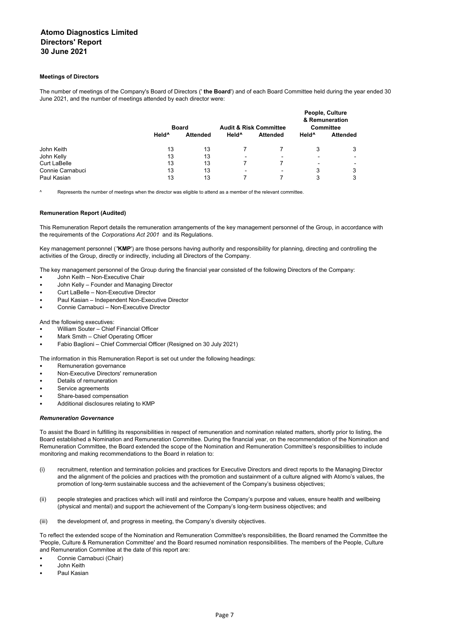#### **Meetings of Directors**

The number of meetings of the Company's Board of Directors (' **the Board**') and of each Board Committee held during the year ended 30 June 2021, and the number of meetings attended by each director were:

|                     |                   | <b>Board</b>    |                          | <b>Audit &amp; Risk Committee</b> | People, Culture<br>& Remuneration<br><b>Committee</b> |                          |  |
|---------------------|-------------------|-----------------|--------------------------|-----------------------------------|-------------------------------------------------------|--------------------------|--|
|                     | Held <sup>^</sup> | <b>Attended</b> | Held <sup>^</sup>        | <b>Attended</b>                   | Held <sup>^</sup>                                     | <b>Attended</b>          |  |
| John Keith          | 13                | 13              |                          |                                   | 3                                                     | 3                        |  |
| John Kelly          | 13                | 13              | $\overline{\phantom{a}}$ | $\overline{\phantom{0}}$          | $\overline{\phantom{a}}$                              | $\overline{\phantom{0}}$ |  |
| <b>Curt LaBelle</b> | 13                | 13              |                          |                                   | -                                                     | ۰.                       |  |
| Connie Carnabuci    | 13                | 13              | $\blacksquare$           | $\overline{\phantom{a}}$          | 3                                                     | 3                        |  |
| Paul Kasian         | 13                | 13              |                          |                                   | 3                                                     | 3                        |  |

^ Represents the number of meetings when the director was eligible to attend as a member of the relevant committee.

#### **Remuneration Report (Audited)**

This Remuneration Report details the remuneration arrangements of the key management personnel of the Group, in accordance with the requirements of the *Corporations Act 2001* and its Regulations.

Key management personnel (**'KMP**') are those persons having authority and responsibility for planning, directing and controlling the activities of the Group, directly or indirectly, including all Directors of the Company.

The key management personnel of the Group during the financial year consisted of the following Directors of the Company:

- John Keith Non-Executive Chair
- John Kelly Founder and Managing Director
- Curt LaBelle Non-Executive Director
- Paul Kasian Independent Non-Executive Director
- Connie Carnabuci Non-Executive Director

And the following executives:

- William Souter Chief Financial Officer
- Mark Smith Chief Operating Officer
- Fabio Baglioni Chief Commercial Officer (Resigned on 30 July 2021)

The information in this Remuneration Report is set out under the following headings:

- Remuneration governance
- Non-Executive Directors' remuneration
- Details of remuneration
- Service agreements
- Share-based compensation
- Additional disclosures relating to KMP

#### *Remuneration Governance*

To assist the Board in fulfilling its responsibilities in respect of remuneration and nomination related matters, shortly prior to listing, the Board established a Nomination and Remuneration Committee. During the financial year, on the recommendation of the Nomination and Remuneration Committee, the Board extended the scope of the Nomination and Remuneration Committee's responsibilities to include monitoring and making recommendations to the Board in relation to:

- (i) recruitment, retention and termination policies and practices for Executive Directors and direct reports to the Managing Director and the alignment of the policies and practices with the promotion and sustainment of a culture aligned with Atomo's values, the promotion of long-term sustainable success and the achievement of the Company's business objectives;
- (ii) people strategies and practices which will instil and reinforce the Company's purpose and values, ensure health and wellbeing (physical and mental) and support the achievement of the Company's long-term business objectives; and
- (iii) the development of, and progress in meeting, the Company's diversity objectives.

To reflect the extended scope of the Nomination and Remuneration Committee's responsibilities, the Board renamed the Committee the 'People, Culture & Remuneration Committee' and the Board resumed nomination responsibilities. The members of the People, Culture and Remuneration Commitee at the date of this report are:

- Connie Carnabuci (Chair)
- John Keith
- Paul Kasian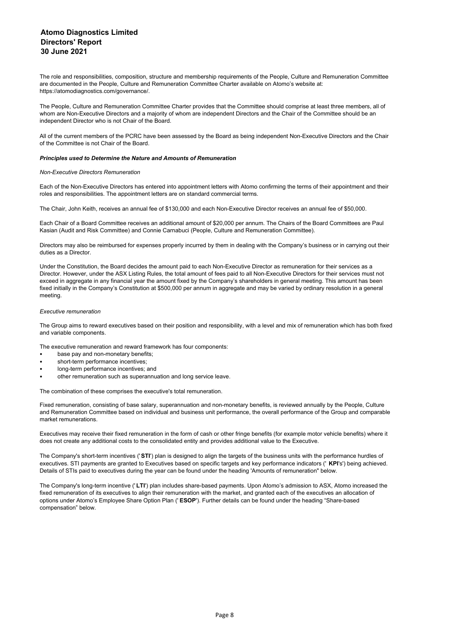The role and responsibilities, composition, structure and membership requirements of the People, Culture and Remuneration Committee are documented in the People, Culture and Remuneration Committee Charter available on Atomo's website at: https://atomodiagnostics.com/governance/.

The People, Culture and Remuneration Committee Charter provides that the Committee should comprise at least three members, all of whom are Non-Executive Directors and a majority of whom are independent Directors and the Chair of the Committee should be an independent Director who is not Chair of the Board.

All of the current members of the PCRC have been assessed by the Board as being independent Non-Executive Directors and the Chair of the Committee is not Chair of the Board.

#### *Principles used to Determine the Nature and Amounts of Remuneration*

#### *Non-Executive Directors Remuneration*

Each of the Non-Executive Directors has entered into appointment letters with Atomo confirming the terms of their appointment and their roles and responsibilities. The appointment letters are on standard commercial terms.

The Chair, John Keith, receives an annual fee of \$130,000 and each Non-Executive Director receives an annual fee of \$50,000.

Each Chair of a Board Committee receives an additional amount of \$20,000 per annum. The Chairs of the Board Committees are Paul Kasian (Audit and Risk Committee) and Connie Carnabuci (People, Culture and Remuneration Committee).

Directors may also be reimbursed for expenses properly incurred by them in dealing with the Company's business or in carrying out their duties as a Director.

Under the Constitution, the Board decides the amount paid to each Non-Executive Director as remuneration for their services as a Director. However, under the ASX Listing Rules, the total amount of fees paid to all Non-Executive Directors for their services must not exceed in aggregate in any financial year the amount fixed by the Company's shareholders in general meeting. This amount has been fixed initially in the Company's Constitution at \$500,000 per annum in aggregate and may be varied by ordinary resolution in a general meeting.

#### *Executive remuneration*

The Group aims to reward executives based on their position and responsibility, with a level and mix of remuneration which has both fixed and variable components.

The executive remuneration and reward framework has four components:

- base pay and non-monetary benefits;
- short-term performance incentives:
- long-term performance incentives; and
- other remuneration such as superannuation and long service leave.

The combination of these comprises the executive's total remuneration.

Fixed remuneration, consisting of base salary, superannuation and non-monetary benefits, is reviewed annually by the People, Culture and Remuneration Committee based on individual and business unit performance, the overall performance of the Group and comparable market remunerations.

Executives may receive their fixed remuneration in the form of cash or other fringe benefits (for example motor vehicle benefits) where it does not create any additional costs to the consolidated entity and provides additional value to the Executive.

The Company's short-term incentives ('**STI**') plan is designed to align the targets of the business units with the performance hurdles of executives. STI payments are granted to Executives based on specific targets and key performance indicators (' **KPI**'s') being achieved. Details of STIs paid to executives during the year can be found under the heading 'Amounts of remuneration" below.

The Company's long-term incentive (' **LTI**') plan includes share-based payments. Upon Atomo's admission to ASX, Atomo increased the fixed remuneration of its executives to align their remuneration with the market, and granted each of the executives an allocation of options under Atomo's Employee Share Option Plan (' **ESOP**'). Further details can be found under the heading "Share-based compensation" below.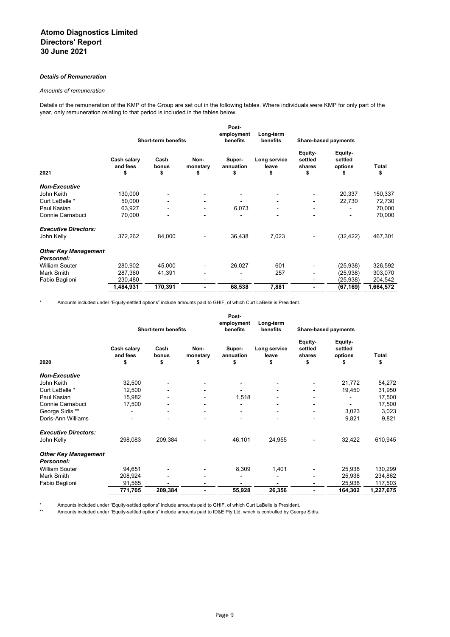## *Details of Remuneration*

#### *Amounts of remuneration*

Details of the remuneration of the KMP of the Group are set out in the following tables. Where individuals were KMP for only part of the year, only remuneration relating to that period is included in the tables below.

|                                           | Post-<br>employment           |                          |                        |                           | Long-term<br>benefits       |                                    | <b>Share-based payments</b>         |             |
|-------------------------------------------|-------------------------------|--------------------------|------------------------|---------------------------|-----------------------------|------------------------------------|-------------------------------------|-------------|
|                                           | <b>Short-term benefits</b>    |                          |                        | benefits                  |                             |                                    |                                     |             |
| 2021                                      | Cash salary<br>and fees<br>\$ | Cash<br>bonus<br>\$      | Non-<br>monetary<br>\$ | Super-<br>annuation<br>\$ | Long service<br>leave<br>\$ | Equity-<br>settled<br>shares<br>\$ | Equity-<br>settled<br>options<br>\$ | Total<br>\$ |
| <b>Non-Executive</b>                      |                               |                          |                        |                           |                             |                                    |                                     |             |
| John Keith                                | 130,000                       |                          |                        |                           |                             |                                    | 20,337                              | 150,337     |
| Curt LaBelle *                            | 50,000                        |                          |                        |                           |                             | ۰                                  | 22,730                              | 72,730      |
| Paul Kasian                               | 63,927                        | $\overline{\phantom{a}}$ |                        | 6,073                     | $\blacksquare$              | ۰                                  |                                     | 70,000      |
| Connie Carnabuci                          | 70,000                        |                          |                        |                           | -                           | ۰                                  |                                     | 70,000      |
| <b>Executive Directors:</b>               |                               |                          |                        |                           |                             |                                    |                                     |             |
| John Kelly                                | 372,262                       | 84,000                   |                        | 36,438                    | 7,023                       |                                    | (32,422)                            | 467,301     |
| <b>Other Key Management</b><br>Personnel: |                               |                          |                        |                           |                             |                                    |                                     |             |
| <b>William Souter</b>                     | 280,902                       | 45,000                   |                        | 26,027                    | 601                         |                                    | (25, 938)                           | 326,592     |
| Mark Smith                                | 287,360                       | 41,391                   |                        |                           | 257                         |                                    | (25,938)                            | 303,070     |
| Fabio Baglioni                            | 230,480                       | $\blacksquare$           |                        |                           | -                           | ۰                                  | (25,938)                            | 204,542     |
|                                           | 1,484,931                     | 170,391                  |                        | 68,538                    | 7,881                       | -                                  | (67,169)                            | 1,664,572   |

\* Amounts included under "Equity-settled options" include amounts paid to GHIF, of which Curt LaBelle is President.

|                                                  | <b>Short-term benefits</b>    |                     |                        | Post-<br>employment<br>benefits | Long-term<br>benefits       | <b>Share-based payments</b>        |                                     |             |
|--------------------------------------------------|-------------------------------|---------------------|------------------------|---------------------------------|-----------------------------|------------------------------------|-------------------------------------|-------------|
| 2020                                             | Cash salary<br>and fees<br>\$ | Cash<br>bonus<br>\$ | Non-<br>monetary<br>\$ | Super-<br>annuation<br>\$       | Long service<br>leave<br>\$ | Equity-<br>settled<br>shares<br>\$ | Equity-<br>settled<br>options<br>\$ | Total<br>\$ |
| <b>Non-Executive</b>                             |                               |                     |                        |                                 |                             |                                    |                                     |             |
| John Keith                                       | 32,500                        |                     |                        |                                 |                             |                                    | 21,772                              | 54,272      |
| Curt LaBelle *                                   | 12,500                        |                     |                        |                                 |                             |                                    | 19,450                              | 31,950      |
| Paul Kasian                                      | 15,982                        |                     |                        | 1,518                           |                             |                                    |                                     | 17,500      |
| Connie Carnabuci                                 | 17,500                        |                     |                        |                                 |                             |                                    |                                     | 17,500      |
| George Sidis **                                  |                               |                     |                        |                                 |                             | ۰                                  | 3,023                               | 3,023       |
| Doris-Ann Williams                               |                               |                     |                        |                                 |                             | ۰                                  | 9,821                               | 9,821       |
| <b>Executive Directors:</b>                      |                               |                     |                        |                                 |                             |                                    |                                     |             |
| John Kelly                                       | 298,083                       | 209,384             |                        | 46,101                          | 24,955                      | $\blacksquare$                     | 32,422                              | 610,945     |
| <b>Other Key Management</b><br><b>Personnel:</b> |                               |                     |                        |                                 |                             |                                    |                                     |             |
| <b>William Souter</b>                            | 94,651                        |                     |                        | 8,309                           | 1,401                       |                                    | 25,938                              | 130,299     |
| Mark Smith                                       | 208,924                       |                     |                        |                                 |                             |                                    | 25,938                              | 234,862     |
| Fabio Baglioni                                   | 91,565                        |                     |                        |                                 |                             |                                    | 25,938                              | 117,503     |
|                                                  | 771,705                       | 209,384             |                        | 55,928                          | 26,356                      | $\blacksquare$                     | 164,302                             | 1,227,675   |

\* Amounts included under "Equity-settled options" include amounts paid to GHIF, of which Curt LaBelle is President.

Amounts included under "Equity-settled options" include amounts paid to ID&E Pty Ltd, which is controlled by George Sidis.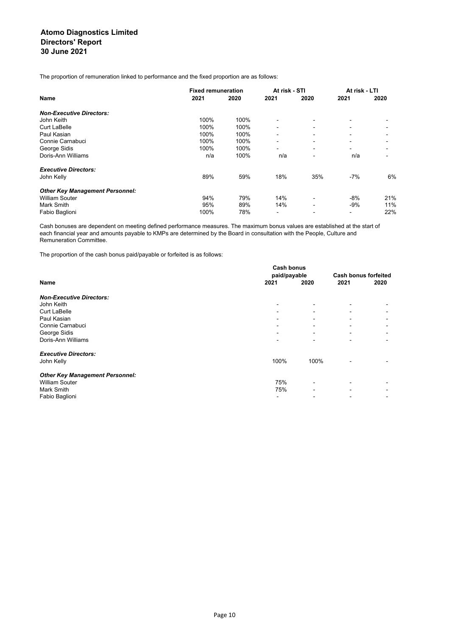The proportion of remuneration linked to performance and the fixed proportion are as follows:

|                                        | <b>Fixed remuneration</b> |      | At risk - STI |                          | At risk - LTI            |      |
|----------------------------------------|---------------------------|------|---------------|--------------------------|--------------------------|------|
| <b>Name</b>                            | 2021                      | 2020 | 2021          | 2020                     | 2021                     | 2020 |
| <b>Non-Executive Directors:</b>        |                           |      |               |                          |                          |      |
| John Keith                             | 100%                      | 100% |               |                          |                          |      |
| <b>Curt LaBelle</b>                    | 100%                      | 100% |               |                          |                          |      |
| Paul Kasian                            | 100%                      | 100% | -             |                          |                          |      |
| Connie Carnabuci                       | 100%                      | 100% | -             |                          | $\overline{\phantom{0}}$ |      |
| George Sidis                           | 100%                      | 100% | -             | $\overline{\phantom{0}}$ | $\overline{\phantom{0}}$ |      |
| Doris-Ann Williams                     | n/a                       | 100% | n/a           | $\overline{\phantom{a}}$ | n/a                      |      |
| <b>Executive Directors:</b>            |                           |      |               |                          |                          |      |
| John Kelly                             | 89%                       | 59%  | 18%           | 35%                      | $-7%$                    | 6%   |
| <b>Other Key Management Personnel:</b> |                           |      |               |                          |                          |      |
| <b>William Souter</b>                  | 94%                       | 79%  | 14%           | $\overline{\phantom{0}}$ | $-8%$                    | 21%  |
| Mark Smith                             | 95%                       | 89%  | 14%           |                          | $-9%$                    | 11%  |
| Fabio Baglioni                         | 100%                      | 78%  | -             |                          | -                        | 22%  |

Cash bonuses are dependent on meeting defined performance measures. The maximum bonus values are established at the start of each financial year and amounts payable to KMPs are determined by the Board in consultation with the People, Culture and Remuneration Committee.

The proportion of the cash bonus paid/payable or forfeited is as follows:

|                                        | <b>Cash bonus</b>        |                             |                          |                          |
|----------------------------------------|--------------------------|-----------------------------|--------------------------|--------------------------|
|                                        | paid/payable             | <b>Cash bonus forfeited</b> |                          |                          |
| Name                                   | 2021                     | 2020                        | 2021                     | 2020                     |
| <b>Non-Executive Directors:</b>        |                          |                             |                          |                          |
| John Keith                             | $\overline{\phantom{a}}$ |                             |                          |                          |
| <b>Curt LaBelle</b>                    | $\blacksquare$           |                             |                          |                          |
| Paul Kasian                            | -                        |                             |                          |                          |
| Connie Carnabuci                       | -                        |                             |                          |                          |
| George Sidis                           | $\blacksquare$           | $\blacksquare$              |                          |                          |
| Doris-Ann Williams                     | $\overline{\phantom{a}}$ | $\overline{\phantom{0}}$    |                          | $\blacksquare$           |
| <b>Executive Directors:</b>            |                          |                             |                          |                          |
| John Kelly                             | 100%                     | 100%                        | $\overline{\phantom{0}}$ |                          |
| <b>Other Key Management Personnel:</b> |                          |                             |                          |                          |
| <b>William Souter</b>                  | 75%                      |                             |                          |                          |
| <b>Mark Smith</b>                      | 75%                      |                             |                          |                          |
| Fabio Baglioni                         | -                        |                             |                          | $\overline{\phantom{a}}$ |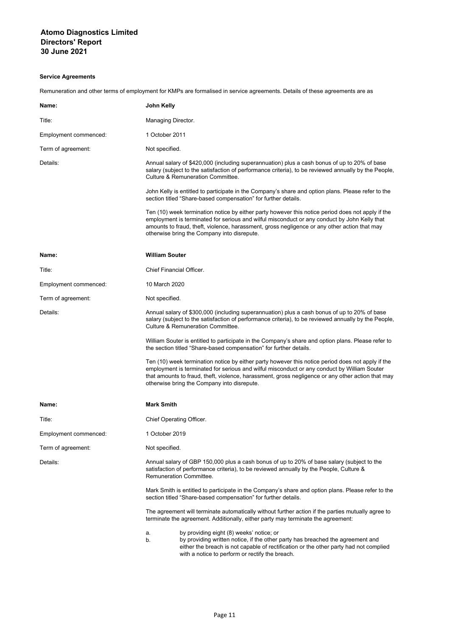# **Service Agreements**

Remuneration and other terms of employment for KMPs are formalised in service agreements. Details of these agreements are as

| Name:                 | John Kelly                                                                                                                                                                                                                                                                                                                                           |
|-----------------------|------------------------------------------------------------------------------------------------------------------------------------------------------------------------------------------------------------------------------------------------------------------------------------------------------------------------------------------------------|
| Title:                | Managing Director.                                                                                                                                                                                                                                                                                                                                   |
| Employment commenced: | 1 October 2011                                                                                                                                                                                                                                                                                                                                       |
| Term of agreement:    | Not specified.                                                                                                                                                                                                                                                                                                                                       |
| Details:              | Annual salary of \$420,000 (including superannuation) plus a cash bonus of up to 20% of base<br>salary (subject to the satisfaction of performance criteria), to be reviewed annually by the People,<br>Culture & Remuneration Committee.                                                                                                            |
|                       | John Kelly is entitled to participate in the Company's share and option plans. Please refer to the<br>section titled "Share-based compensation" for further details.                                                                                                                                                                                 |
|                       | Ten (10) week termination notice by either party however this notice period does not apply if the<br>employment is terminated for serious and wilful misconduct or any conduct by John Kelly that<br>amounts to fraud, theft, violence, harassment, gross negligence or any other action that may<br>otherwise bring the Company into disrepute.     |
| Name:                 | <b>William Souter</b>                                                                                                                                                                                                                                                                                                                                |
| Title:                | <b>Chief Financial Officer.</b>                                                                                                                                                                                                                                                                                                                      |
| Employment commenced: | 10 March 2020                                                                                                                                                                                                                                                                                                                                        |
| Term of agreement:    | Not specified.                                                                                                                                                                                                                                                                                                                                       |
| Details:              | Annual salary of \$300,000 (including superannuation) plus a cash bonus of up to 20% of base<br>salary (subject to the satisfaction of performance criteria), to be reviewed annually by the People,<br><b>Culture &amp; Remuneration Committee.</b>                                                                                                 |
|                       | William Souter is entitled to participate in the Company's share and option plans. Please refer to<br>the section titled "Share-based compensation" for further details.                                                                                                                                                                             |
|                       | Ten (10) week termination notice by either party however this notice period does not apply if the<br>employment is terminated for serious and wilful misconduct or any conduct by William Souter<br>that amounts to fraud, theft, violence, harassment, gross negligence or any other action that may<br>otherwise bring the Company into disrepute. |
| Name:                 | <b>Mark Smith</b>                                                                                                                                                                                                                                                                                                                                    |
| Title:                | Chief Operating Officer.                                                                                                                                                                                                                                                                                                                             |
| Employment commenced: | 1 October 2019                                                                                                                                                                                                                                                                                                                                       |
| Term of agreement:    | Not specified.                                                                                                                                                                                                                                                                                                                                       |
| Details:              | Annual salary of GBP 150,000 plus a cash bonus of up to 20% of base salary (subject to the<br>satisfaction of performance criteria), to be reviewed annually by the People, Culture &<br><b>Remuneration Committee.</b>                                                                                                                              |
|                       | Mark Smith is entitled to participate in the Company's share and option plans. Please refer to the<br>section titled "Share-based compensation" for further details.                                                                                                                                                                                 |
|                       | The agreement will terminate automatically without further action if the parties mutually agree to<br>terminate the agreement. Additionally, either party may terminate the agreement:                                                                                                                                                               |
|                       | by providing eight (8) weeks' notice; or<br>а.<br>by providing written notice, if the other party has breached the agreement and<br>b.<br>either the breach is not capable of rectification or the other party had not complied<br>with a notice to perform or rectify the breach.                                                                   |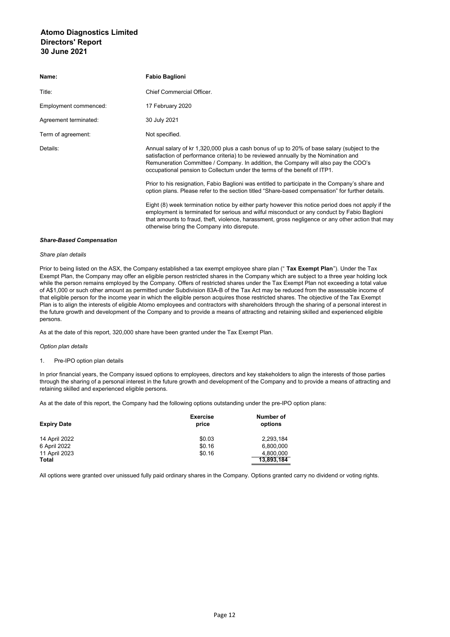| Name:                 | <b>Fabio Baglioni</b>                                                                                                                                                                                                                                                                                                                                 |
|-----------------------|-------------------------------------------------------------------------------------------------------------------------------------------------------------------------------------------------------------------------------------------------------------------------------------------------------------------------------------------------------|
| Title:                | Chief Commercial Officer.                                                                                                                                                                                                                                                                                                                             |
| Employment commenced: | 17 February 2020                                                                                                                                                                                                                                                                                                                                      |
| Agreement terminated: | 30 July 2021                                                                                                                                                                                                                                                                                                                                          |
| Term of agreement:    | Not specified.                                                                                                                                                                                                                                                                                                                                        |
| Details:              | Annual salary of kr 1,320,000 plus a cash bonus of up to 20% of base salary (subject to the<br>satisfaction of performance criteria) to be reviewed annually by the Nomination and<br>Remuneration Committee / Company. In addition, the Company will also pay the COO's<br>occupational pension to Collectum under the terms of the benefit of ITP1. |
|                       | Prior to his resignation, Fabio Baglioni was entitled to participate in the Company's share and<br>option plans. Please refer to the section titled "Share-based compensation" for further details.                                                                                                                                                   |
|                       | Eight (8) week termination notice by either party however this notice period does not apply if the<br>employment is terminated for serious and wilful misconduct or any conduct by Fabio Baglioni<br>that amounts to fraud, theft, violence, harassment, gross negligence or any other action that may<br>otherwise bring the Company into disrepute. |

#### *Share-Based Compensation*

#### *Share plan details*

Prior to being listed on the ASX, the Company established a tax exempt employee share plan (" **Tax Exempt Plan**"). Under the Tax Exempt Plan, the Company may offer an eligible person restricted shares in the Company which are subject to a three year holding lock while the person remains employed by the Company. Offers of restricted shares under the Tax Exempt Plan not exceeding a total value of A\$1,000 or such other amount as permitted under Subdivision 83A-B of the Tax Act may be reduced from the assessable income of that eligible person for the income year in which the eligible person acquires those restricted shares. The objective of the Tax Exempt Plan is to align the interests of eligible Atomo employees and contractors with shareholders through the sharing of a personal interest in the future growth and development of the Company and to provide a means of attracting and retaining skilled and experienced eligible persons.

As at the date of this report, 320,000 share have been granted under the Tax Exempt Plan.

#### *Option plan details*

## 1. Pre-IPO option plan details

In prior financial years, the Company issued options to employees, directors and key stakeholders to align the interests of those parties through the sharing of a personal interest in the future growth and development of the Company and to provide a means of attracting and retaining skilled and experienced eligible persons.

As at the date of this report, the Company had the following options outstanding under the pre-IPO option plans:

| <b>Expiry Date</b> | <b>Exercise</b><br>price | Number of<br>options |
|--------------------|--------------------------|----------------------|
| 14 April 2022      | \$0.03                   | 2.293.184            |
| 6 April 2022       | \$0.16                   | 6,800,000            |
| 11 April 2023      | \$0.16                   | 4.800.000            |
| <b>Total</b>       |                          | 13.893.184           |

All options were granted over unissued fully paid ordinary shares in the Company. Options granted carry no dividend or voting rights.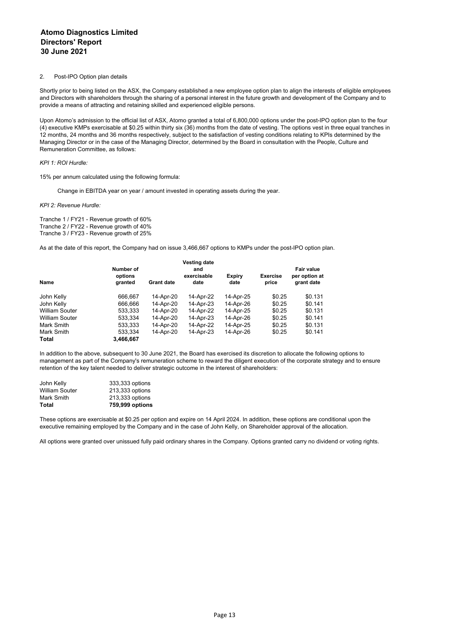#### 2. Post-IPO Option plan details

Shortly prior to being listed on the ASX, the Company established a new employee option plan to align the interests of eligible employees and Directors with shareholders through the sharing of a personal interest in the future growth and development of the Company and to provide a means of attracting and retaining skilled and experienced eligible persons.

Upon Atomo's admission to the official list of ASX, Atomo granted a total of 6,800,000 options under the post-IPO option plan to the four (4) executive KMPs exercisable at \$0.25 within thirty six (36) months from the date of vesting. The options vest in three equal tranches in 12 months, 24 months and 36 months respectively, subject to the satisfaction of vesting conditions relating to KPIs determined by the Managing Director or in the case of the Managing Director, determined by the Board in consultation with the People, Culture and Remuneration Committee, as follows:

#### *KPI 1: ROI Hurdle:*

15% per annum calculated using the following formula:

Change in EBITDA year on year / amount invested in operating assets during the year.

*KPI 2: Revenue Hurdle:*

Tranche 1 / FY21 - Revenue growth of 60% Tranche 2 / FY22 - Revenue growth of 40% Tranche 3 / FY23 - Revenue growth of 25%

As at the date of this report, the Company had on issue 3,466,667 options to KMPs under the post-IPO option plan.

|                       |                                 |                   | <b>Vesting date</b>        |                       |                          |                                           |
|-----------------------|---------------------------------|-------------------|----------------------------|-----------------------|--------------------------|-------------------------------------------|
| Name                  | Number of<br>options<br>granted | <b>Grant date</b> | and<br>exercisable<br>date | <b>Expiry</b><br>date | <b>Exercise</b><br>price | Fair value<br>per option at<br>grant date |
| John Kelly            | 666.667                         | 14-Apr-20         | 14-Apr-22                  | 14-Apr-25             | \$0.25                   | \$0.131                                   |
| John Kelly            | 666,666                         | 14-Apr-20         | 14-Apr-23                  | 14-Apr-26             | \$0.25                   | \$0.141                                   |
| <b>William Souter</b> | 533,333                         | 14-Apr-20         | 14-Apr-22                  | 14-Apr-25             | \$0.25                   | \$0.131                                   |
| <b>William Souter</b> | 533.334                         | 14-Apr-20         | 14-Apr-23                  | 14-Apr-26             | \$0.25                   | \$0.141                                   |
| Mark Smith            | 533.333                         | 14-Apr-20         | 14-Apr-22                  | 14-Apr-25             | \$0.25                   | \$0.131                                   |
| Mark Smith            | 533.334                         | 14-Apr-20         | 14-Apr-23                  | 14-Apr-26             | \$0.25                   | \$0.141                                   |
| Total                 | 3,466,667                       |                   |                            |                       |                          |                                           |

In addition to the above, subsequent to 30 June 2021, the Board has exercised its discretion to allocate the following options to management as part of the Company's remuneration scheme to reward the diligent execution of the corporate strategy and to ensure retention of the key talent needed to deliver strategic outcome in the interest of shareholders:

| Total          | 759,999 options |
|----------------|-----------------|
| Mark Smith     | 213,333 options |
| William Souter | 213,333 options |
| John Kelly     | 333,333 options |

These options are exercisable at \$0.25 per option and expire on 14 April 2024. In addition, these options are conditional upon the executive remaining employed by the Company and in the case of John Kelly, on Shareholder approval of the allocation.

All options were granted over unissued fully paid ordinary shares in the Company. Options granted carry no dividend or voting rights.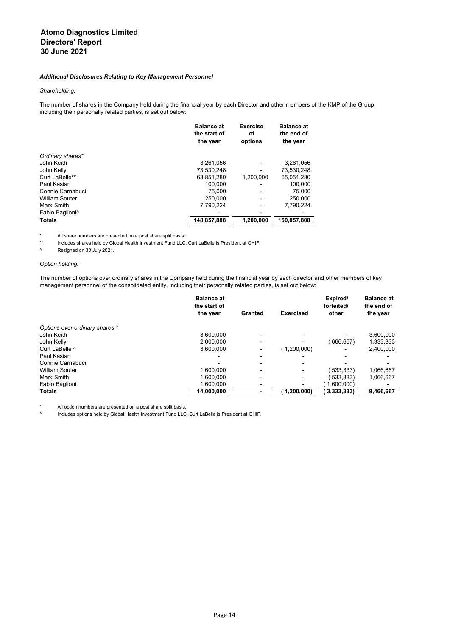## *Additional Disclosures Relating to Key Management Personnel*

#### *Shareholding:*

The number of shares in the Company held during the financial year by each Director and other members of the KMP of the Group, including their personally related parties, is set out below:

|                             | <b>Balance at</b><br>the start of<br>the year | <b>Exercise</b><br>οf<br>options | <b>Balance at</b><br>the end of<br>the year |
|-----------------------------|-----------------------------------------------|----------------------------------|---------------------------------------------|
| Ordinary shares*            |                                               |                                  |                                             |
| John Keith                  | 3,261,056                                     |                                  | 3,261,056                                   |
| John Kelly                  | 73,530,248                                    | ٠                                | 73,530,248                                  |
| Curt LaBelle**              | 63.851.280                                    | 1.200.000                        | 65.051.280                                  |
| Paul Kasian                 | 100.000                                       | $\overline{\phantom{0}}$         | 100.000                                     |
| Connie Carnabuci            | 75.000                                        | $\overline{\phantom{a}}$         | 75,000                                      |
| <b>William Souter</b>       | 250.000                                       | -                                | 250,000                                     |
| Mark Smith                  | 7.790.224                                     | -                                | 7.790.224                                   |
| Fabio Baglioni <sup>^</sup> |                                               |                                  |                                             |
| <b>Totals</b>               | 148.857.808                                   | 1.200.000                        | 150.057.808                                 |

\* All share numbers are presented on a post share split basis.

Includes shares held by Global Health Investment Fund LLC. Curt LaBelle is President at GHIF.

^ Resigned on 30 July 2021.

## *Option holding:*

The number of options over ordinary shares in the Company held during the financial year by each director and other members of key management personnel of the consolidated entity, including their personally related parties, is set out below:

|                                | <b>Balance at</b><br>the start of |                          |                          | Expired/<br>forfeited/ | <b>Balance at</b><br>the end of |
|--------------------------------|-----------------------------------|--------------------------|--------------------------|------------------------|---------------------------------|
|                                | the year                          | Granted                  | <b>Exercised</b>         | other                  | the year                        |
| Options over ordinary shares * |                                   |                          |                          |                        |                                 |
| John Keith                     | 3.600.000                         |                          |                          |                        | 3,600,000                       |
| John Kelly                     | 2.000.000                         | $\overline{\phantom{a}}$ |                          | 666,667)               | 1,333,333                       |
| Curt LaBelle ^                 | 3,600,000                         | $\overline{\phantom{a}}$ | (1,200,000)              |                        | 2,400,000                       |
| Paul Kasian                    |                                   | $\overline{\phantom{a}}$ |                          |                        |                                 |
| Connie Carnabuci               |                                   |                          | $\overline{\phantom{0}}$ |                        |                                 |
| <b>William Souter</b>          | 1.600.000                         | $\blacksquare$           | $\overline{\phantom{0}}$ | 533,333)               | 1,066,667                       |
| Mark Smith                     | 1.600.000                         | $\overline{\phantom{a}}$ | $\overline{\phantom{0}}$ | 533.333)               | 1,066,667                       |
| Fabio Baglioni                 | 1.600.000                         |                          |                          | 1.600.000              |                                 |
| <b>Totals</b>                  | 14,000,000                        |                          | (1, 200, 000)            | 3.333.333)             | 9,466,667                       |

All option numbers are presented on a post share split basis.

^ Includes options held by Global Health Investment Fund LLC. Curt LaBelle is President at GHIF.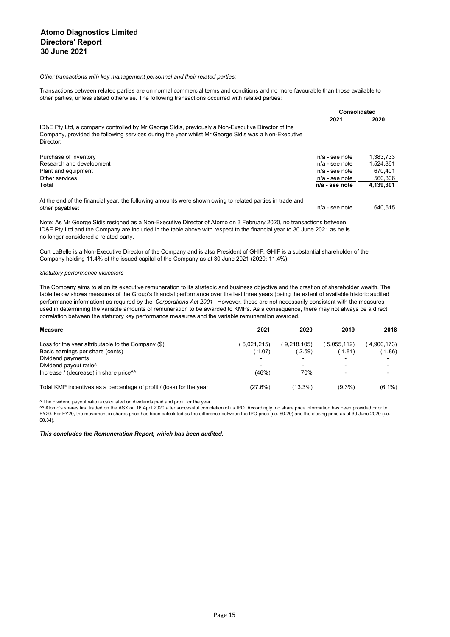#### *Other transactions with key management personnel and their related parties:*

Transactions between related parties are on normal commercial terms and conditions and no more favourable than those available to other parties, unless stated otherwise. The following transactions occurred with related parties:

|                                                                                                                                                                                                                       | Consolidated     |           |
|-----------------------------------------------------------------------------------------------------------------------------------------------------------------------------------------------------------------------|------------------|-----------|
|                                                                                                                                                                                                                       | 2021             | 2020      |
| ID&E Pty Ltd, a company controlled by Mr George Sidis, previously a Non-Executive Director of the<br>Company, provided the following services during the year whilst Mr George Sidis was a Non-Executive<br>Director: |                  |           |
| Purchase of inventory                                                                                                                                                                                                 | $n/a$ - see note | 1.383.733 |
| Research and development                                                                                                                                                                                              | $n/a$ - see note | 1.524.861 |
| Plant and equipment                                                                                                                                                                                                   | $n/a$ - see note | 670.401   |
| Other services                                                                                                                                                                                                        | $n/a$ - see note | 560.306   |
| Total                                                                                                                                                                                                                 | $n/a$ - see note | 4,139,301 |
| At the end of the financial year, the following amounts were shown owing to related parties in trade and                                                                                                              |                  |           |
| other payables:                                                                                                                                                                                                       | $n/a$ - see note | 640.615   |

Note: As Mr George Sidis resigned as a Non-Executive Director of Atomo on 3 February 2020, no transactions between ID&E Pty Ltd and the Company are included in the table above with respect to the financial year to 30 June 2021 as he is no longer considered a related party.

Curt LaBelle is a Non-Executive Director of the Company and is also President of GHIF. GHIF is a substantial shareholder of the Company holding 11.4% of the issued capital of the Company as at 30 June 2021 (2020: 11.4%).

#### *Statutory performance indicators*

The Company aims to align its executive remuneration to its strategic and business objective and the creation of shareholder wealth. The table below shows measures of the Group's financial performance over the last three years (being the extent of available historic audited performance information) as required by the *Corporations Act 2001* . However, these are not necessarily consistent with the measures used in determining the variable amounts of remuneration to be awarded to KMPs. As a consequence, there may not always be a direct correlation between the statutory key performance measures and the variable remuneration awarded.

| <b>Measure</b>                                                       | 2021        | 2020        | 2019       | 2018        |
|----------------------------------------------------------------------|-------------|-------------|------------|-------------|
| Loss for the year attributable to the Company $(\$)$                 | (6,021,215) | (9.218.105) | 5,055,112) | (4,900,173) |
| Basic earnings per share (cents)                                     | (1.07)      | (2.59)      | (1.81)     | (1.86)      |
| Dividend payments                                                    |             |             |            |             |
| Dividend payout ratio <sup>^</sup>                                   |             |             |            |             |
| Increase / (decrease) in share price <sup>11</sup>                   | (46%)       | 70%         |            |             |
| Total KMP incentives as a percentage of profit / (loss) for the year | (27.6%)     | $(13.3\%)$  | $(9.3\%)$  | $(6.1\%)$   |

^ The dividend payout ratio is calculated on dividends paid and profit for the year.

^^ Atomo's shares first traded on the ASX on 16 April 2020 after successful completion of its IPO. Accordingly, no share price information has been provided prior to FY20. For FY20, the movement in shares price has been calculated as the difference between the IPO price (i.e. \$0.20) and the closing price as at 30 June 2020 (i.e. \$0.34).

#### *This concludes the Remuneration Report, which has been audited.*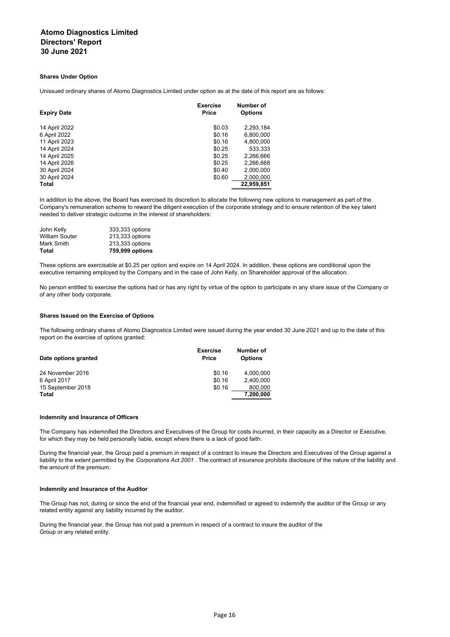#### **Shares Under Option**

Unissued ordinary shares of Atomo Diagnostics Limited under option as at the date of this report are as follows:

| <b>Expiry Date</b> | <b>Exercise</b><br><b>Price</b> | Number of<br><b>Options</b> |
|--------------------|---------------------------------|-----------------------------|
| 14 April 2022      | \$0.03                          | 2,293,184                   |
| 6 April 2022       | \$0.16                          | 6,800,000                   |
| 11 April 2023      | \$0.16                          | 4,800,000                   |
| 14 April 2024      | \$0.25                          | 533,333                     |
| 14 April 2025      | \$0.25                          | 2,266,666                   |
| 14 April 2026      | \$0.25                          | 2,266,668                   |
| 30 April 2024      | \$0.40                          | 2,000,000                   |
| 30 April 2024      | \$0.60                          | 2.000.000                   |
| Total              |                                 | 22,959,851                  |

In addition to the above, the Board has exercised its discretion to allocate the following new options to management as part of the Company's remuneration scheme to reward the diligent execution of the corporate strategy and to ensure retention of the key talent needed to deliver strategic outcome in the interest of shareholders:

| Total                 | 759,999 options |
|-----------------------|-----------------|
| Mark Smith            | 213,333 options |
| <b>William Souter</b> | 213,333 options |
| John Kelly            | 333,333 options |

These options are exercisable at \$0.25 per option and expire on 14 April 2024. In addition, these options are conditional upon the executive remaining employed by the Company and in the case of John Kelly, on Shareholder approval of the allocation.

No person entitled to exercise the options had or has any right by virtue of the option to participate in any share issue of the Company or of any other body corporate.

#### **Shares Issued on the Exercise of Options**

The following ordinary shares of Atomo Diagnostics Limited were issued during the year ended 30 June 2021 and up to the date of this report on the exercise of options granted:

| Date options granted | <b>Exercise</b><br><b>Price</b> | Number of<br><b>Options</b> |
|----------------------|---------------------------------|-----------------------------|
| 24 November 2016     | \$0.16                          | 4.000.000                   |
| 6 April 2017         | \$0.16                          | 2.400.000                   |
| 15 September 2018    | \$0.16                          | 800.000                     |
| Total                |                                 | 7,200,000                   |

#### **Indemnity and Insurance of Officers**

The Company has indemnified the Directors and Executives of the Group for costs incurred, in their capacity as a Director or Executive, for which they may be held personally liable, except where there is a lack of good faith.

During the financial year, the Group paid a premium in respect of a contract to insure the Directors and Executives of the Group against a liability to the extent permitted by the *Corporations Act 2001* . The contract of insurance prohibits disclosure of the nature of the liability and the amount of the premium.

#### **Indemnity and Insurance of the Auditor**

The Group has not, during or since the end of the financial year end, indemnified or agreed to indemnify the auditor of the Group or any related entity against any liability incurred by the auditor.

During the financial year, the Group has not paid a premium in respect of a contract to insure the auditor of the Group or any related entity.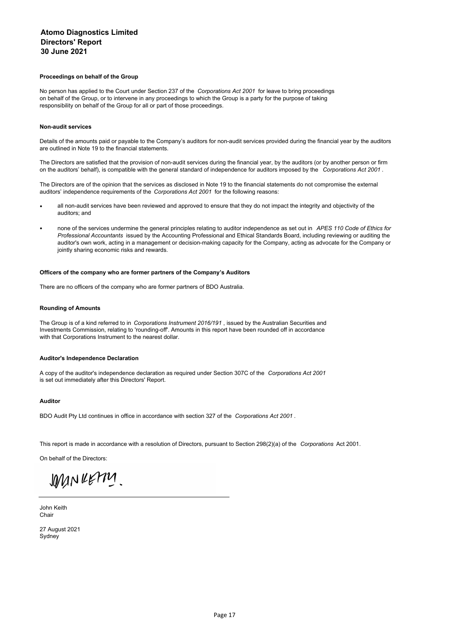#### **Proceedings on behalf of the Group**

No person has applied to the Court under Section 237 of the *Corporations Act 2001* for leave to bring proceedings on behalf of the Group, or to intervene in any proceedings to which the Group is a party for the purpose of taking responsibility on behalf of the Group for all or part of those proceedings.

#### **Non-audit services**

Details of the amounts paid or payable to the Company's auditors for non-audit services provided during the financial year by the auditors are outlined in Note 19 to the financial statements.

The Directors are satisfied that the provision of non-audit services during the financial year, by the auditors (or by another person or firm on the auditors' behalf), is compatible with the general standard of independence for auditors imposed by the *Corporations Act 2001* .

The Directors are of the opinion that the services as disclosed in Note 19 to the financial statements do not compromise the external auditors' independence requirements of the *Corporations Act 2001* for the following reasons:

- all non-audit services have been reviewed and approved to ensure that they do not impact the integrity and objectivity of the auditors; and
- none of the services undermine the general principles relating to auditor independence as set out in *APES 110 Code of Ethics for Professional Accountants* issued by the Accounting Professional and Ethical Standards Board, including reviewing or auditing the auditor's own work, acting in a management or decision-making capacity for the Company, acting as advocate for the Company or jointly sharing economic risks and rewards.

## **Officers of the company who are former partners of the Company's Auditors**

There are no officers of the company who are former partners of BDO Australia.

#### **Rounding of Amounts**

The Group is of a kind referred to in *Corporations Instrument 2016/191* , issued by the Australian Securities and Investments Commission, relating to 'rounding-off'. Amounts in this report have been rounded off in accordance with that Corporations Instrument to the nearest dollar.

#### **Auditor's Independence Declaration**

A copy of the auditor's independence declaration as required under Section 307C of the *Corporations Act 2001* is set out immediately after this Directors' Report.

#### **Auditor**

BDO Audit Pty Ltd continues in office in accordance with section 327 of the *Corporations Act 2001* .

This report is made in accordance with a resolution of Directors, pursuant to Section 298(2)(a) of the *Corporations* Act 2001.

On behalf of the Directors:

JOMN RETTY

John Keith Chair

27 August 2021 Sydney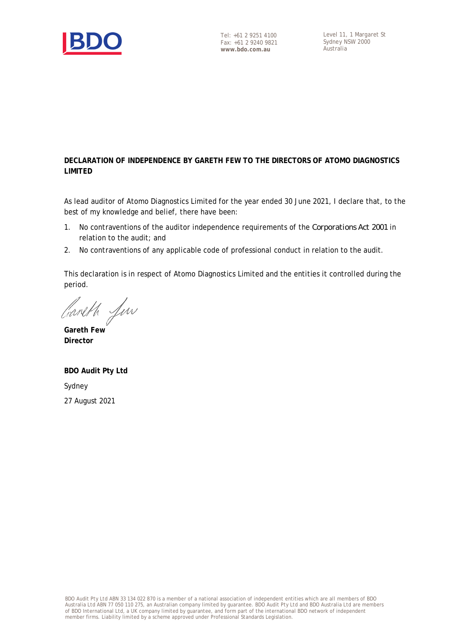

# **DECLARATION OF INDEPENDENCE BY GARETH FEW TO THE DIRECTORS OF ATOMO DIAGNOSTICS LIMITED**

As lead auditor of Atomo Diagnostics Limited for the year ended 30 June 2021, I declare that, to the best of my knowledge and belief, there have been:

- 1. No contraventions of the auditor independence requirements of the *Corporations Act 2001* in relation to the audit; and
- 2. No contraventions of any applicable code of professional conduct in relation to the audit.

This declaration is in respect of Atomo Diagnostics Limited and the entities it controlled during the period.

Careth fun

**Gareth Few Director**

**BDO Audit Pty Ltd** Sydney 27 August 2021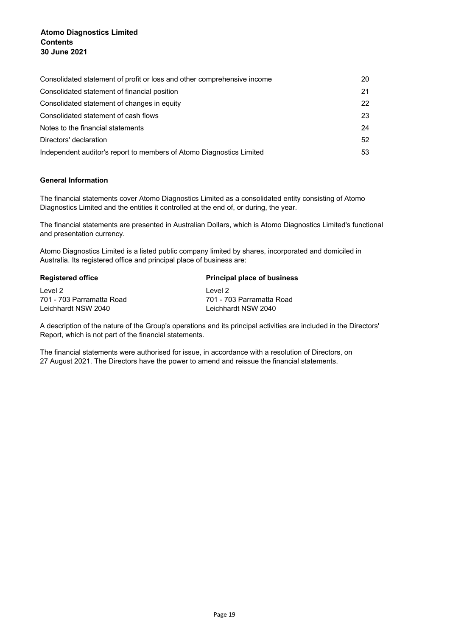| Consolidated statement of profit or loss and other comprehensive income | 20 |
|-------------------------------------------------------------------------|----|
| Consolidated statement of financial position                            | 21 |
| Consolidated statement of changes in equity                             | 22 |
| Consolidated statement of cash flows                                    | 23 |
| Notes to the financial statements                                       | 24 |
| Directors' declaration                                                  | 52 |
| Independent auditor's report to members of Atomo Diagnostics Limited    | 53 |

# **General Information**

The financial statements cover Atomo Diagnostics Limited as a consolidated entity consisting of Atomo Diagnostics Limited and the entities it controlled at the end of, or during, the year.

The financial statements are presented in Australian Dollars, which is Atomo Diagnostics Limited's functional and presentation currency.

Atomo Diagnostics Limited is a listed public company limited by shares, incorporated and domiciled in Australia. Its registered office and principal place of business are:

| <b>Principal place of business</b><br><b>Registered office</b> |                           |
|----------------------------------------------------------------|---------------------------|
| Level 2                                                        | Level 2                   |
| 701 - 703 Parramatta Road                                      | 701 - 703 Parramatta Road |
| Leichhardt NSW 2040                                            | Leichhardt NSW 2040       |
|                                                                |                           |

A description of the nature of the Group's operations and its principal activities are included in the Directors' Report, which is not part of the financial statements.

The financial statements were authorised for issue, in accordance with a resolution of Directors, on 27 August 2021. The Directors have the power to amend and reissue the financial statements.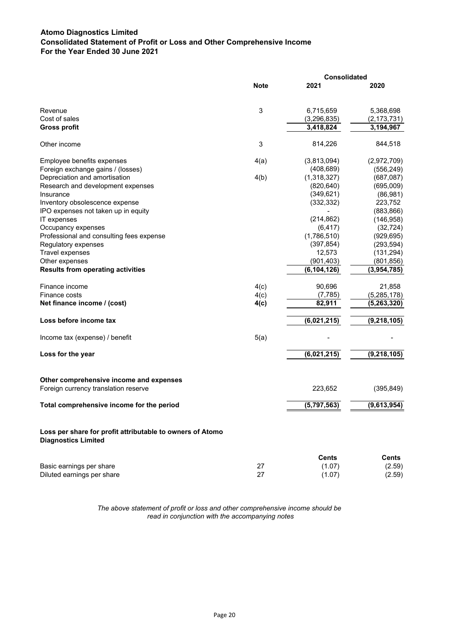# **Atomo Diagnostics Limited Consolidated Statement of Profit or Loss and Other Comprehensive Income For the Year Ended 30 June 2021**

|                                                                                         |             | Consolidated  |               |  |
|-----------------------------------------------------------------------------------------|-------------|---------------|---------------|--|
|                                                                                         | <b>Note</b> | 2021          | 2020          |  |
| Revenue                                                                                 | $\sqrt{3}$  | 6,715,659     | 5,368,698     |  |
| Cost of sales                                                                           |             | (3, 296, 835) | (2, 173, 731) |  |
| <b>Gross profit</b>                                                                     |             | 3,418,824     | 3,194,967     |  |
| Other income                                                                            | 3           | 814,226       | 844,518       |  |
| Employee benefits expenses                                                              | 4(a)        | (3,813,094)   | (2,972,709)   |  |
| Foreign exchange gains / (losses)                                                       |             | (408, 689)    | (556, 249)    |  |
| Depreciation and amortisation                                                           | 4(b)        | (1,318,327)   | (687, 087)    |  |
| Research and development expenses                                                       |             | (820, 640)    | (695,009)     |  |
| Insurance                                                                               |             | (349, 621)    | (86, 981)     |  |
| Inventory obsolescence expense                                                          |             | (332, 332)    | 223,752       |  |
| IPO expenses not taken up in equity                                                     |             |               | (883, 866)    |  |
| IT expenses                                                                             |             | (214, 862)    | (146, 958)    |  |
| Occupancy expenses                                                                      |             | (6, 417)      | (32, 724)     |  |
| Professional and consulting fees expense                                                |             | (1,786,510)   | (929, 695)    |  |
| Regulatory expenses                                                                     |             | (397, 854)    | (293, 594)    |  |
| <b>Travel expenses</b>                                                                  |             | 12,573        | (131, 294)    |  |
| Other expenses                                                                          |             | (901, 403)    | (801, 856)    |  |
| <b>Results from operating activities</b>                                                |             | (6, 104, 126) | (3,954,785)   |  |
| Finance income                                                                          | 4(c)        | 90,696        | 21,858        |  |
| Finance costs                                                                           | 4(c)        | (7, 785)      | (5, 285, 178) |  |
| Net finance income / (cost)                                                             | 4(c)        | 82,911        | (5, 263, 320) |  |
| Loss before income tax                                                                  |             | (6,021,215)   | (9, 218, 105) |  |
| Income tax (expense) / benefit                                                          | 5(a)        |               |               |  |
| Loss for the year                                                                       |             | (6,021,215)   | (9, 218, 105) |  |
| Other comprehensive income and expenses                                                 |             |               |               |  |
| Foreign currency translation reserve                                                    |             | 223,652       | (395, 849)    |  |
| Total comprehensive income for the period                                               |             | (5,797,563)   | (9,613,954)   |  |
| Loss per share for profit attributable to owners of Atomo<br><b>Diagnostics Limited</b> |             |               |               |  |
|                                                                                         |             | <b>Cents</b>  | <b>Cents</b>  |  |
| Basic earnings per share                                                                | 27          | (1.07)        | (2.59)        |  |
| Diluted earnings per share                                                              | 27          | (1.07)        | (2.59)        |  |
|                                                                                         |             |               |               |  |

*The above statement of profit or loss and other comprehensive income should be read in conjunction with the accompanying notes*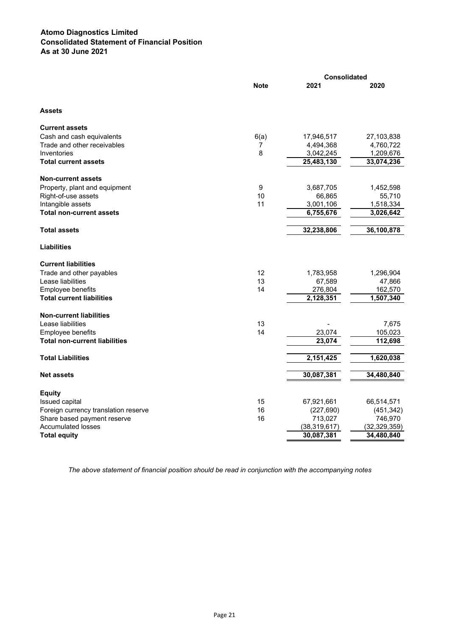# **Atomo Diagnostics Limited Consolidated Statement of Financial Position As at 30 June 2021**

|                                      |                  | <b>Consolidated</b> |                |  |
|--------------------------------------|------------------|---------------------|----------------|--|
|                                      | <b>Note</b>      | 2021                | 2020           |  |
| <b>Assets</b>                        |                  |                     |                |  |
| <b>Current assets</b>                |                  |                     |                |  |
| Cash and cash equivalents            | 6(a)             | 17,946,517          | 27,103,838     |  |
| Trade and other receivables          | 7                | 4,494,368           | 4,760,722      |  |
| Inventories                          | 8                | 3,042,245           | 1,209,676      |  |
| <b>Total current assets</b>          |                  | 25,483,130          | 33,074,236     |  |
| <b>Non-current assets</b>            |                  |                     |                |  |
| Property, plant and equipment        | $\boldsymbol{9}$ | 3,687,705           | 1,452,598      |  |
| Right-of-use assets                  | 10               | 66,865              | 55,710         |  |
| Intangible assets                    | 11               | 3,001,106           | 1,518,334      |  |
| <b>Total non-current assets</b>      |                  | 6,755,676           | 3,026,642      |  |
| <b>Total assets</b>                  |                  | 32,238,806          | 36,100,878     |  |
| <b>Liabilities</b>                   |                  |                     |                |  |
| <b>Current liabilities</b>           |                  |                     |                |  |
| Trade and other payables             | 12               | 1,783,958           | 1,296,904      |  |
| Lease liabilities                    | 13               | 67,589              | 47,866         |  |
| Employee benefits                    | 14               | 276,804             | 162,570        |  |
| <b>Total current liabilities</b>     |                  | 2,128,351           | 1,507,340      |  |
| <b>Non-current liabilities</b>       |                  |                     |                |  |
| Lease liabilities                    | 13               |                     | 7,675          |  |
| <b>Employee benefits</b>             | 14               | 23,074              | 105,023        |  |
| <b>Total non-current liabilities</b> |                  | 23,074              | 112,698        |  |
| <b>Total Liabilities</b>             |                  | 2,151,425           | 1,620,038      |  |
| <b>Net assets</b>                    |                  | 30,087,381          | 34,480,840     |  |
| <b>Equity</b>                        |                  |                     |                |  |
| Issued capital                       | 15               | 67,921,661          | 66,514,571     |  |
| Foreign currency translation reserve | 16               | (227, 690)          | (451, 342)     |  |
| Share based payment reserve          | 16               | 713,027             | 746,970        |  |
| <b>Accumulated losses</b>            |                  | (38, 319, 617)      | (32, 329, 359) |  |
| <b>Total equity</b>                  |                  | 30,087,381          | 34,480,840     |  |

*The above statement of financial position should be read in conjunction with the accompanying notes*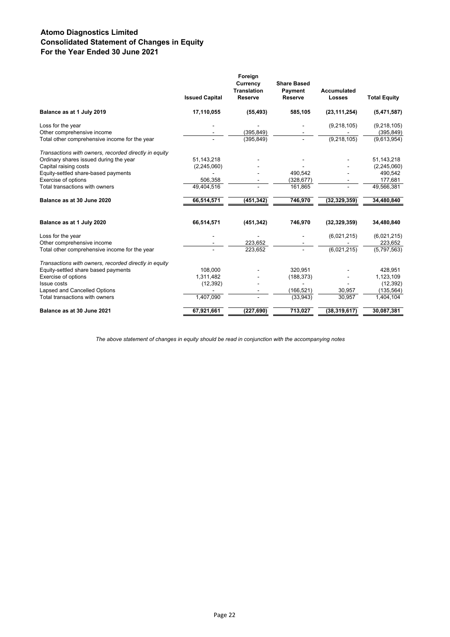# **Atomo Diagnostics Limited Consolidated Statement of Changes in Equity For the Year Ended 30 June 2021**

|                                                       | <b>Issued Capital</b> | Foreign<br>Currency<br><b>Translation</b><br><b>Reserve</b> | <b>Share Based</b><br>Payment<br><b>Reserve</b> | <b>Accumulated</b><br><b>Losses</b> | <b>Total Equity</b> |
|-------------------------------------------------------|-----------------------|-------------------------------------------------------------|-------------------------------------------------|-------------------------------------|---------------------|
| Balance as at 1 July 2019                             | 17,110,055            | (55, 493)                                                   | 585,105                                         | (23, 111, 254)                      | (5,471,587)         |
| Loss for the year                                     |                       |                                                             |                                                 | (9, 218, 105)                       | (9,218,105)         |
| Other comprehensive income                            |                       | (395, 849)                                                  |                                                 |                                     | (395, 849)          |
| Total other comprehensive income for the year         |                       | (395, 849)                                                  |                                                 | (9, 218, 105)                       | (9,613,954)         |
| Transactions with owners, recorded directly in equity |                       |                                                             |                                                 |                                     |                     |
| Ordinary shares issued during the year                | 51,143,218            |                                                             |                                                 |                                     | 51, 143, 218        |
| Capital raising costs                                 | (2,245,060)           |                                                             |                                                 |                                     | (2, 245, 060)       |
| Equity-settled share-based payments                   |                       |                                                             | 490,542                                         |                                     | 490,542             |
| Exercise of options                                   | 506,358               |                                                             | (328, 677)                                      |                                     | 177,681             |
| Total transactions with owners                        | 49,404,516            |                                                             | 161,865                                         |                                     | 49,566,381          |
| Balance as at 30 June 2020                            | 66,514,571            | (451, 342)                                                  | 746,970                                         | (32, 329, 359)                      | 34,480,840          |
| Balance as at 1 July 2020                             | 66,514,571            | (451, 342)                                                  | 746,970                                         | (32, 329, 359)                      | 34,480,840          |
| Loss for the year                                     |                       |                                                             |                                                 | (6,021,215)                         | (6,021,215)         |
| Other comprehensive income                            |                       | 223,652                                                     |                                                 |                                     | 223,652             |
| Total other comprehensive income for the year         |                       | 223,652                                                     |                                                 | $\sqrt{(6,021,215)}$                | (5,797,563)         |
| Transactions with owners, recorded directly in equity |                       |                                                             |                                                 |                                     |                     |
| Equity-settled share based payments                   | 108.000               |                                                             | 320,951                                         |                                     | 428,951             |
| Exercise of options                                   | 1,311,482             |                                                             | (188, 373)                                      |                                     | 1,123,109           |
| <b>Issue costs</b>                                    | (12, 392)             |                                                             |                                                 |                                     | (12, 392)           |
| Lapsed and Cancelled Options                          |                       |                                                             | (166, 521)                                      | 30,957                              | (135, 564)          |
| Total transactions with owners                        | 1,407,090             |                                                             | (33,943)                                        | 30,957                              | 1,404,104           |
| Balance as at 30 June 2021                            | 67,921,661            | (227, 690)                                                  | 713,027                                         | (38, 319, 617)                      | 30,087,381          |
|                                                       |                       |                                                             |                                                 |                                     |                     |

*The above statement of changes in equity should be read in conjunction with the accompanying notes*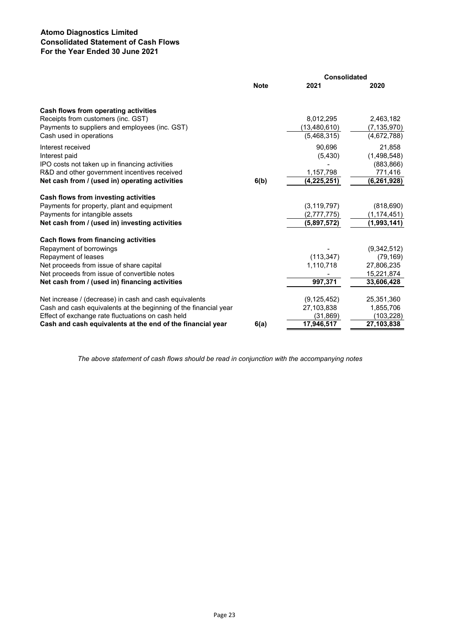# **Atomo Diagnostics Limited Consolidated Statement of Cash Flows For the Year Ended 30 June 2021**

|                                                                  | <b>Consolidated</b> |                |               |
|------------------------------------------------------------------|---------------------|----------------|---------------|
|                                                                  | <b>Note</b>         | 2021           | 2020          |
| Cash flows from operating activities                             |                     |                |               |
| Receipts from customers (inc. GST)                               |                     | 8,012,295      | 2,463,182     |
| Payments to suppliers and employees (inc. GST)                   |                     | (13, 480, 610) | (7, 135, 970) |
| Cash used in operations                                          |                     | (5,468,315)    | (4,672,788)   |
| Interest received                                                |                     | 90,696         | 21,858        |
| Interest paid                                                    |                     | (5, 430)       | (1,498,548)   |
| IPO costs not taken up in financing activities                   |                     |                | (883, 866)    |
| R&D and other government incentives received                     |                     | 1,157,798      | 771,416       |
| Net cash from / (used in) operating activities                   | 6(b)                | (4, 225, 251)  | (6, 261, 928) |
| Cash flows from investing activities                             |                     |                |               |
| Payments for property, plant and equipment                       |                     | (3, 119, 797)  | (818, 690)    |
| Payments for intangible assets                                   |                     | (2,777,775)    | (1,174,451)   |
| Net cash from / (used in) investing activities                   |                     | (5,897,572)    | (1,993,141)   |
| Cach flows from financing activities                             |                     |                |               |
| Repayment of borrowings                                          |                     |                | (9,342,512)   |
| Repayment of leases                                              |                     | (113, 347)     | (79, 169)     |
| Net proceeds from issue of share capital                         |                     | 1,110,718      | 27,806,235    |
| Net proceeds from issue of convertible notes                     |                     |                | 15,221,874    |
| Net cash from / (used in) financing activities                   |                     | 997,371        | 33,606,428    |
| Net increase / (decrease) in cash and cash equivalents           |                     | (9, 125, 452)  | 25,351,360    |
| Cash and cash equivalents at the beginning of the financial year |                     | 27,103,838     | 1,855,706     |
| Effect of exchange rate fluctuations on cash held                |                     | (31, 869)      | (103,228)     |
| Cash and cash equivalents at the end of the financial year       | 6(a)                | 17,946,517     | 27,103,838    |

*The above statement of cash flows should be read in conjunction with the accompanying notes*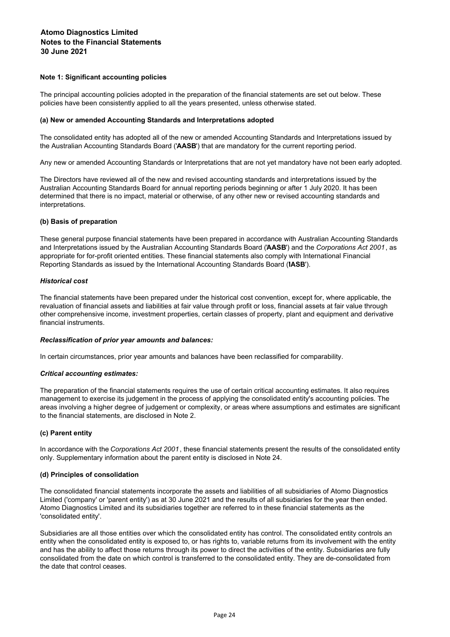# **Note 1: Significant accounting policies**

The principal accounting policies adopted in the preparation of the financial statements are set out below. These policies have been consistently applied to all the years presented, unless otherwise stated.

## **(a) New or amended Accounting Standards and Interpretations adopted**

The consolidated entity has adopted all of the new or amended Accounting Standards and Interpretations issued by the Australian Accounting Standards Board ('**AASB**') that are mandatory for the current reporting period.

Any new or amended Accounting Standards or Interpretations that are not yet mandatory have not been early adopted.

The Directors have reviewed all of the new and revised accounting standards and interpretations issued by the Australian Accounting Standards Board for annual reporting periods beginning or after 1 July 2020. It has been determined that there is no impact, material or otherwise, of any other new or revised accounting standards and interpretations.

# **(b) Basis of preparation**

These general purpose financial statements have been prepared in accordance with Australian Accounting Standards and Interpretations issued by the Australian Accounting Standards Board ('**AASB**') and the *Corporations Act 2001*, as appropriate for for-profit oriented entities. These financial statements also comply with International Financial Reporting Standards as issued by the International Accounting Standards Board ('**IASB**').

# *Historical cost*

The financial statements have been prepared under the historical cost convention, except for, where applicable, the revaluation of financial assets and liabilities at fair value through profit or loss, financial assets at fair value through other comprehensive income, investment properties, certain classes of property, plant and equipment and derivative financial instruments.

## *Reclassification of prior year amounts and balances:*

In certain circumstances, prior year amounts and balances have been reclassified for comparability.

# *Critical accounting estimates:*

The preparation of the financial statements requires the use of certain critical accounting estimates. It also requires management to exercise its judgement in the process of applying the consolidated entity's accounting policies. The areas involving a higher degree of judgement or complexity, or areas where assumptions and estimates are significant to the financial statements, are disclosed in Note 2.

# **(c) Parent entity**

In accordance with the *Corporations Act 2001*, these financial statements present the results of the consolidated entity only. Supplementary information about the parent entity is disclosed in Note 24.

## **(d) Principles of consolidation**

The consolidated financial statements incorporate the assets and liabilities of all subsidiaries of Atomo Diagnostics Limited ('company' or 'parent entity') as at 30 June 2021 and the results of all subsidiaries for the year then ended. Atomo Diagnostics Limited and its subsidiaries together are referred to in these financial statements as the 'consolidated entity'.

Subsidiaries are all those entities over which the consolidated entity has control. The consolidated entity controls an entity when the consolidated entity is exposed to, or has rights to, variable returns from its involvement with the entity and has the ability to affect those returns through its power to direct the activities of the entity. Subsidiaries are fully consolidated from the date on which control is transferred to the consolidated entity. They are de-consolidated from the date that control ceases.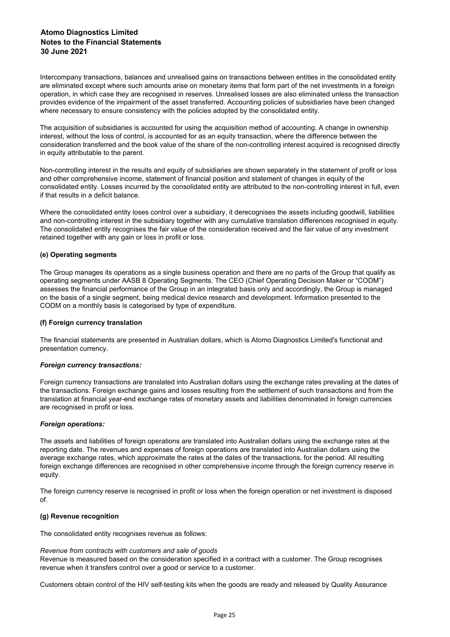Intercompany transactions, balances and unrealised gains on transactions between entities in the consolidated entity are eliminated except where such amounts arise on monetary items that form part of the net investments in a foreign operation, in which case they are recognised in reserves. Unrealised losses are also eliminated unless the transaction provides evidence of the impairment of the asset transferred. Accounting policies of subsidiaries have been changed where necessary to ensure consistency with the policies adopted by the consolidated entity.

The acquisition of subsidiaries is accounted for using the acquisition method of accounting. A change in ownership interest, without the loss of control, is accounted for as an equity transaction, where the difference between the consideration transferred and the book value of the share of the non-controlling interest acquired is recognised directly in equity attributable to the parent.

Non-controlling interest in the results and equity of subsidiaries are shown separately in the statement of profit or loss and other comprehensive income, statement of financial position and statement of changes in equity of the consolidated entity. Losses incurred by the consolidated entity are attributed to the non-controlling interest in full, even if that results in a deficit balance.

Where the consolidated entity loses control over a subsidiary, it derecognises the assets including goodwill, liabilities and non-controlling interest in the subsidiary together with any cumulative translation differences recognised in equity. The consolidated entity recognises the fair value of the consideration received and the fair value of any investment retained together with any gain or loss in profit or loss.

# **(e) Operating segments**

The Group manages its operations as a single business operation and there are no parts of the Group that qualify as operating segments under AASB 8 Operating Segments. The CEO (Chief Operating Decision Maker or "CODM") assesses the financial performance of the Group in an integrated basis only and accordingly, the Group is managed on the basis of a single segment, being medical device research and development. Information presented to the CODM on a monthly basis is categorised by type of expenditure.

## **(f) Foreign currency translation**

The financial statements are presented in Australian dollars, which is Atomo Diagnostics Limited's functional and presentation currency.

## *Foreign currency transactions:*

Foreign currency transactions are translated into Australian dollars using the exchange rates prevailing at the dates of the transactions. Foreign exchange gains and losses resulting from the settlement of such transactions and from the translation at financial year-end exchange rates of monetary assets and liabilities denominated in foreign currencies are recognised in profit or loss.

## *Foreign operations:*

The assets and liabilities of foreign operations are translated into Australian dollars using the exchange rates at the reporting date. The revenues and expenses of foreign operations are translated into Australian dollars using the average exchange rates, which approximate the rates at the dates of the transactions, for the period. All resulting foreign exchange differences are recognised in other comprehensive income through the foreign currency reserve in equity.

The foreign currency reserve is recognised in profit or loss when the foreign operation or net investment is disposed of.

# **(g) Revenue recognition**

The consolidated entity recognises revenue as follows:

*Revenue from contracts with customers and sale of goods* Revenue is measured based on the consideration specified in a contract with a customer. The Group recognises revenue when it transfers control over a good or service to a customer.

Customers obtain control of the HIV self-testing kits when the goods are ready and released by Quality Assurance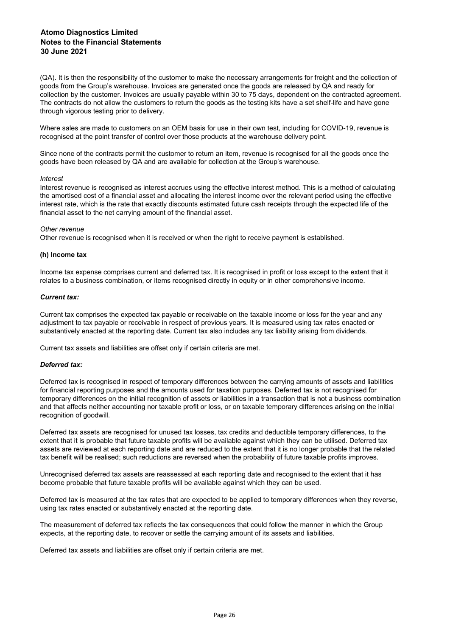(QA). It is then the responsibility of the customer to make the necessary arrangements for freight and the collection of goods from the Group's warehouse. Invoices are generated once the goods are released by QA and ready for collection by the customer. Invoices are usually payable within 30 to 75 days, dependent on the contracted agreement. The contracts do not allow the customers to return the goods as the testing kits have a set shelf-life and have gone through vigorous testing prior to delivery.

Where sales are made to customers on an OEM basis for use in their own test, including for COVID-19, revenue is recognised at the point transfer of control over those products at the warehouse delivery point.

Since none of the contracts permit the customer to return an item, revenue is recognised for all the goods once the goods have been released by QA and are available for collection at the Group's warehouse.

## *Interest*

Interest revenue is recognised as interest accrues using the effective interest method. This is a method of calculating the amortised cost of a financial asset and allocating the interest income over the relevant period using the effective interest rate, which is the rate that exactly discounts estimated future cash receipts through the expected life of the financial asset to the net carrying amount of the financial asset.

## *Other revenue*

Other revenue is recognised when it is received or when the right to receive payment is established.

## **(h) Income tax**

Income tax expense comprises current and deferred tax. It is recognised in profit or loss except to the extent that it relates to a business combination, or items recognised directly in equity or in other comprehensive income.

## *Current tax:*

Current tax comprises the expected tax payable or receivable on the taxable income or loss for the year and any adjustment to tax payable or receivable in respect of previous years. It is measured using tax rates enacted or substantively enacted at the reporting date. Current tax also includes any tax liability arising from dividends.

Current tax assets and liabilities are offset only if certain criteria are met.

## *Deferred tax:*

Deferred tax is recognised in respect of temporary differences between the carrying amounts of assets and liabilities for financial reporting purposes and the amounts used for taxation purposes. Deferred tax is not recognised for temporary differences on the initial recognition of assets or liabilities in a transaction that is not a business combination and that affects neither accounting nor taxable profit or loss, or on taxable temporary differences arising on the initial recognition of goodwill.

Deferred tax assets are recognised for unused tax losses, tax credits and deductible temporary differences, to the extent that it is probable that future taxable profits will be available against which they can be utilised. Deferred tax assets are reviewed at each reporting date and are reduced to the extent that it is no longer probable that the related tax benefit will be realised; such reductions are reversed when the probability of future taxable profits improves.

Unrecognised deferred tax assets are reassessed at each reporting date and recognised to the extent that it has become probable that future taxable profits will be available against which they can be used.

Deferred tax is measured at the tax rates that are expected to be applied to temporary differences when they reverse, using tax rates enacted or substantively enacted at the reporting date.

The measurement of deferred tax reflects the tax consequences that could follow the manner in which the Group expects, at the reporting date, to recover or settle the carrying amount of its assets and liabilities.

Deferred tax assets and liabilities are offset only if certain criteria are met.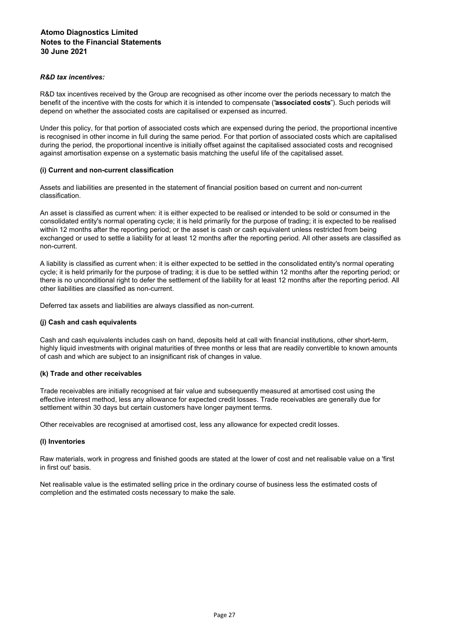# *R&D tax incentives:*

R&D tax incentives received by the Group are recognised as other income over the periods necessary to match the benefit of the incentive with the costs for which it is intended to compensate ("**associated costs**"). Such periods will depend on whether the associated costs are capitalised or expensed as incurred.

Under this policy, for that portion of associated costs which are expensed during the period, the proportional incentive is recognised in other income in full during the same period. For that portion of associated costs which are capitalised during the period, the proportional incentive is initially offset against the capitalised associated costs and recognised against amortisation expense on a systematic basis matching the useful life of the capitalised asset.

# **(i) Current and non-current classification**

Assets and liabilities are presented in the statement of financial position based on current and non-current classification.

An asset is classified as current when: it is either expected to be realised or intended to be sold or consumed in the consolidated entity's normal operating cycle; it is held primarily for the purpose of trading; it is expected to be realised within 12 months after the reporting period; or the asset is cash or cash equivalent unless restricted from being exchanged or used to settle a liability for at least 12 months after the reporting period. All other assets are classified as non-current.

A liability is classified as current when: it is either expected to be settled in the consolidated entity's normal operating cycle; it is held primarily for the purpose of trading; it is due to be settled within 12 months after the reporting period; or there is no unconditional right to defer the settlement of the liability for at least 12 months after the reporting period. All other liabilities are classified as non-current.

Deferred tax assets and liabilities are always classified as non-current.

## **(j) Cash and cash equivalents**

Cash and cash equivalents includes cash on hand, deposits held at call with financial institutions, other short-term, highly liquid investments with original maturities of three months or less that are readily convertible to known amounts of cash and which are subject to an insignificant risk of changes in value.

## **(k) Trade and other receivables**

Trade receivables are initially recognised at fair value and subsequently measured at amortised cost using the effective interest method, less any allowance for expected credit losses. Trade receivables are generally due for settlement within 30 days but certain customers have longer payment terms.

Other receivables are recognised at amortised cost, less any allowance for expected credit losses.

## **(l) Inventories**

Raw materials, work in progress and finished goods are stated at the lower of cost and net realisable value on a 'first in first out' basis.

Net realisable value is the estimated selling price in the ordinary course of business less the estimated costs of completion and the estimated costs necessary to make the sale.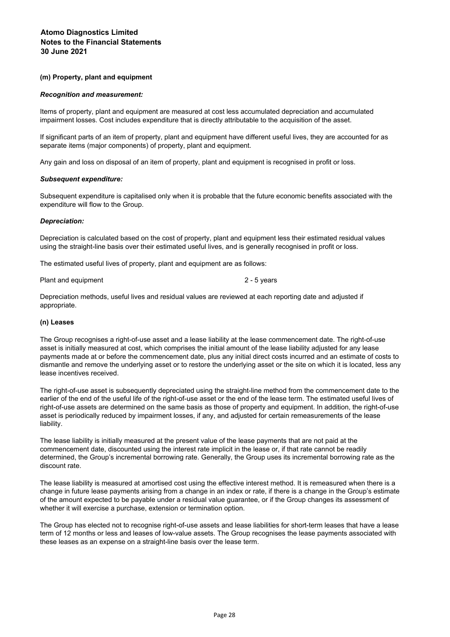## **(m) Property, plant and equipment**

## *Recognition and measurement:*

Items of property, plant and equipment are measured at cost less accumulated depreciation and accumulated impairment losses. Cost includes expenditure that is directly attributable to the acquisition of the asset.

If significant parts of an item of property, plant and equipment have different useful lives, they are accounted for as separate items (major components) of property, plant and equipment.

Any gain and loss on disposal of an item of property, plant and equipment is recognised in profit or loss.

# *Subsequent expenditure:*

Subsequent expenditure is capitalised only when it is probable that the future economic benefits associated with the expenditure will flow to the Group.

# *Depreciation:*

Depreciation is calculated based on the cost of property, plant and equipment less their estimated residual values using the straight-line basis over their estimated useful lives, and is generally recognised in profit or loss.

The estimated useful lives of property, plant and equipment are as follows:

Plant and equipment

2 - 5 years

Depreciation methods, useful lives and residual values are reviewed at each reporting date and adjusted if appropriate.

# **(n) Leases**

The Group recognises a right-of-use asset and a lease liability at the lease commencement date. The right-of-use asset is initially measured at cost, which comprises the initial amount of the lease liability adjusted for any lease payments made at or before the commencement date, plus any initial direct costs incurred and an estimate of costs to dismantle and remove the underlying asset or to restore the underlying asset or the site on which it is located, less any lease incentives received.

The right-of-use asset is subsequently depreciated using the straight-line method from the commencement date to the earlier of the end of the useful life of the right-of-use asset or the end of the lease term. The estimated useful lives of right-of-use assets are determined on the same basis as those of property and equipment. In addition, the right-of-use asset is periodically reduced by impairment losses, if any, and adjusted for certain remeasurements of the lease liability.

The lease liability is initially measured at the present value of the lease payments that are not paid at the commencement date, discounted using the interest rate implicit in the lease or, if that rate cannot be readily determined, the Group's incremental borrowing rate. Generally, the Group uses its incremental borrowing rate as the discount rate.

The lease liability is measured at amortised cost using the effective interest method. It is remeasured when there is a change in future lease payments arising from a change in an index or rate, if there is a change in the Group's estimate of the amount expected to be payable under a residual value guarantee, or if the Group changes its assessment of whether it will exercise a purchase, extension or termination option.

The Group has elected not to recognise right-of-use assets and lease liabilities for short-term leases that have a lease term of 12 months or less and leases of low-value assets. The Group recognises the lease payments associated with these leases as an expense on a straight-line basis over the lease term.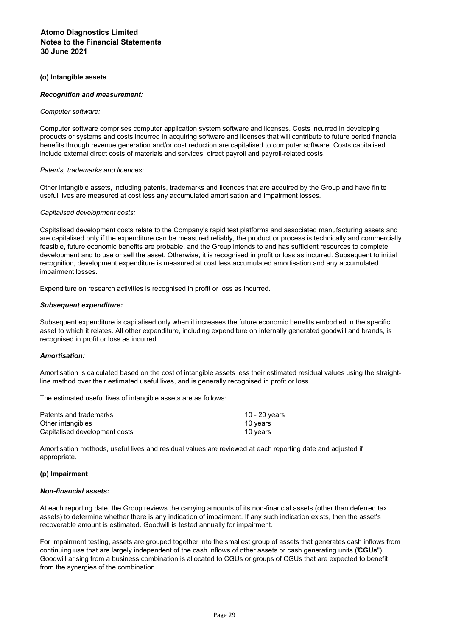# **(o) Intangible assets**

# *Recognition and measurement:*

## *Computer software:*

Computer software comprises computer application system software and licenses. Costs incurred in developing products or systems and costs incurred in acquiring software and licenses that will contribute to future period financial benefits through revenue generation and/or cost reduction are capitalised to computer software. Costs capitalised include external direct costs of materials and services, direct payroll and payroll-related costs.

# *Patents, trademarks and licences:*

Other intangible assets, including patents, trademarks and licences that are acquired by the Group and have finite useful lives are measured at cost less any accumulated amortisation and impairment losses.

## *Capitalised development costs:*

Capitalised development costs relate to the Company's rapid test platforms and associated manufacturing assets and are capitalised only if the expenditure can be measured reliably, the product or process is technically and commercially feasible, future economic benefits are probable, and the Group intends to and has sufficient resources to complete development and to use or sell the asset. Otherwise, it is recognised in profit or loss as incurred. Subsequent to initial recognition, development expenditure is measured at cost less accumulated amortisation and any accumulated impairment losses.

Expenditure on research activities is recognised in profit or loss as incurred.

## *Subsequent expenditure:*

Subsequent expenditure is capitalised only when it increases the future economic benefits embodied in the specific asset to which it relates. All other expenditure, including expenditure on internally generated goodwill and brands, is recognised in profit or loss as incurred.

## *Amortisation:*

Amortisation is calculated based on the cost of intangible assets less their estimated residual values using the straightline method over their estimated useful lives, and is generally recognised in profit or loss.

The estimated useful lives of intangible assets are as follows:

| Patents and trademarks        | 10 - 20 years |
|-------------------------------|---------------|
| Other intangibles             | 10 years      |
| Capitalised development costs | 10 vears      |

Amortisation methods, useful lives and residual values are reviewed at each reporting date and adjusted if appropriate.

## **(p) Impairment**

## *Non-financial assets:*

At each reporting date, the Group reviews the carrying amounts of its non-financial assets (other than deferred tax assets) to determine whether there is any indication of impairment. If any such indication exists, then the asset's recoverable amount is estimated. Goodwill is tested annually for impairment.

For impairment testing, assets are grouped together into the smallest group of assets that generates cash inflows from continuing use that are largely independent of the cash inflows of other assets or cash generating units ("**CGUs**"). Goodwill arising from a business combination is allocated to CGUs or groups of CGUs that are expected to benefit from the synergies of the combination.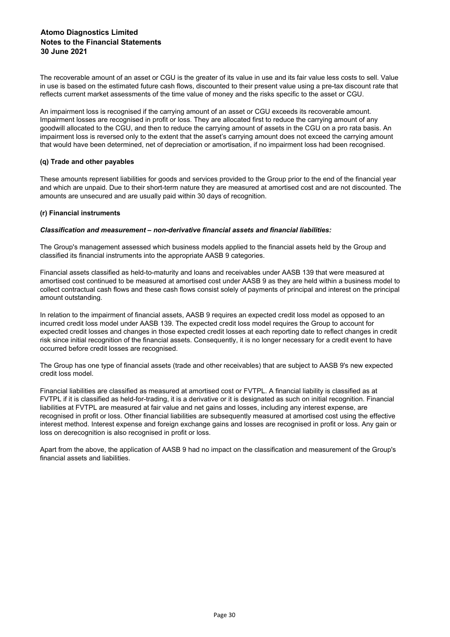The recoverable amount of an asset or CGU is the greater of its value in use and its fair value less costs to sell. Value in use is based on the estimated future cash flows, discounted to their present value using a pre-tax discount rate that reflects current market assessments of the time value of money and the risks specific to the asset or CGU.

An impairment loss is recognised if the carrying amount of an asset or CGU exceeds its recoverable amount. Impairment losses are recognised in profit or loss. They are allocated first to reduce the carrying amount of any goodwill allocated to the CGU, and then to reduce the carrying amount of assets in the CGU on a pro rata basis. An impairment loss is reversed only to the extent that the asset's carrying amount does not exceed the carrying amount that would have been determined, net of depreciation or amortisation, if no impairment loss had been recognised.

# **(q) Trade and other payables**

These amounts represent liabilities for goods and services provided to the Group prior to the end of the financial year and which are unpaid. Due to their short-term nature they are measured at amortised cost and are not discounted. The amounts are unsecured and are usually paid within 30 days of recognition.

# **(r) Financial instruments**

# *Classification and measurement – non-derivative financial assets and financial liabilities:*

The Group's management assessed which business models applied to the financial assets held by the Group and classified its financial instruments into the appropriate AASB 9 categories.

Financial assets classified as held-to-maturity and loans and receivables under AASB 139 that were measured at amortised cost continued to be measured at amortised cost under AASB 9 as they are held within a business model to collect contractual cash flows and these cash flows consist solely of payments of principal and interest on the principal amount outstanding.

In relation to the impairment of financial assets, AASB 9 requires an expected credit loss model as opposed to an incurred credit loss model under AASB 139. The expected credit loss model requires the Group to account for expected credit losses and changes in those expected credit losses at each reporting date to reflect changes in credit risk since initial recognition of the financial assets. Consequently, it is no longer necessary for a credit event to have occurred before credit losses are recognised.

The Group has one type of financial assets (trade and other receivables) that are subject to AASB 9's new expected credit loss model.

Financial liabilities are classified as measured at amortised cost or FVTPL. A financial liability is classified as at FVTPL if it is classified as held-for-trading, it is a derivative or it is designated as such on initial recognition. Financial liabilities at FVTPL are measured at fair value and net gains and losses, including any interest expense, are recognised in profit or loss. Other financial liabilities are subsequently measured at amortised cost using the effective interest method. Interest expense and foreign exchange gains and losses are recognised in profit or loss. Any gain or loss on derecognition is also recognised in profit or loss.

Apart from the above, the application of AASB 9 had no impact on the classification and measurement of the Group's financial assets and liabilities.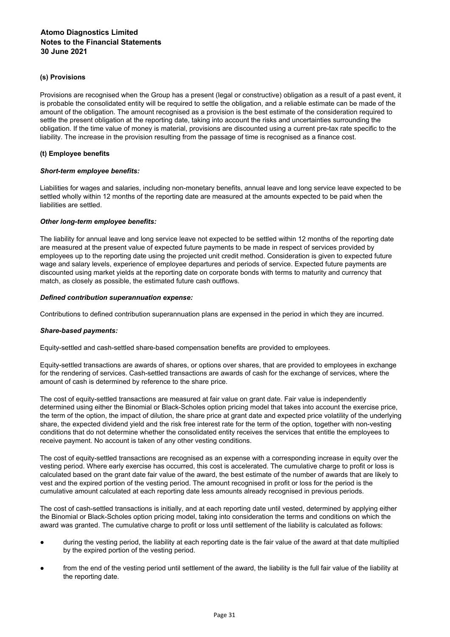# **(s) Provisions**

Provisions are recognised when the Group has a present (legal or constructive) obligation as a result of a past event, it is probable the consolidated entity will be required to settle the obligation, and a reliable estimate can be made of the amount of the obligation. The amount recognised as a provision is the best estimate of the consideration required to settle the present obligation at the reporting date, taking into account the risks and uncertainties surrounding the obligation. If the time value of money is material, provisions are discounted using a current pre-tax rate specific to the liability. The increase in the provision resulting from the passage of time is recognised as a finance cost.

# **(t) Employee benefits**

## *Short-term employee benefits:*

Liabilities for wages and salaries, including non-monetary benefits, annual leave and long service leave expected to be settled wholly within 12 months of the reporting date are measured at the amounts expected to be paid when the liabilities are settled.

# *Other long-term employee benefits:*

The liability for annual leave and long service leave not expected to be settled within 12 months of the reporting date are measured at the present value of expected future payments to be made in respect of services provided by employees up to the reporting date using the projected unit credit method. Consideration is given to expected future wage and salary levels, experience of employee departures and periods of service. Expected future payments are discounted using market yields at the reporting date on corporate bonds with terms to maturity and currency that match, as closely as possible, the estimated future cash outflows.

# *Defined contribution superannuation expense:*

Contributions to defined contribution superannuation plans are expensed in the period in which they are incurred.

## *Share-based payments:*

Equity-settled and cash-settled share-based compensation benefits are provided to employees.

Equity-settled transactions are awards of shares, or options over shares, that are provided to employees in exchange for the rendering of services. Cash-settled transactions are awards of cash for the exchange of services, where the amount of cash is determined by reference to the share price.

The cost of equity-settled transactions are measured at fair value on grant date. Fair value is independently determined using either the Binomial or Black-Scholes option pricing model that takes into account the exercise price, the term of the option, the impact of dilution, the share price at grant date and expected price volatility of the underlying share, the expected dividend yield and the risk free interest rate for the term of the option, together with non-vesting conditions that do not determine whether the consolidated entity receives the services that entitle the employees to receive payment. No account is taken of any other vesting conditions.

The cost of equity-settled transactions are recognised as an expense with a corresponding increase in equity over the vesting period. Where early exercise has occurred, this cost is accelerated. The cumulative charge to profit or loss is calculated based on the grant date fair value of the award, the best estimate of the number of awards that are likely to vest and the expired portion of the vesting period. The amount recognised in profit or loss for the period is the cumulative amount calculated at each reporting date less amounts already recognised in previous periods.

The cost of cash-settled transactions is initially, and at each reporting date until vested, determined by applying either the Binomial or Black-Scholes option pricing model, taking into consideration the terms and conditions on which the award was granted. The cumulative charge to profit or loss until settlement of the liability is calculated as follows:

- during the vesting period, the liability at each reporting date is the fair value of the award at that date multiplied by the expired portion of the vesting period.
- from the end of the vesting period until settlement of the award, the liability is the full fair value of the liability at the reporting date.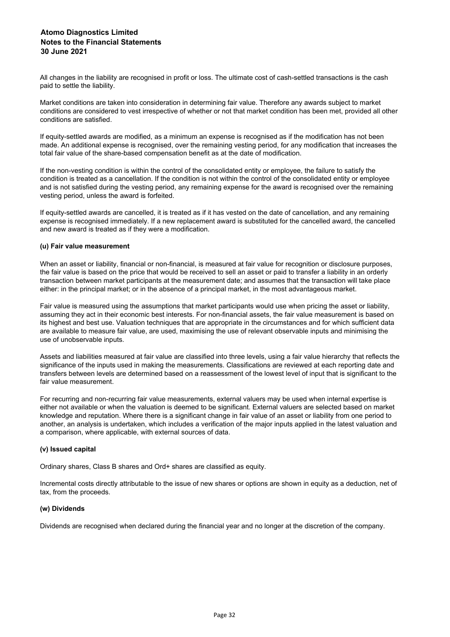All changes in the liability are recognised in profit or loss. The ultimate cost of cash-settled transactions is the cash paid to settle the liability.

Market conditions are taken into consideration in determining fair value. Therefore any awards subject to market conditions are considered to vest irrespective of whether or not that market condition has been met, provided all other conditions are satisfied.

If equity-settled awards are modified, as a minimum an expense is recognised as if the modification has not been made. An additional expense is recognised, over the remaining vesting period, for any modification that increases the total fair value of the share-based compensation benefit as at the date of modification.

If the non-vesting condition is within the control of the consolidated entity or employee, the failure to satisfy the condition is treated as a cancellation. If the condition is not within the control of the consolidated entity or employee and is not satisfied during the vesting period, any remaining expense for the award is recognised over the remaining vesting period, unless the award is forfeited.

If equity-settled awards are cancelled, it is treated as if it has vested on the date of cancellation, and any remaining expense is recognised immediately. If a new replacement award is substituted for the cancelled award, the cancelled and new award is treated as if they were a modification.

# **(u) Fair value measurement**

When an asset or liability, financial or non-financial, is measured at fair value for recognition or disclosure purposes, the fair value is based on the price that would be received to sell an asset or paid to transfer a liability in an orderly transaction between market participants at the measurement date; and assumes that the transaction will take place either: in the principal market; or in the absence of a principal market, in the most advantageous market.

Fair value is measured using the assumptions that market participants would use when pricing the asset or liability, assuming they act in their economic best interests. For non-financial assets, the fair value measurement is based on its highest and best use. Valuation techniques that are appropriate in the circumstances and for which sufficient data are available to measure fair value, are used, maximising the use of relevant observable inputs and minimising the use of unobservable inputs.

Assets and liabilities measured at fair value are classified into three levels, using a fair value hierarchy that reflects the significance of the inputs used in making the measurements. Classifications are reviewed at each reporting date and transfers between levels are determined based on a reassessment of the lowest level of input that is significant to the fair value measurement.

For recurring and non-recurring fair value measurements, external valuers may be used when internal expertise is either not available or when the valuation is deemed to be significant. External valuers are selected based on market knowledge and reputation. Where there is a significant change in fair value of an asset or liability from one period to another, an analysis is undertaken, which includes a verification of the major inputs applied in the latest valuation and a comparison, where applicable, with external sources of data.

# **(v) Issued capital**

Ordinary shares, Class B shares and Ord+ shares are classified as equity.

Incremental costs directly attributable to the issue of new shares or options are shown in equity as a deduction, net of tax, from the proceeds.

## **(w) Dividends**

Dividends are recognised when declared during the financial year and no longer at the discretion of the company.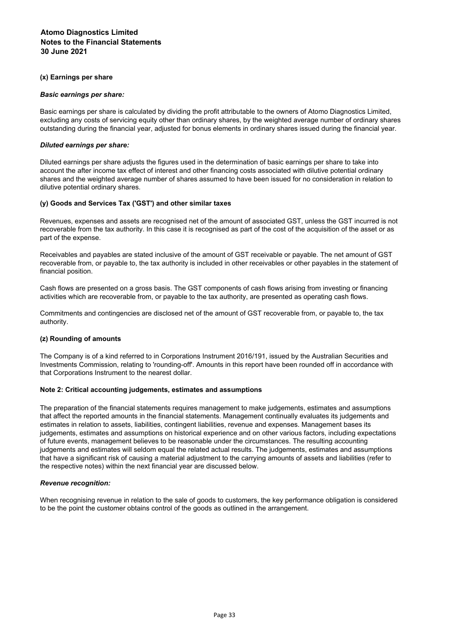# **(x) Earnings per share**

# *Basic earnings per share:*

Basic earnings per share is calculated by dividing the profit attributable to the owners of Atomo Diagnostics Limited, excluding any costs of servicing equity other than ordinary shares, by the weighted average number of ordinary shares outstanding during the financial year, adjusted for bonus elements in ordinary shares issued during the financial year.

# *Diluted earnings per share:*

Diluted earnings per share adjusts the figures used in the determination of basic earnings per share to take into account the after income tax effect of interest and other financing costs associated with dilutive potential ordinary shares and the weighted average number of shares assumed to have been issued for no consideration in relation to dilutive potential ordinary shares.

# **(y) Goods and Services Tax ('GST') and other similar taxes**

Revenues, expenses and assets are recognised net of the amount of associated GST, unless the GST incurred is not recoverable from the tax authority. In this case it is recognised as part of the cost of the acquisition of the asset or as part of the expense.

Receivables and payables are stated inclusive of the amount of GST receivable or payable. The net amount of GST recoverable from, or payable to, the tax authority is included in other receivables or other payables in the statement of financial position.

Cash flows are presented on a gross basis. The GST components of cash flows arising from investing or financing activities which are recoverable from, or payable to the tax authority, are presented as operating cash flows.

Commitments and contingencies are disclosed net of the amount of GST recoverable from, or payable to, the tax authority.

## **(z) Rounding of amounts**

The Company is of a kind referred to in Corporations Instrument 2016/191, issued by the Australian Securities and Investments Commission, relating to 'rounding-off'. Amounts in this report have been rounded off in accordance with that Corporations Instrument to the nearest dollar.

## **Note 2: Critical accounting judgements, estimates and assumptions**

The preparation of the financial statements requires management to make judgements, estimates and assumptions that affect the reported amounts in the financial statements. Management continually evaluates its judgements and estimates in relation to assets, liabilities, contingent liabilities, revenue and expenses. Management bases its judgements, estimates and assumptions on historical experience and on other various factors, including expectations of future events, management believes to be reasonable under the circumstances. The resulting accounting judgements and estimates will seldom equal the related actual results. The judgements, estimates and assumptions that have a significant risk of causing a material adjustment to the carrying amounts of assets and liabilities (refer to the respective notes) within the next financial year are discussed below.

## *Revenue recognition:*

When recognising revenue in relation to the sale of goods to customers, the key performance obligation is considered to be the point the customer obtains control of the goods as outlined in the arrangement.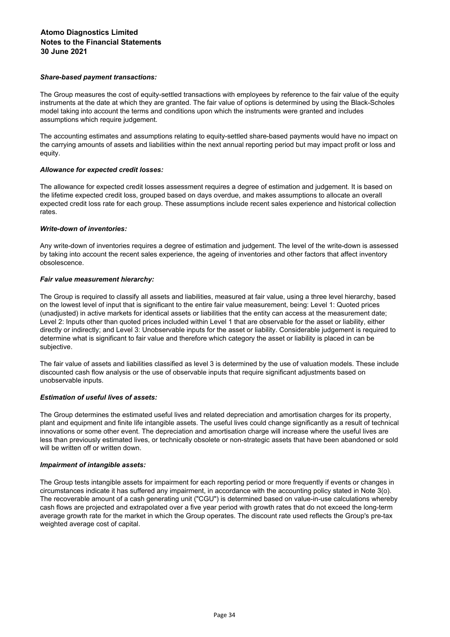# *Share-based payment transactions:*

The Group measures the cost of equity-settled transactions with employees by reference to the fair value of the equity instruments at the date at which they are granted. The fair value of options is determined by using the Black-Scholes model taking into account the terms and conditions upon which the instruments were granted and includes assumptions which require judgement.

The accounting estimates and assumptions relating to equity-settled share-based payments would have no impact on the carrying amounts of assets and liabilities within the next annual reporting period but may impact profit or loss and equity.

# *Allowance for expected credit losses:*

The allowance for expected credit losses assessment requires a degree of estimation and judgement. It is based on the lifetime expected credit loss, grouped based on days overdue, and makes assumptions to allocate an overall expected credit loss rate for each group. These assumptions include recent sales experience and historical collection rates.

# *Write-down of inventories:*

Any write-down of inventories requires a degree of estimation and judgement. The level of the write-down is assessed by taking into account the recent sales experience, the ageing of inventories and other factors that affect inventory obsolescence.

# *Fair value measurement hierarchy:*

The Group is required to classify all assets and liabilities, measured at fair value, using a three level hierarchy, based on the lowest level of input that is significant to the entire fair value measurement, being: Level 1: Quoted prices (unadjusted) in active markets for identical assets or liabilities that the entity can access at the measurement date; Level 2: Inputs other than quoted prices included within Level 1 that are observable for the asset or liability, either directly or indirectly; and Level 3: Unobservable inputs for the asset or liability. Considerable judgement is required to determine what is significant to fair value and therefore which category the asset or liability is placed in can be subjective.

The fair value of assets and liabilities classified as level 3 is determined by the use of valuation models. These include discounted cash flow analysis or the use of observable inputs that require significant adjustments based on unobservable inputs.

## *Estimation of useful lives of assets:*

The Group determines the estimated useful lives and related depreciation and amortisation charges for its property, plant and equipment and finite life intangible assets. The useful lives could change significantly as a result of technical innovations or some other event. The depreciation and amortisation charge will increase where the useful lives are less than previously estimated lives, or technically obsolete or non-strategic assets that have been abandoned or sold will be written off or written down.

## *Impairment of intangible assets:*

The Group tests intangible assets for impairment for each reporting period or more frequently if events or changes in circumstances indicate it has suffered any impairment, in accordance with the accounting policy stated in Note 3(o). The recoverable amount of a cash generating unit ("CGU") is determined based on value-in-use calculations whereby cash flows are projected and extrapolated over a five year period with growth rates that do not exceed the long-term average growth rate for the market in which the Group operates. The discount rate used reflects the Group's pre-tax weighted average cost of capital.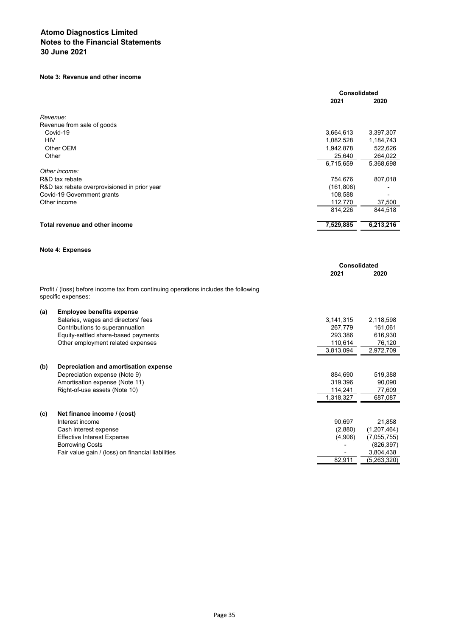# **Note 3: Revenue and other income**

|            |                                                                                                           |                     | <b>Consolidated</b> |  |
|------------|-----------------------------------------------------------------------------------------------------------|---------------------|---------------------|--|
|            |                                                                                                           | 2021                | 2020                |  |
|            | Revenue:                                                                                                  |                     |                     |  |
|            | Revenue from sale of goods                                                                                |                     |                     |  |
|            | Covid-19                                                                                                  | 3,664,613           | 3,397,307           |  |
| <b>HIV</b> |                                                                                                           | 1,082,528           | 1,184,743           |  |
|            | Other OEM                                                                                                 | 1,942,878           | 522,626             |  |
|            | Other                                                                                                     | 25,640              | 264,022             |  |
|            |                                                                                                           | 6,715,659           | 5,368,698           |  |
|            | Other income:                                                                                             |                     |                     |  |
|            | R&D tax rebate                                                                                            | 754,676             | 807,018             |  |
|            | R&D tax rebate overprovisioned in prior year                                                              | (161, 808)          |                     |  |
|            | Covid-19 Government grants                                                                                | 108,588             |                     |  |
|            | Other income                                                                                              | 112,770             | 37,500              |  |
|            |                                                                                                           | 814,226             | 844,518             |  |
|            | Total revenue and other income                                                                            | 7,529,885           | 6,213,216           |  |
|            |                                                                                                           |                     |                     |  |
|            | <b>Note 4: Expenses</b>                                                                                   |                     |                     |  |
|            |                                                                                                           | <b>Consolidated</b> |                     |  |
|            |                                                                                                           | 2021                | 2020                |  |
|            | Profit / (loss) before income tax from continuing operations includes the following<br>specific expenses: |                     |                     |  |
| (a)        | <b>Employee benefits expense</b>                                                                          |                     |                     |  |
|            | Salaries, wages and directors' fees                                                                       | 3,141,315           | 2,118,598           |  |
|            | Contributions to superannuation                                                                           | 267,779             | 161,061             |  |
|            | Equity-settled share-based payments                                                                       | 293,386             | 616,930             |  |
|            | Other employment related expenses                                                                         | 110,614             | 76,120              |  |
|            |                                                                                                           | 3,813,094           | 2,972,709           |  |
| (b)        | Depreciation and amortisation expense                                                                     |                     |                     |  |
|            | Depreciation expense (Note 9)                                                                             | 884,690             | 519,388             |  |
|            | Amortisation expense (Note 11)                                                                            | 319,396             | 90,090              |  |
|            | Right-of-use assets (Note 10)                                                                             | 114,241             | 77,609              |  |
|            |                                                                                                           | 1,318,327           | 687,087             |  |
| (c)        | Net finance income / (cost)                                                                               |                     |                     |  |
|            | Interest income                                                                                           | 90,697              | 21,858              |  |
|            |                                                                                                           | (2,880)             | (1,207,464)         |  |
|            | Cash interest expense                                                                                     |                     |                     |  |
|            | <b>Effective Interest Expense</b>                                                                         | (4,906)             | (7,055,755)         |  |
|            | <b>Borrowing Costs</b>                                                                                    |                     | (826, 397)          |  |
|            | Fair value gain / (loss) on financial liabilities                                                         |                     | 3,804,438           |  |
|            |                                                                                                           | 82,911              | (5,263,320)         |  |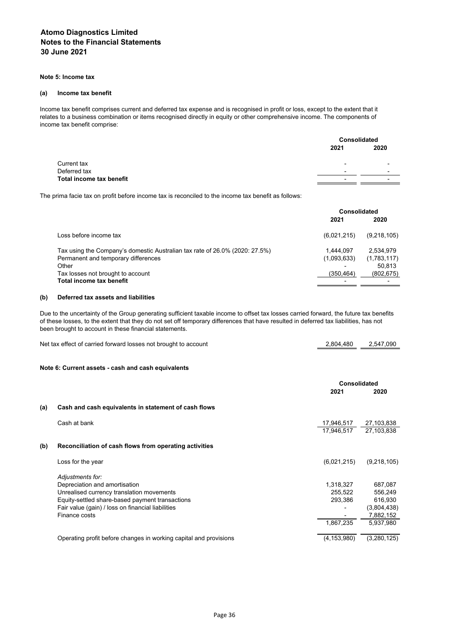### **Note 5: Income tax**

#### **(a) Income tax benefit**

Income tax benefit comprises current and deferred tax expense and is recognised in profit or loss, except to the extent that it relates to a business combination or items recognised directly in equity or other comprehensive income. The components of income tax benefit comprise:

|                          |                          | <b>Consolidated</b>      |  |
|--------------------------|--------------------------|--------------------------|--|
|                          | 2021                     | 2020                     |  |
| Current tax              | $\overline{\phantom{0}}$ | $\overline{\phantom{a}}$ |  |
| Deferred tax             | $\overline{\phantom{0}}$ | $\overline{\phantom{a}}$ |  |
| Total income tax benefit | -                        | $\sim$                   |  |

The prima facie tax on profit before income tax is reconciled to the income tax benefit as follows:

|                                                                             |             | Consolidated |  |
|-----------------------------------------------------------------------------|-------------|--------------|--|
|                                                                             | 2021        | 2020         |  |
| Loss before income tax                                                      | (6,021,215) | (9,218,105)  |  |
| Tax using the Company's domestic Australian tax rate of 26.0% (2020: 27.5%) | 1.444.097   | 2.534.979    |  |
| Permanent and temporary differences                                         | (1,093,633) | (1,783,117)  |  |
| Other                                                                       |             | 50.813       |  |
| Tax losses not brought to account                                           | (350.464)   | (802, 675)   |  |
| Total income tax benefit                                                    | -           |              |  |

### **(b) Deferred tax assets and liabilities**

Due to the uncertainty of the Group generating sufficient taxable income to offset tax losses carried forward, the future tax benefits of these losses, to the extent that they do not set off temporary differences that have resulted in deferred tax liabilities, has not been brought to account in these financial statements.

| Net tax effect of carried forward losses not brought to account | 2,804,480 | 2,547,090 |
|-----------------------------------------------------------------|-----------|-----------|
|                                                                 |           |           |

# **Note 6: Current assets - cash and cash equivalents**

|     |                                                                   | <b>Consolidated</b> |             |
|-----|-------------------------------------------------------------------|---------------------|-------------|
|     |                                                                   | 2021                | 2020        |
| (a) | Cash and cash equivalents in statement of cash flows              |                     |             |
|     | Cash at bank                                                      | 17,946,517          | 27,103,838  |
|     |                                                                   | 17.946.517          | 27.103.838  |
| (b) | Reconciliation of cash flows from operating activities            |                     |             |
|     | Loss for the year                                                 | (6,021,215)         | (9,218,105) |
|     | Adjustments for:                                                  |                     |             |
|     | Depreciation and amortisation                                     | 1,318,327           | 687,087     |
|     | Unrealised currency translation movements                         | 255.522             | 556,249     |
|     | Equity-settled share-based payment transactions                   | 293,386             | 616,930     |
|     | Fair value (gain) / loss on financial liabilities                 |                     | (3,804,438) |
|     | Finance costs                                                     |                     | 7,882,152   |
|     |                                                                   | 1.867.235           | 5.937.980   |
|     | Operating profit before changes in working capital and provisions | (4, 153, 980)       | (3,280,125) |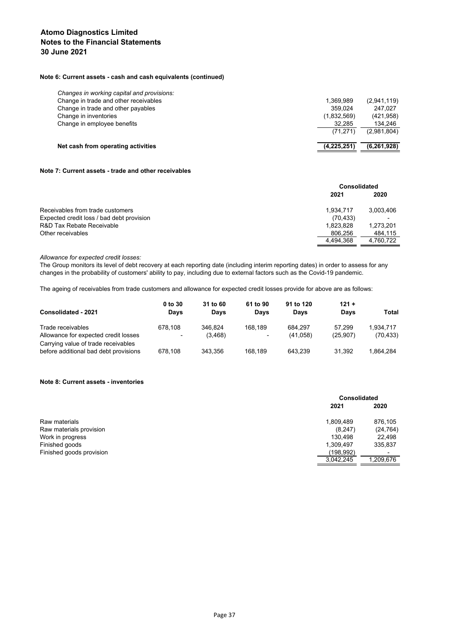## **Note 6: Current assets - cash and cash equivalents (continued)**

| Net cash from operating activities         | (4, 225, 251) | (6, 261, 928) |
|--------------------------------------------|---------------|---------------|
|                                            | (71.271)      | (2,981,804)   |
| Change in employee benefits                | 32.285        | 134,246       |
| Change in inventories                      | (1,832,569)   | (421, 958)    |
| Change in trade and other payables         | 359.024       | 247.027       |
| Change in trade and other receivables      | 1.369.989     | (2,941,119)   |
| Changes in working capital and provisions: |               |               |

# **Note 7: Current assets - trade and other receivables**

|           | Consolidated |  |
|-----------|--------------|--|
| 2021      | 2020         |  |
| 1.934.717 | 3.003.406    |  |
| (70, 433) |              |  |
| 1,823,828 | 1,273,201    |  |
| 806,256   | 484,115      |  |
| 4.494.368 | 4.760.722    |  |
|           |              |  |

*Allowance for expected credit losses:*

The Group monitors its level of debt recovery at each reporting date (including interim reporting dates) in order to assess for any changes in the probability of customers' ability to pay, including due to external factors such as the Covid-19 pandemic.

The ageing of receivables from trade customers and allowance for expected credit losses provide for above are as follows:

| Consolidated - 2021                                                          | $0$ to $30$<br>Days                 | 31 to 60<br>Days    | 61 to 90<br>Davs | 91 to 120<br>Davs   | $121 +$<br>Days     | Total                  |
|------------------------------------------------------------------------------|-------------------------------------|---------------------|------------------|---------------------|---------------------|------------------------|
| Trade receivables<br>Allowance for expected credit losses                    | 678.108<br>$\overline{\phantom{0}}$ | 346.824<br>(3, 468) | 168.189<br>۰     | 684.297<br>(41,058) | 57.299<br>(25, 907) | 1.934.717<br>(70, 433) |
| Carrying value of trade receivables<br>before additional bad debt provisions | 678.108                             | 343.356             | 168.189          | 643.239             | 31.392              | 1.864.284              |

#### **Note 8: Current assets - inventories**

|                          |           | <b>Consolidated</b> |  |
|--------------------------|-----------|---------------------|--|
|                          | 2021      | 2020                |  |
| Raw materials            | 1,809,489 | 876,105             |  |
| Raw materials provision  | (8, 247)  | (24, 764)           |  |
| Work in progress         | 130.498   | 22,498              |  |
| Finished goods           | 1,309,497 | 335,837             |  |
| Finished goods provision | (198,992) | ۰                   |  |
|                          | 3,042,245 | 1,209,676           |  |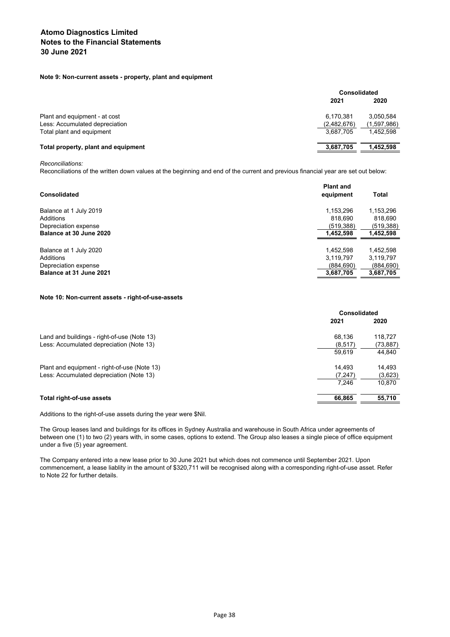## **Note 9: Non-current assets - property, plant and equipment**

|                                     |             | Consolidated |  |
|-------------------------------------|-------------|--------------|--|
|                                     | 2021        | 2020         |  |
| Plant and equipment - at cost       | 6,170,381   | 3.050.584    |  |
| Less: Accumulated depreciation      | (2,482,676) | (1,597,986)  |  |
| Total plant and equipment           | 3,687,705   | 1.452.598    |  |
| Total property, plant and equipment | 3,687,705   | 1.452.598    |  |

*Reconciliations:*

Reconciliations of the written down values at the beginning and end of the current and previous financial year are set out below:

| Consolidated            | <b>Plant and</b><br>equipment | Total      |
|-------------------------|-------------------------------|------------|
| Balance at 1 July 2019  | 1,153,296                     | 1,153,296  |
| Additions               | 818.690                       | 818,690    |
| Depreciation expense    | (519,388)                     | (519, 388) |
| Balance at 30 June 2020 | 1,452,598                     | 1,452,598  |
| Balance at 1 July 2020  | 1,452,598                     | 1,452,598  |
| Additions               | 3,119,797                     | 3,119,797  |
| Depreciation expense    | (884.690)                     | (884, 690) |
| Balance at 31 June 2021 | 3,687,705                     | 3,687,705  |
|                         |                               |            |

#### **Note 10: Non-current assets - right-of-use-assets**

|                                              | <b>Consolidated</b> |          |
|----------------------------------------------|---------------------|----------|
|                                              | 2021                | 2020     |
| Land and buildings - right-of-use (Note 13)  | 68,136              | 118,727  |
| Less: Accumulated depreciation (Note 13)     | (8, 517)            | (73,887) |
|                                              | 59.619              | 44,840   |
| Plant and equipment - right-of-use (Note 13) | 14.493              | 14,493   |
| Less: Accumulated depreciation (Note 13)     | (7, 247)            | (3,623)  |
|                                              | 7.246               | 10,870   |
| Total right-of-use assets                    | 66,865              | 55,710   |

Additions to the right-of-use assets during the year were \$Nil.

The Group leases land and buildings for its offices in Sydney Australia and warehouse in South Africa under agreements of between one (1) to two (2) years with, in some cases, options to extend. The Group also leases a single piece of office equipment under a five (5) year agreement.

The Company entered into a new lease prior to 30 June 2021 but which does not commence until September 2021. Upon commencement, a lease liablity in the amount of \$320,711 will be recognised along with a corresponding right-of-use asset. Refer to Note 22 for further details.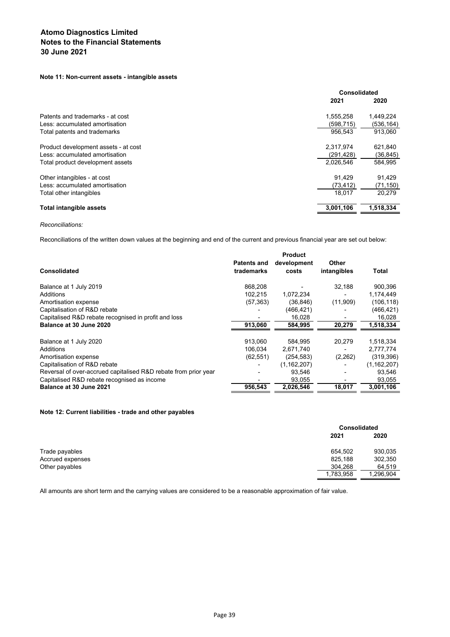# **Note 11: Non-current assets - intangible assets**

|                                      | Consolidated |            |
|--------------------------------------|--------------|------------|
|                                      | 2021         | 2020       |
| Patents and trademarks - at cost     | 1,555,258    | 1,449,224  |
| Less: accumulated amortisation       | (598, 715)   | (536, 164) |
| Total patents and trademarks         | 956.543      | 913.060    |
| Product development assets - at cost | 2.317.974    | 621,840    |
| Less: accumulated amortisation       | (291, 428)   | (36, 845)  |
| Total product development assets     | 2,026,546    | 584,995    |
| Other intangibles - at cost          | 91.429       | 91,429     |
| Less: accumulated amortisation       | (73, 412)    | (71, 150)  |
| Total other intangibles              | 18.017       | 20.279     |
| <b>Total intangible assets</b>       | 3,001,106    | 1,518,334  |
|                                      |              |            |

#### *Reconciliations:*

Reconciliations of the written down values at the beginning and end of the current and previous financial year are set out below:

|                                                                 |                    | <b>Product</b> |             |               |
|-----------------------------------------------------------------|--------------------|----------------|-------------|---------------|
|                                                                 | <b>Patents and</b> | development    | Other       |               |
| <b>Consolidated</b>                                             | trademarks         | costs          | intangibles | Total         |
| Balance at 1 July 2019                                          | 868.208            |                | 32.188      | 900,396       |
| Additions                                                       | 102.215            | 1,072,234      |             | 1,174,449     |
| Amortisation expense                                            | (57, 363)          | (36, 846)      | (11,909)    | (106, 118)    |
| Capitalisation of R&D rebate                                    |                    | (466, 421)     |             | (466, 421)    |
| Capitalised R&D rebate recognised in profit and loss            |                    | 16,028         |             | 16,028        |
| Balance at 30 June 2020                                         | 913,060            | 584,995        | 20,279      | 1,518,334     |
| Balance at 1 July 2020                                          | 913.060            | 584.995        | 20.279      | 1,518,334     |
| Additions                                                       | 106.034            | 2,671,740      |             | 2,777,774     |
| Amortisation expense                                            | (62, 551)          | (254, 583)     | (2,262)     | (319, 396)    |
| Capitalisation of R&D rebate                                    |                    | (1, 162, 207)  |             | (1, 162, 207) |
| Reversal of over-accrued capitalised R&D rebate from prior year |                    | 93,546         |             | 93,546        |
| Capitalised R&D rebate recognised as income                     |                    | 93,055         |             | 93,055        |
| Balance at 30 June 2021                                         | 956.543            | 2,026,546      | 18,017      | 3,001,106     |

## **Note 12: Current liabilities - trade and other payables**

|                  | <b>Consolidated</b> |           |
|------------------|---------------------|-----------|
|                  | 2021                | 2020      |
| Trade payables   | 654.502             | 930,035   |
| Accrued expenses | 825,188             | 302,350   |
| Other payables   | 304,268             | 64,519    |
|                  | 1,783,958           | 1,296,904 |

All amounts are short term and the carrying values are considered to be a reasonable approximation of fair value.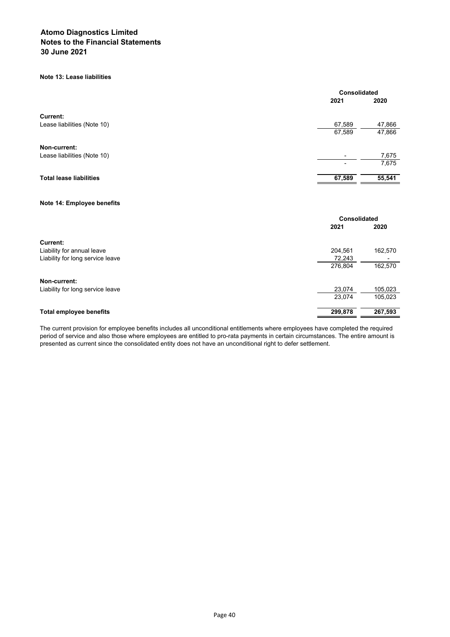## **Note 13: Lease liabilities**

|                                  | Consolidated |         |
|----------------------------------|--------------|---------|
|                                  | 2021         | 2020    |
| Current:                         |              |         |
| Lease liabilities (Note 10)      | 67,589       | 47,866  |
|                                  | 67,589       | 47,866  |
| Non-current:                     |              |         |
| Lease liabilities (Note 10)      | ۰            | 7,675   |
|                                  |              | 7,675   |
| <b>Total lease liabilities</b>   | 67,589       | 55,541  |
|                                  |              |         |
| Note 14: Employee benefits       |              |         |
|                                  | Consolidated |         |
|                                  | 2021         | 2020    |
| <b>Current:</b>                  |              |         |
| Liability for annual leave       | 204,561      | 162,570 |
| Liability for long service leave | 72,243       |         |
|                                  | 276,804      | 162,570 |
| Non-current:                     |              |         |
| Liability for long service leave | 23,074       | 105,023 |
|                                  | 23,074       | 105,023 |
| <b>Total employee benefits</b>   | 299,878      | 267,593 |

The current provision for employee benefits includes all unconditional entitlements where employees have completed the required period of service and also those where employees are entitled to pro-rata payments in certain circumstances. The entire amount is presented as current since the consolidated entity does not have an unconditional right to defer settlement.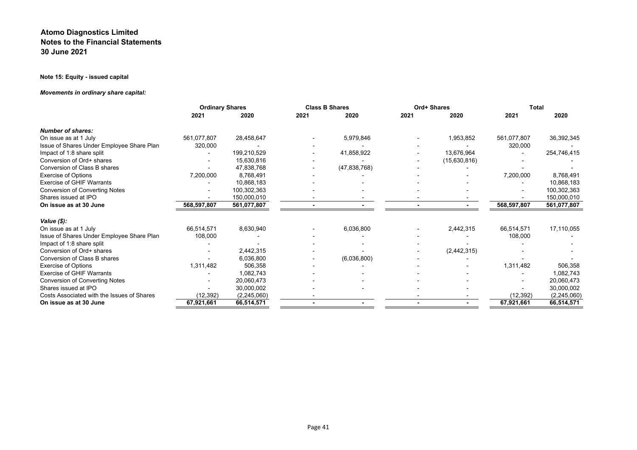# **Note 15: Equity - issued capital**

# *Movements in ordinary share capital:*

|                                            | <b>Ordinary Shares</b> |             |      | <b>Class B Shares</b> |                | Ord+ Shares   |             | <b>Total</b>  |
|--------------------------------------------|------------------------|-------------|------|-----------------------|----------------|---------------|-------------|---------------|
|                                            | 2021                   | 2020        | 2021 | 2020                  | 2021           | 2020          | 2021        | 2020          |
| <b>Number of shares:</b>                   |                        |             |      |                       |                |               |             |               |
| On issue as at 1 July                      | 561,077,807            | 28,458,647  |      | 5,979,846             |                | 1,953,852     | 561,077,807 | 36,392,345    |
| Issue of Shares Under Employee Share Plan  | 320,000                |             |      |                       |                |               | 320,000     |               |
| Impact of 1:8 share split                  |                        | 199,210,529 |      | 41,858,922            |                | 13,676,964    |             | 254,746,415   |
| Conversion of Ord+ shares                  |                        | 15,630,816  |      |                       |                | (15,630,816)  |             |               |
| Conversion of Class B shares               |                        | 47,838,768  |      | (47, 838, 768)        |                |               |             |               |
| <b>Exercise of Options</b>                 | 7,200,000              | 8,768,491   |      |                       |                |               | 7,200,000   | 8,768,491     |
| <b>Exercise of GHIF Warrants</b>           |                        | 10,868,183  |      |                       |                |               |             | 10,868,183    |
| <b>Conversion of Converting Notes</b>      |                        | 100,302,363 |      |                       |                |               |             | 100,302,363   |
| Shares issued at IPO                       |                        | 150,000,010 |      |                       |                |               |             | 150,000,010   |
| On issue as at 30 June                     | 568,597,807            | 561,077,807 |      |                       | $\blacksquare$ |               | 568,597,807 | 561,077,807   |
| Value $(\$)$ :                             |                        |             |      |                       |                |               |             |               |
| On issue as at 1 July                      | 66,514,571             | 8,630,940   |      | 6,036,800             |                | 2,442,315     | 66,514,571  | 17,110,055    |
| Issue of Shares Under Employee Share Plan  | 108,000                |             |      |                       |                |               | 108,000     |               |
| Impact of 1:8 share split                  |                        |             |      |                       |                |               |             |               |
| Conversion of Ord+ shares                  |                        | 2,442,315   |      |                       |                | (2, 442, 315) |             |               |
| Conversion of Class B shares               |                        | 6,036,800   |      | (6,036,800)           |                |               |             |               |
| <b>Exercise of Options</b>                 | 1,311,482              | 506,358     |      |                       |                |               | 1,311,482   | 506,358       |
| <b>Exercise of GHIF Warrants</b>           |                        | 1,082,743   |      |                       |                |               |             | 1,082,743     |
| <b>Conversion of Converting Notes</b>      |                        | 20,060,473  |      |                       |                |               |             | 20,060,473    |
| Shares issued at IPO                       |                        | 30,000,002  |      |                       |                |               |             | 30,000,002    |
| Costs Associated with the Issues of Shares | (12, 392)              | (2,245,060) |      |                       |                |               | (12,392)    | (2, 245, 060) |
| On issue as at 30 June                     | 67,921,661             | 66,514,571  |      |                       | ٠              |               | 67,921,661  | 66,514,571    |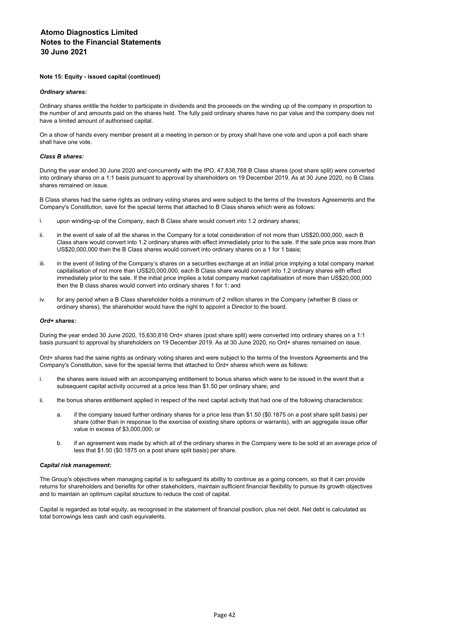#### **Note 15: Equity - issued capital (continued)**

#### *Ordinary shares:*

Ordinary shares entitle the holder to participate in dividends and the proceeds on the winding up of the company in proportion to the number of and amounts paid on the shares held. The fully paid ordinary shares have no par value and the company does not have a limited amount of authorised capital.

On a show of hands every member present at a meeting in person or by proxy shall have one vote and upon a poll each share shall have one vote.

#### *Class B shares:*

During the year ended 30 June 2020 and concurrently with the IPO, 47,838,768 B Class shares (post share split) were converted into ordinary shares on a 1:1 basis pursuant to approval by shareholders on 19 December 2019. As at 30 June 2020, no B Class shares remained on issue.

B Class shares had the same rights as ordinary voting shares and were subject to the terms of the Investors Agreements and the Company's Constitution, save for the special terms that attached to B Class shares which were as follows:

- i. upon winding-up of the Company, each B Class share would convert into 1.2 ordinary shares;
- ii. in the event of sale of all the shares in the Company for a total consideration of not more than US\$20,000,000, each B Class share would convert into 1.2 ordinary shares with effect immediately prior to the sale. If the sale price was more than US\$20,000,000 then the B Class shares would convert into ordinary shares on a 1 for 1 basis;
- iii. in the event of listing of the Company's shares on a securities exchange at an initial price implying a total company market capitalisation of not more than US\$20,000,000, each B Class share would convert into 1.2 ordinary shares with effect immediately prior to the sale. If the initial price implies a total company market capitalisation of more than US\$20,000,000 then the B class shares would convert into ordinary shares 1 for 1; and
- iv. for any period when a B Class shareholder holds a minimum of 2 million shares in the Company (whether B class or ordinary shares), the shareholder would have the right to appoint a Director to the board.

#### *Ord+ shares:*

During the year ended 30 June 2020, 15,630,816 Ord+ shares (post share split) were converted into ordinary shares on a 1:1 basis pursuant to approval by shareholders on 19 December 2019. As at 30 June 2020, no Ord+ shares remained on issue.

Ord+ shares had the same rights as ordinary voting shares and were subject to the terms of the Investors Agreements and the Company's Constitution, save for the special terms that attached to Ord+ shares which were as follows:

- i. the shares were issued with an accompanying entitlement to bonus shares which were to be issued in the event that a subsequent capital activity occurred at a price less than \$1.50 per ordinary share; and
- ii. the bonus shares entitlement applied in respect of the next capital activity that had one of the following characteristics:
	- a. if the company issued further ordinary shares for a price less than \$1.50 (\$0.1875 on a post share split basis) per share (other than in response to the exercise of existing share options or warrants), with an aggregate issue offer value in excess of \$3,000,000; or
	- b. if an agreement was made by which all of the ordinary shares in the Company were to be sold at an average price of less that \$1.50 (\$0.1875 on a post share split basis) per share.

#### *Capital risk management:*

The Group's objectives when managing capital is to safeguard its ability to continue as a going concern, so that it can provide returns for shareholders and benefits for other stakeholders, maintain sufficient financial flexibility to pursue its growth objectives and to maintain an optimum capital structure to reduce the cost of capital.

Capital is regarded as total equity, as recognised in the statement of financial position, plus net debt. Net debt is calculated as total borrowings less cash and cash equivalents.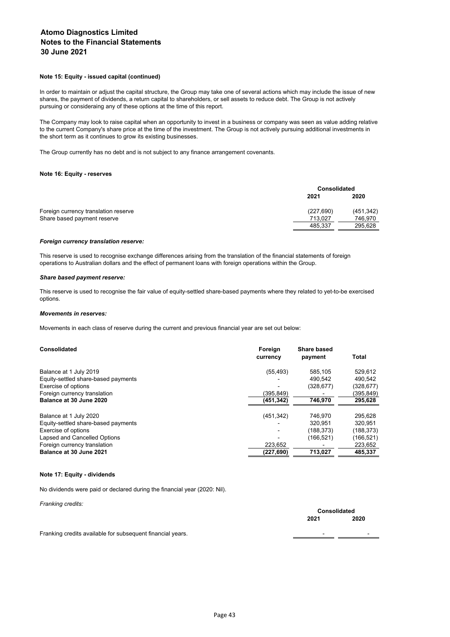#### **Note 15: Equity - issued capital (continued)**

In order to maintain or adjust the capital structure, the Group may take one of several actions which may include the issue of new shares, the payment of dividends, a return capital to shareholders, or sell assets to reduce debt. The Group is not actively pursuing or consideraing any of these options at the time of this report.

The Company may look to raise capital when an opportunity to invest in a business or company was seen as value adding relative to the current Company's share price at the time of the investment. The Group is not actively pursuing additional investments in the short term as it continues to grow its existing businesses.

The Group currently has no debt and is not subject to any finance arrangement covenants.

#### **Note 16: Equity - reserves**

|            | <b>Consolidated</b> |  |
|------------|---------------------|--|
| 2021       | 2020                |  |
| (227, 690) | (451, 342)          |  |
| 713.027    | 746.970             |  |
| 485.337    | 295.628             |  |
|            |                     |  |

#### *Foreign currency translation reserve:*

This reserve is used to recognise exchange differences arising from the translation of the financial statements of foreign operations to Australian dollars and the effect of permanent loans with foreign operations within the Group.

#### *Share based payment reserve:*

This reserve is used to recognise the fair value of equity-settled share-based payments where they related to yet-to-be exercised options.

#### *Movements in reserves:*

Movements in each class of reserve during the current and previous financial year are set out below:

| Consolidated                        | Foreign<br>currency | Share based<br>payment | <b>Total</b> |
|-------------------------------------|---------------------|------------------------|--------------|
| Balance at 1 July 2019              | (55, 493)           | 585.105                | 529,612      |
| Equity-settled share-based payments |                     | 490.542                | 490.542      |
| Exercise of options                 |                     | (328,677)              | (328, 677)   |
| Foreign currency translation        | (395.849)           |                        | (395,849)    |
| Balance at 30 June 2020             | (451,342)           | 746,970                | 295,628      |
| Balance at 1 July 2020              | (451, 342)          | 746.970                | 295.628      |
| Equity-settled share-based payments |                     | 320.951                | 320.951      |
| Exercise of options                 |                     | (188, 373)             | (188, 373)   |
| Lapsed and Cancelled Options        |                     | (166, 521)             | (166, 521)   |
| Foreign currency translation        | 223.652             |                        | 223,652      |
| Balance at 30 June 2021             | (227,690)           | 713,027                | 485,337      |

#### **Note 17: Equity - dividends**

No dividends were paid or declared during the financial year (2020: Nil).

| Franking credits:                                          | <b>Consolidated</b>      |                          |
|------------------------------------------------------------|--------------------------|--------------------------|
|                                                            | 2021                     | 2020                     |
| Franking credits available for subsequent financial years. | $\overline{\phantom{0}}$ | $\overline{\phantom{0}}$ |
|                                                            |                          |                          |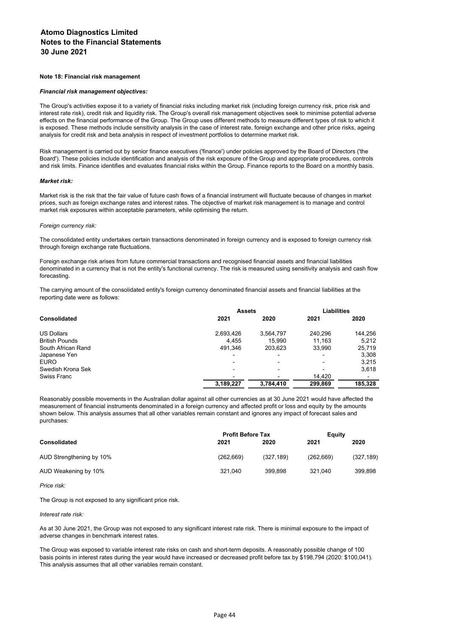#### **Note 18: Financial risk management**

#### *Financial risk management objectives:*

The Group's activities expose it to a variety of financial risks including market risk (including foreign currency risk, price risk and interest rate risk), credit risk and liquidity risk. The Group's overall risk management objectives seek to minimise potential adverse effects on the financial performance of the Group. The Group uses different methods to measure different types of risk to which it is exposed. These methods include sensitivity analysis in the case of interest rate, foreign exchange and other price risks, ageing analysis for credit risk and beta analysis in respect of investment portfolios to determine market risk.

Risk management is carried out by senior finance executives ('finance') under policies approved by the Board of Directors ('the Board'). These policies include identification and analysis of the risk exposure of the Group and appropriate procedures, controls and risk limits. Finance identifies and evaluates financial risks within the Group. Finance reports to the Board on a monthly basis.

#### *Market risk:*

Market risk is the risk that the fair value of future cash flows of a financial instrument will fluctuate because of changes in market prices, such as foreign exchange rates and interest rates. The objective of market risk management is to manage and control market risk exposures within acceptable parameters, while optimising the return.

#### *Foreign currency risk:*

The consolidated entity undertakes certain transactions denominated in foreign currency and is exposed to foreign currency risk through foreign exchange rate fluctuations.

Foreign exchange risk arises from future commercial transactions and recognised financial assets and financial liabilities denominated in a currency that is not the entity's functional currency. The risk is measured using sensitivity analysis and cash flow forecasting.

The carrying amount of the consolidated entity's foreign currency denominated financial assets and financial liabilities at the reporting date were as follows:

|                       | <b>Assets</b> | <b>Liabilities</b> |                          |         |
|-----------------------|---------------|--------------------|--------------------------|---------|
| <b>Consolidated</b>   | 2021          | 2020               | 2021                     | 2020    |
| <b>US Dollars</b>     | 2,693,426     | 3,564,797          | 240.296                  | 144,256 |
| <b>British Pounds</b> | 4.455         | 15.990             | 11.163                   | 5.212   |
| South African Rand    | 491,346       | 203,623            | 33.990                   | 25,719  |
| Japanese Yen          |               |                    | $\overline{\phantom{0}}$ | 3,308   |
| <b>EURO</b>           |               |                    |                          | 3.215   |
| Swedish Krona Sek     |               |                    |                          | 3.618   |
| Swiss Franc           |               |                    | 14.420                   |         |
|                       | 3,189,227     | 3,784,410          | 299,869                  | 185.328 |

Reasonably possible movements in the Australian dollar against all other currencies as at 30 June 2021 would have affected the measurement of financial instruments denominated in a foreign currency and affected profit or loss and equity by the amounts shown below. This analysis assumes that all other variables remain constant and ignores any impact of forecast sales and purchases:

| <b>Profit Before Tax</b> |            |            | Equity     |  |
|--------------------------|------------|------------|------------|--|
| 2021                     | 2020       | 2021       | 2020       |  |
| (262, 669)               | (327, 189) | (262, 669) | (327, 189) |  |
| 321.040                  | 399.898    | 321.040    | 399,898    |  |
|                          |            |            |            |  |

*Price risk:*

The Group is not exposed to any significant price risk.

#### *Interest rate risk:*

As at 30 June 2021, the Group was not exposed to any significant interest rate risk. There is minimal exposure to the impact of adverse changes in benchmark interest rates.

The Group was exposed to variable interest rate risks on cash and short-term deposits. A reasonably possible change of 100 basis points in interest rates during the year would have increased or decreased profit before tax by \$198,794 (2020: \$100,041). This analysis assumes that all other variables remain constant.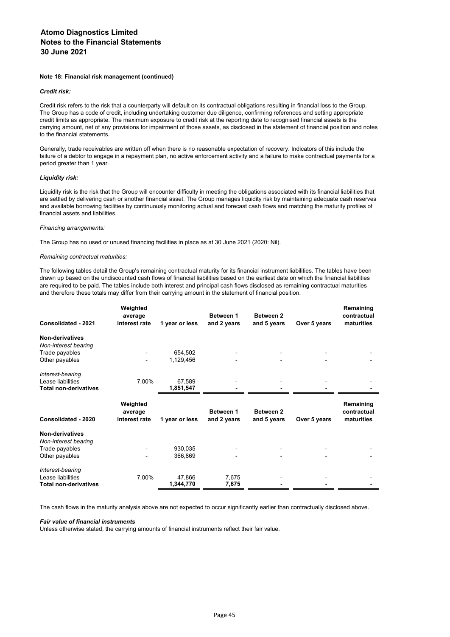#### **Note 18: Financial risk management (continued)**

#### *Credit risk:*

Credit risk refers to the risk that a counterparty will default on its contractual obligations resulting in financial loss to the Group. The Group has a code of credit, including undertaking customer due diligence, confirming references and setting appropriate credit limits as appropriate. The maximum exposure to credit risk at the reporting date to recognised financial assets is the carrying amount, net of any provisions for impairment of those assets, as disclosed in the statement of financial position and notes to the financial statements.

Generally, trade receivables are written off when there is no reasonable expectation of recovery. Indicators of this include the failure of a debtor to engage in a repayment plan, no active enforcement activity and a failure to make contractual payments for a period greater than 1 year.

## *Liquidity risk:*

Liquidity risk is the risk that the Group will encounter difficulty in meeting the obligations associated with its financial liabilities that are settled by delivering cash or another financial asset. The Group manages liquidity risk by maintaining adequate cash reserves and available borrowing facilities by continuously monitoring actual and forecast cash flows and matching the maturity profiles of financial assets and liabilities.

#### *Financing arrangements:*

The Group has no used or unused financing facilities in place as at 30 June 2021 (2020: Nil).

#### *Remaining contractual maturities:*

The following tables detail the Group's remaining contractual maturity for its financial instrument liabilities. The tables have been drawn up based on the undiscounted cash flows of financial liabilities based on the earliest date on which the financial liabilities are required to be paid. The tables include both interest and principal cash flows disclosed as remaining contractual maturities and therefore these totals may differ from their carrying amount in the statement of financial position.

| Consolidated - 2021          | Weighted<br>average<br>interest rate | 1 year or less | Between 1<br>and 2 years | <b>Between 2</b><br>and 5 years | Over 5 years | Remaining<br>contractual<br>maturities |
|------------------------------|--------------------------------------|----------------|--------------------------|---------------------------------|--------------|----------------------------------------|
| Non-derivatives              |                                      |                |                          |                                 |              |                                        |
| Non-interest bearing         |                                      |                |                          |                                 |              |                                        |
| Trade payables               |                                      | 654,502        |                          |                                 |              |                                        |
| Other payables               |                                      | 1,129,456      |                          |                                 |              |                                        |
|                              |                                      |                |                          |                                 |              |                                        |
| Interest-bearing             |                                      |                |                          |                                 |              |                                        |
| Lease liabilities            | 7.00%                                | 67,589         |                          |                                 |              |                                        |
| <b>Total non-derivatives</b> |                                      | 1,851,547      |                          |                                 |              |                                        |
|                              |                                      |                |                          |                                 |              |                                        |
|                              | Weighted                             |                |                          |                                 |              | Remaining                              |
|                              | average                              |                | Between 1                | Between 2                       |              | contractual                            |
| Consolidated - 2020          | interest rate                        | 1 year or less | and 2 years              | and 5 years                     | Over 5 years | maturities                             |
| Non-derivatives              |                                      |                |                          |                                 |              |                                        |
| Non-interest bearing         |                                      |                |                          |                                 |              |                                        |
| Trade payables               |                                      | 930,035        |                          |                                 |              |                                        |
| Other payables               |                                      | 366,869        |                          |                                 |              |                                        |
|                              |                                      |                |                          |                                 |              |                                        |
| Interest-bearing             |                                      |                |                          |                                 |              |                                        |
| Lease liabilities            | 7.00%                                | 47,866         | 7,675                    |                                 |              |                                        |
| Total non-derivatives        |                                      | 1,344,770      | 7,675                    |                                 |              |                                        |
|                              |                                      |                |                          |                                 |              |                                        |

The cash flows in the maturity analysis above are not expected to occur significantly earlier than contractually disclosed above.

#### *Fair value of financial instruments*

Unless otherwise stated, the carrying amounts of financial instruments reflect their fair value.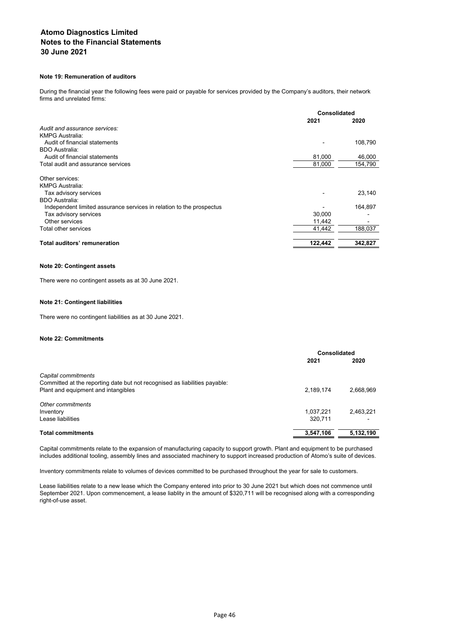## **Note 19: Remuneration of auditors**

During the financial year the following fees were paid or payable for services provided by the Company's auditors, their network firms and unrelated firms:

|                                                                      | Consolidated |         |
|----------------------------------------------------------------------|--------------|---------|
|                                                                      | 2021         | 2020    |
| Audit and assurance services:                                        |              |         |
| <b>KMPG Australia:</b>                                               |              |         |
| Audit of financial statements                                        |              | 108,790 |
| <b>BDO Australia:</b>                                                |              |         |
| Audit of financial statements                                        | 81,000       | 46,000  |
| Total audit and assurance services                                   | 81,000       | 154,790 |
| Other services:<br><b>KMPG Australia:</b>                            |              |         |
| Tax advisory services<br><b>BDO Australia:</b>                       |              | 23,140  |
| Independent limited assurance services in relation to the prospectus |              | 164,897 |
| Tax advisory services                                                | 30.000       |         |
| Other services                                                       | 11,442       |         |
| Total other services                                                 | 41,442       | 188.037 |
| Total auditors' remuneration                                         | 122,442      | 342,827 |

## **Note 20: Contingent assets**

There were no contingent assets as at 30 June 2021.

## **Note 21: Contingent liabilities**

There were no contingent liabilities as at 30 June 2021.

### **Note 22: Commitments**

|                                                                            | Consolidated |           |
|----------------------------------------------------------------------------|--------------|-----------|
|                                                                            | 2021         | 2020      |
| Capital commitments                                                        |              |           |
| Committed at the reporting date but not recognised as liabilities payable: |              |           |
| Plant and equipment and intangibles                                        | 2,189,174    | 2,668,969 |
| Other commitments                                                          |              |           |
| Inventory                                                                  | 1,037,221    | 2,463,221 |
| Lease liabilities                                                          | 320.711      |           |
| <b>Total commitments</b>                                                   | 3,547,106    | 5,132,190 |

Capital commitments relate to the expansion of manufacturing capacity to support growth. Plant and equipment to be purchased includes additional tooling, assembly lines and associated machinery to support increased production of Atomo's suite of devices.

Inventory commitments relate to volumes of devices committed to be purchased throughout the year for sale to customers.

Lease liabilities relate to a new lease which the Company entered into prior to 30 June 2021 but which does not commence until September 2021. Upon commencement, a lease liablity in the amount of \$320,711 will be recognised along with a corresponding right-of-use asset.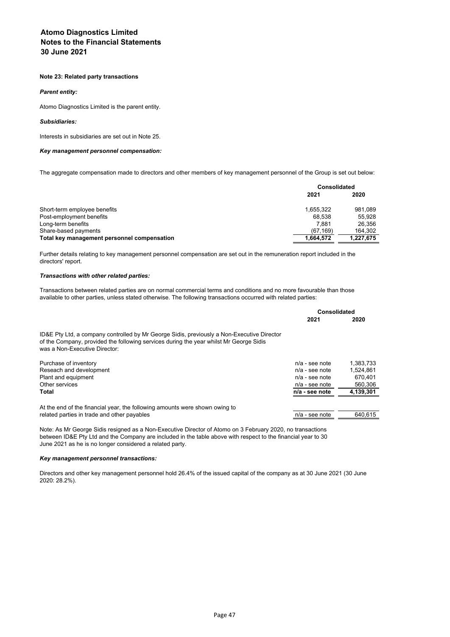#### **Note 23: Related party transactions**

#### *Parent entity:*

Atomo Diagnostics Limited is the parent entity.

#### *Subsidiaries:*

Interests in subsidiaries are set out in Note 25.

#### *Key management personnel compensation:*

The aggregate compensation made to directors and other members of key management personnel of the Group is set out below:

|                                             | Consolidated |           |
|---------------------------------------------|--------------|-----------|
|                                             | 2021         | 2020      |
| Short-term employee benefits                | 1.655.322    | 981.089   |
| Post-employment benefits                    | 68.538       | 55.928    |
| Long-term benefits                          | 7.881        | 26.356    |
| Share-based payments                        | (67.169)     | 164.302   |
| Total key management personnel compensation | 1,664,572    | 1,227,675 |

Further details relating to key management personnel compensation are set out in the remuneration report included in the directors' report.

#### *Transactions with other related parties:*

Transactions between related parties are on normal commercial terms and conditions and no more favourable than those available to other parties, unless stated otherwise. The following transactions occurred with related parties:

|                                                                                                                                                                                                                       | Consolidated     |           |
|-----------------------------------------------------------------------------------------------------------------------------------------------------------------------------------------------------------------------|------------------|-----------|
|                                                                                                                                                                                                                       | 2021             | 2020      |
| ID&E Pty Ltd, a company controlled by Mr George Sidis, previously a Non-Executive Director<br>of the Company, provided the following services during the year whilst Mr George Sidis<br>was a Non-Executive Director: |                  |           |
| Purchase of inventory                                                                                                                                                                                                 | $n/a$ - see note | 1.383.733 |
| Reseach and development                                                                                                                                                                                               | $n/a$ - see note | 1.524.861 |
| Plant and equipment                                                                                                                                                                                                   | $n/a$ - see note | 670.401   |
| Other services                                                                                                                                                                                                        | $n/a$ - see note | 560.306   |
| Total                                                                                                                                                                                                                 | n/a - see note   | 4,139,301 |
| At the end of the financial year, the following amounts were shown owing to                                                                                                                                           |                  |           |
| related parties in trade and other payables                                                                                                                                                                           | $n/a$ - see note | 640.615   |

Note: As Mr George Sidis resigned as a Non-Executive Director of Atomo on 3 February 2020, no transactions between ID&E Pty Ltd and the Company are included in the table above with respect to the financial year to 30 June 2021 as he is no longer considered a related party.

#### *Key management personnel transactions:*

Directors and other key management personnel hold 26.4% of the issued capital of the company as at 30 June 2021 (30 June 2020: 28.2%).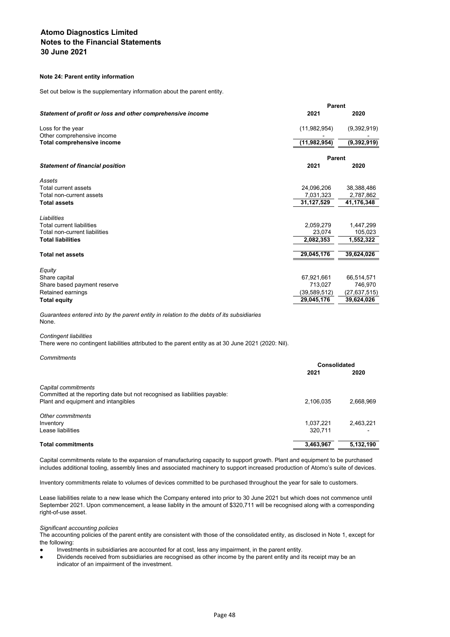## **Note 24: Parent entity information**

Set out below is the supplementary information about the parent entity.

|                                                            | <b>Parent</b>  |                |  |  |
|------------------------------------------------------------|----------------|----------------|--|--|
| Statement of profit or loss and other comprehensive income | 2021           | 2020           |  |  |
| Loss for the year                                          | (11,982,954)   | (9,392,919)    |  |  |
| Other comprehensive income                                 |                |                |  |  |
| Total comprehensive income                                 | (11, 982, 954) | (9,392,919)    |  |  |
|                                                            | <b>Parent</b>  |                |  |  |
| <b>Statement of financial position</b>                     | 2021           | 2020           |  |  |
| Assets                                                     |                |                |  |  |
| Total current assets                                       | 24,096,206     | 38,388,486     |  |  |
| Total non-current assets                                   | 7,031,323      | 2,787,862      |  |  |
| <b>Total assets</b>                                        | 31,127,529     | 41,176,348     |  |  |
| Liabilities                                                |                |                |  |  |
| <b>Total current liabilities</b>                           | 2,059,279      | 1,447,299      |  |  |
| Total non-current liabilities                              | 23.074         | 105,023        |  |  |
| <b>Total liabilities</b>                                   | 2,082,353      | 1,552,322      |  |  |
| <b>Total net assets</b>                                    | 29,045,176     | 39,624,026     |  |  |
| Equity                                                     |                |                |  |  |
| Share capital                                              | 67,921,661     | 66,514,571     |  |  |
| Share based payment reserve                                | 713,027        | 746,970        |  |  |
| Retained earnings                                          | (39, 589, 512) | (27, 637, 515) |  |  |
| <b>Total equity</b>                                        | 29,045,176     | 39,624,026     |  |  |
|                                                            |                |                |  |  |

*Guarantees entered into by the parent entity in relation to the debts of its subsidiaries* None.

#### *Contingent liabilities*

There were no contingent liabilities attributed to the parent entity as at 30 June 2021 (2020: Nil).

*Commitments*

|                                                                            | Consolidated |           |
|----------------------------------------------------------------------------|--------------|-----------|
|                                                                            | 2021         | 2020      |
| Capital commitments                                                        |              |           |
| Committed at the reporting date but not recognised as liabilities payable: |              |           |
| Plant and equipment and intangibles                                        | 2,106,035    | 2.668.969 |
| Other commitments                                                          |              |           |
| Inventory                                                                  | 1.037.221    | 2.463.221 |
| Lease liabilities                                                          | 320.711      |           |
| <b>Total commitments</b>                                                   | 3,463,967    | 5,132,190 |

Capital commitments relate to the expansion of manufacturing capacity to support growth. Plant and equipment to be purchased includes additional tooling, assembly lines and associated machinery to support increased production of Atomo's suite of devices.

Inventory commitments relate to volumes of devices committed to be purchased throughout the year for sale to customers.

Lease liabilities relate to a new lease which the Company entered into prior to 30 June 2021 but which does not commence until September 2021. Upon commencement, a lease liablity in the amount of \$320,711 will be recognised along with a corresponding right-of-use asset.

#### *Significant accounting policies*

The accounting policies of the parent entity are consistent with those of the consolidated entity, as disclosed in Note 1, except for the following:

- Investments in subsidiaries are accounted for at cost, less any impairment, in the parent entity.
- Dividends received from subsidiaries are recognised as other income by the parent entity and its receipt may be an indicator of an impairment of the investment.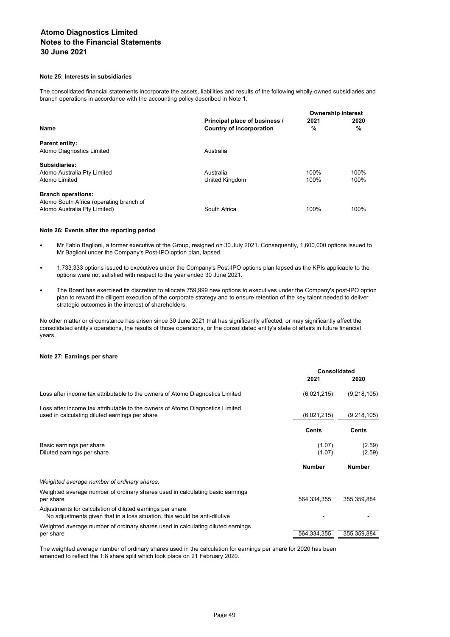## **Note 25: Interests in subsidiaries**

The consolidated financial statements incorporate the assets, liabilities and results of the following wholly-owned subsidiaries and branch operations in accordance with the accounting policy described in Note 1:

|                                         |                               | <b>Ownership interest</b> |      |  |
|-----------------------------------------|-------------------------------|---------------------------|------|--|
|                                         | Principal place of business / | 2021                      | 2020 |  |
| <b>Name</b>                             | Country of incorporation      | %                         | %    |  |
| <b>Parent entity:</b>                   |                               |                           |      |  |
| Atomo Diagnostics Limited               | Australia                     |                           |      |  |
| Subsidiaries:                           |                               |                           |      |  |
| Atomo Australia Pty Limited             | Australia                     | 100%                      | 100% |  |
| Atomo Limited                           | United Kingdom                | 100%                      | 100% |  |
| <b>Branch operations:</b>               |                               |                           |      |  |
| Atomo South Africa (operating branch of |                               |                           |      |  |
| Atomo Australia Pty Limited)            | South Africa                  | 100%                      | 100% |  |

#### **Note 26: Events after the reporting period**

- Mr Fabio Baglioni, a former executive of the Group, resigned on 30 July 2021. Consequently, 1,600,000 options issued to Mr Baglioni under the Company's Post-IPO option plan, lapsed.
- 1,733,333 options issued to executives under the Company's Post-IPO options plan lapsed as the KPIs applicable to the options were not satisfied with respect to the year ended 30 June 2021.
- The Board has exercised its discretion to allocate 759,999 new options to executives under the Company's post-IPO option plan to reward the diligent execution of the corporate strategy and to ensure retention of the key talent needed to deliver strategic outcomes in the interest of shareholders.

No other matter or circumstance has arisen since 30 June 2021 that has significantly affected, or may significantly affect the consolidated entity's operations, the results of those operations, or the consolidated entity's state of affairs in future financial years.

#### **Note 27: Earnings per share**

|                                                                                                                                          | Consolidated     |                  |
|------------------------------------------------------------------------------------------------------------------------------------------|------------------|------------------|
|                                                                                                                                          | 2021             | 2020             |
| Loss after income tax attributable to the owners of Atomo Diagnostics Limited                                                            | (6,021,215)      | (9,218,105)      |
| Loss after income tax attributable to the owners of Atomo Diagnostics Limited<br>used in calculating diluted earnings per share          | (6,021,215)      | (9,218,105)      |
|                                                                                                                                          | Cents            | <b>Cents</b>     |
| Basic earnings per share<br>Diluted earnings per share                                                                                   | (1.07)<br>(1.07) | (2.59)<br>(2.59) |
|                                                                                                                                          | <b>Number</b>    | <b>Number</b>    |
| Weighted average number of ordinary shares:                                                                                              |                  |                  |
| Weighted average number of ordinary shares used in calculating basic earnings<br>per share                                               | 564,334,355      | 355, 359, 884    |
| Adjustments for calculation of diluted earnings per share:<br>No adjustments given that in a loss situation, this would be anti-dilutive |                  |                  |
| Weighted average number of ordinary shares used in calculating diluted earnings<br>per share                                             | 564,334,355      | 355,359,884      |

The weighted average number of ordinary shares used in the calculation for earnings per share for 2020 has been amended to reflect the 1:8 share split which took place on 21 February 2020.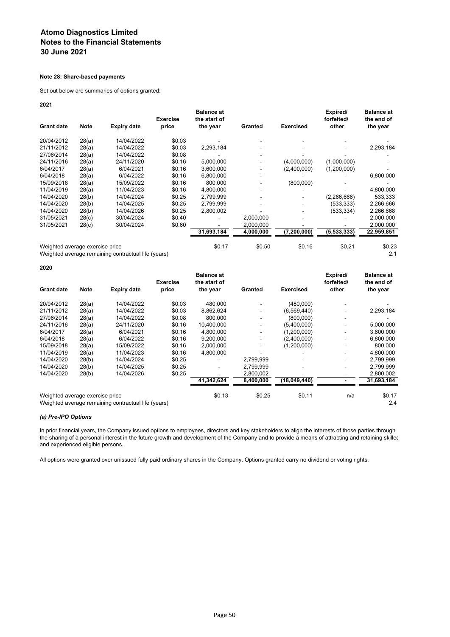## **Note 28: Share-based payments**

Set out below are summaries of options granted:

**2021**

|                                 |             |                                                     | <b>Exercise</b> | <b>Balance at</b><br>the start of |           |                  | Expired/<br>forfeited/ | <b>Balance at</b><br>the end of |
|---------------------------------|-------------|-----------------------------------------------------|-----------------|-----------------------------------|-----------|------------------|------------------------|---------------------------------|
| <b>Grant date</b>               | <b>Note</b> | <b>Expiry date</b>                                  | price           | the year                          | Granted   | <b>Exercised</b> | other                  | the year                        |
| 20/04/2012                      | 28(a)       | 14/04/2022                                          | \$0.03          |                                   |           |                  |                        |                                 |
| 21/11/2012                      | 28(a)       | 14/04/2022                                          | \$0.03          | 2,293,184                         |           |                  |                        | 2,293,184                       |
| 27/06/2014                      | 28(a)       | 14/04/2022                                          | \$0.08          |                                   |           |                  |                        |                                 |
| 24/11/2016                      | 28(a)       | 24/11/2020                                          | \$0.16          | 5,000,000                         |           | (4,000,000)      | (1,000,000)            |                                 |
| 6/04/2017                       | 28(a)       | 6/04/2021                                           | \$0.16          | 3,600,000                         | ۰         | (2,400,000)      | (1,200,000)            |                                 |
| 6/04/2018                       | 28(a)       | 6/04/2022                                           | \$0.16          | 6,800,000                         |           |                  |                        | 6,800,000                       |
| 15/09/2018                      | 28(a)       | 15/09/2022                                          | \$0.16          | 800.000                           |           | (800,000)        |                        |                                 |
| 11/04/2019                      | 28(a)       | 11/04/2023                                          | \$0.16          | 4,800,000                         |           |                  |                        | 4,800,000                       |
| 14/04/2020                      | 28(b)       | 14/04/2024                                          | \$0.25          | 2,799,999                         |           |                  | (2, 266, 666)          | 533,333                         |
| 14/04/2020                      | 28(b)       | 14/04/2025                                          | \$0.25          | 2.799.999                         |           |                  | (533,333)              | 2,266,666                       |
| 14/04/2020                      | 28(b)       | 14/04/2026                                          | \$0.25          | 2,800,002                         |           |                  | (533,334)              | 2,266,668                       |
| 31/05/2021                      | 28(c)       | 30/04/2024                                          | \$0.40          |                                   | 2,000,000 |                  |                        | 2,000,000                       |
| 31/05/2021                      | 28(c)       | 30/04/2024                                          | \$0.60          |                                   | 2,000,000 |                  |                        | 2,000,000                       |
|                                 |             |                                                     |                 | 31,693,184                        | 4,000,000 | (7, 200, 000)    | (5, 533, 333)          | 22,959,851                      |
| Weighted average exercise price |             |                                                     |                 | \$0.17                            | \$0.50    | \$0.16           | \$0.21                 | \$0.23                          |
|                                 |             | Weighted average remaining contractual life (years) |                 |                                   |           |                  |                        | 2.1                             |

**2020**

|                                                                                        |             |                    | <b>Exercise</b> | <b>Balance at</b><br>the start of |                              |                  | Expired/<br>forfeited/ | <b>Balance at</b><br>the end of |
|----------------------------------------------------------------------------------------|-------------|--------------------|-----------------|-----------------------------------|------------------------------|------------------|------------------------|---------------------------------|
| <b>Grant date</b>                                                                      | <b>Note</b> | <b>Expiry date</b> | price           | the year                          | Granted                      | <b>Exercised</b> | other                  | the year                        |
| 20/04/2012                                                                             | 28(a)       | 14/04/2022         | \$0.03          | 480.000                           |                              | (480,000)        |                        |                                 |
| 21/11/2012                                                                             | 28(a)       | 14/04/2022         | \$0.03          | 8,862,624                         |                              | (6,569,440)      |                        | 2,293,184                       |
| 27/06/2014                                                                             | 28(a)       | 14/04/2022         | \$0.08          | 800.000                           |                              | (800,000)        |                        |                                 |
| 24/11/2016                                                                             | 28(a)       | 24/11/2020         | \$0.16          | 10,400,000                        |                              | (5,400,000)      |                        | 5,000,000                       |
| 6/04/2017                                                                              | 28(a)       | 6/04/2021          | \$0.16          | 4,800,000                         | ۰                            | (1,200,000)      |                        | 3,600,000                       |
| 6/04/2018                                                                              | 28(a)       | 6/04/2022          | \$0.16          | 9,200,000                         | $\qquad \qquad \blacksquare$ | (2,400,000)      |                        | 6,800,000                       |
| 15/09/2018                                                                             | 28(a)       | 15/09/2022         | \$0.16          | 2,000,000                         | ۰                            | (1,200,000)      |                        | 800,000                         |
| 11/04/2019                                                                             | 28(a)       | 11/04/2023         | \$0.16          | 4,800,000                         |                              |                  | ۰.                     | 4,800,000                       |
| 14/04/2020                                                                             | 28(b)       | 14/04/2024         | \$0.25          |                                   | 2,799,999                    |                  |                        | 2,799,999                       |
| 14/04/2020                                                                             | 28(b)       | 14/04/2025         | \$0.25          | ۰                                 | 2,799,999                    |                  |                        | 2,799,999                       |
| 14/04/2020                                                                             | 28(b)       | 14/04/2026         | \$0.25          |                                   | 2,800,002                    |                  |                        | 2,800,002                       |
|                                                                                        |             |                    |                 | 41,342,624                        | 8,400,000                    | (18,049,440)     |                        | 31,693,184                      |
| Weighted average exercise price<br>Weighted average remaining contractual life (years) |             |                    |                 | \$0.13                            | \$0.25                       | \$0.11           | n/a                    | \$0.17<br>2.4                   |

# *(a) Pre-IPO Options*

In prior financial years, the Company issued options to employees, directors and key stakeholders to align the interests of those parties through the sharing of a personal interest in the future growth and development of the Company and to provide a means of attracting and retaining skilled and experienced eligible persons.

All options were granted over unissued fully paid ordinary shares in the Company. Options granted carry no dividend or voting rights.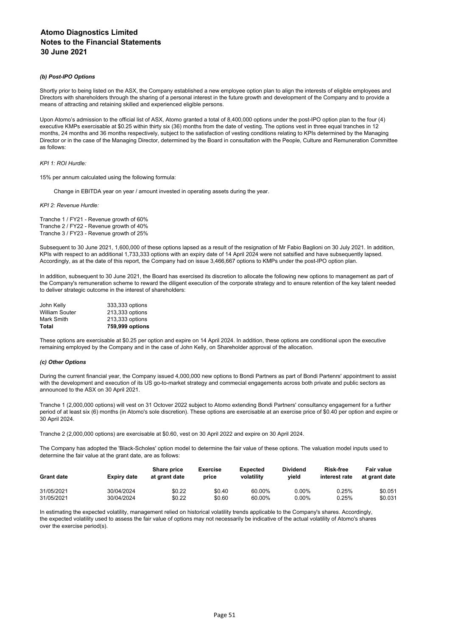#### *(b) Post-IPO Options*

Shortly prior to being listed on the ASX, the Company established a new employee option plan to align the interests of eligible employees and Directors with shareholders through the sharing of a personal interest in the future growth and development of the Company and to provide a means of attracting and retaining skilled and experienced eligible persons.

Upon Atomo's admission to the official list of ASX, Atomo granted a total of 8,400,000 options under the post-IPO option plan to the four (4) executive KMPs exercisable at \$0.25 within thirty six (36) months from the date of vesting. The options vest in three equal tranches in 12 months, 24 months and 36 months respectively, subject to the satisfaction of vesting conditions relating to KPIs determined by the Managing Director or in the case of the Managing Director, determined by the Board in consultation with the People, Culture and Remuneration Committee as follows:

#### *KPI 1: ROI Hurdle:*

15% per annum calculated using the following formula:

Change in EBITDA year on year / amount invested in operating assets during the year.

*KPI 2: Revenue Hurdle:*

Tranche 1 / FY21 - Revenue growth of 60% Tranche 2 / FY22 - Revenue growth of 40% Tranche 3 / FY23 - Revenue growth of 25%

Subsequent to 30 June 2021, 1,600,000 of these options lapsed as a result of the resignation of Mr Fabio Baglioni on 30 July 2021. In addition, KPIs with respect to an additional 1,733,333 options with an expiry date of 14 April 2024 were not satsified and have subsequently lapsed. Accordingly, as at the date of this report, the Company had on issue 3,466,667 options to KMPs under the post-IPO option plan.

In addition, subsequent to 30 June 2021, the Board has exercised its discretion to allocate the following new options to management as part of the Company's remuneration scheme to reward the diligent execution of the corporate strategy and to ensure retention of the key talent needed to deliver strategic outcome in the interest of shareholders:

| 759,999 options |
|-----------------|
| 213,333 options |
| 213,333 options |
| 333,333 options |
|                 |

These options are exercisable at \$0.25 per option and expire on 14 April 2024. In addition, these options are conditional upon the executive remaining employed by the Company and in the case of John Kelly, on Shareholder approval of the allocation.

#### *(c) Other Options*

During the current financial year, the Company issued 4,000,000 new options to Bondi Partners as part of Bondi Partenrs' appointment to assist with the development and execution of its US go-to-market strategy and commecial engagements across both private and public sectors as announced to the ASX on 30 April 2021.

Tranche 1 (2,000,000 options) will vest on 31 Octover 2022 subject to Atomo extending Bondi Partners' consultancy engagement for a further period of at least six (6) months (in Atomo's sole discretion). These options are exercisable at an exercise price of \$0.40 per option and expire or 30 April 2024.

Tranche 2 (2,000,000 options) are exercisable at \$0.60, vest on 30 April 2022 and expire on 30 April 2024.

The Company has adopted the 'Black-Scholes' option model to determine the fair value of these options. The valuation model inputs used to determine the fair value at the grant date, are as follows:

| <b>Grant date</b> | Expiry date | <b>Share price</b><br>at grant date | <b>Exercise</b><br>price | <b>Expected</b><br>volatility | <b>Dividend</b><br>vield | <b>Risk-free</b><br>interest rate | Fair value<br>at grant date |
|-------------------|-------------|-------------------------------------|--------------------------|-------------------------------|--------------------------|-----------------------------------|-----------------------------|
| 31/05/2021        | 30/04/2024  | \$0.22                              | \$0.40                   | 60.00%                        | $0.00\%$                 | 0.25%                             | \$0.051                     |
| 31/05/2021        | 30/04/2024  | \$0.22                              | \$0.60                   | 60.00%                        | $0.00\%$                 | 0.25%                             | \$0.031                     |

In estimating the expected volatility, management relied on historical volatility trends applicable to the Company's shares. Accordingly, the expected volatility used to assess the fair value of options may not necessarily be indicative of the actual volatility of Atomo's shares over the exercise period(s).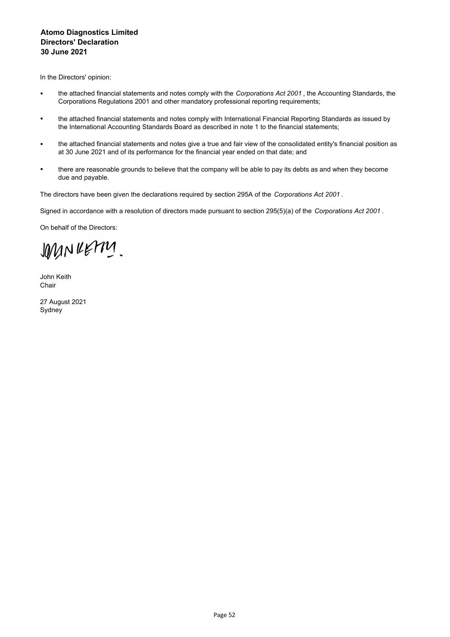# **Atomo Diagnostics Limited Directors' Declaration 30 June 2021**

In the Directors' opinion:

- the attached financial statements and notes comply with the *Corporations Act 2001* , the Accounting Standards, the Corporations Regulations 2001 and other mandatory professional reporting requirements;
- the attached financial statements and notes comply with International Financial Reporting Standards as issued by the International Accounting Standards Board as described in note 1 to the financial statements;
- the attached financial statements and notes give a true and fair view of the consolidated entity's financial position as at 30 June 2021 and of its performance for the financial year ended on that date; and
- there are reasonable grounds to believe that the company will be able to pay its debts as and when they become due and payable.

The directors have been given the declarations required by section 295A of the *Corporations Act 2001* .

Signed in accordance with a resolution of directors made pursuant to section 295(5)(a) of the *Corporations Act 2001* .

On behalf of the Directors:

JOMN RETTY

John Keith Chair

27 August 2021 Sydney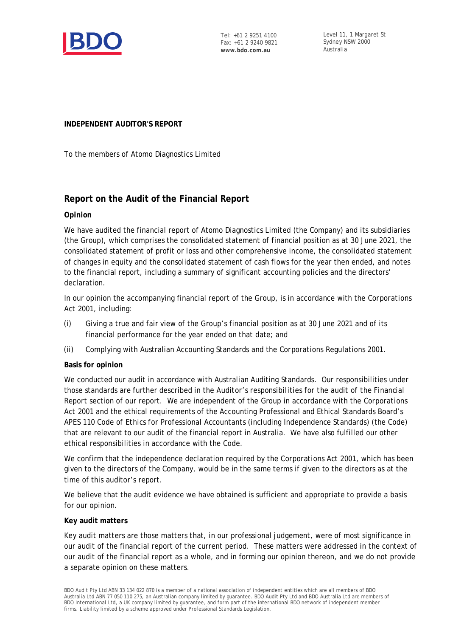

Tel: +61 2 9251 4100 Fax: +61 2 9240 9821 **www.bdo.com.au**

Level 11, 1 Margaret St Sydney NSW 2000 Australia

**INDEPENDENT AUDITOR'S REPORT**

To the members of Atomo Diagnostics Limited

# **Report on the Audit of the Financial Report**

# **Opinion**

We have audited the financial report of Atomo Diagnostics Limited (the Company) and its subsidiaries (the Group), which comprises the consolidated statement of financial position as at 30 June 2021, the consolidated statement of profit or loss and other comprehensive income, the consolidated statement of changes in equity and the consolidated statement of cash flows for the year then ended, and notes to the financial report, including a summary of significant accounting policies and the directors' declaration.

In our opinion the accompanying financial report of the Group, is in accordance with the *Corporations Act 2001*, including:

- (i) Giving a true and fair view of the Group's financial position as at 30 June 2021 and of its financial performance for the year ended on that date; and
- (ii) Complying with Australian Accounting Standards and the *Corporations Regulations 2001*.

# **Basis for opinion**

We conducted our audit in accordance with Australian Auditing Standards. Our responsibilities under those standards are further described in the *Auditor's responsibilities for the audit of the Financial Report* section of our report. We are independent of the Group in accordance with the *Corporations Act 2001* and the ethical requirements of the Accounting Professional and Ethical Standards Board's APES 110 *Code of Ethics for Professional Accountants (including Independence Standards)* (the Code) that are relevant to our audit of the financial report in Australia. We have also fulfilled our other ethical responsibilities in accordance with the Code.

We confirm that the independence declaration required by the *Corporations Act 2001*, which has been given to the directors of the Company, would be in the same terms if given to the directors as at the time of this auditor's report.

We believe that the audit evidence we have obtained is sufficient and appropriate to provide a basis for our opinion.

# **Key audit matters**

Key audit matters are those matters that, in our professional judgement, were of most significance in our audit of the financial report of the current period. These matters were addressed in the context of our audit of the financial report as a whole, and in forming our opinion thereon, and we do not provide a separate opinion on these matters.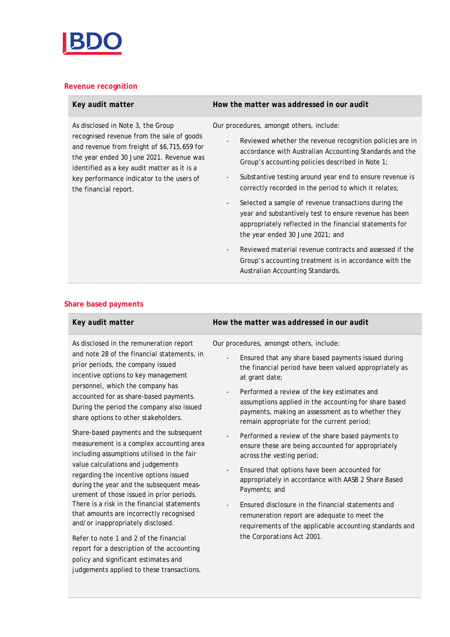

# **Revenue recognition**

the financial report.

As disclosed in Note 3, the Group

recognised revenue from the sale of goods and revenue from freight of \$6,715,659 for the year ended 30 June 2021. Revenue was identified as a key audit matter as it is a key performance indicator to the users of

report for a description of the accounting policy and significant estimates and judgements applied to these transactions.

|  |                                                                                                                                                                                                                                                                                                                                                                                                                                 | the year ended 30 June 2021; and                                                                                                                                                                        |
|--|---------------------------------------------------------------------------------------------------------------------------------------------------------------------------------------------------------------------------------------------------------------------------------------------------------------------------------------------------------------------------------------------------------------------------------|---------------------------------------------------------------------------------------------------------------------------------------------------------------------------------------------------------|
|  |                                                                                                                                                                                                                                                                                                                                                                                                                                 | Reviewed material revenue contracts and assessed if the<br>Group's accounting treatment is in accordance with the<br>Australian Accounting Standards.                                                   |
|  | Share based payments                                                                                                                                                                                                                                                                                                                                                                                                            |                                                                                                                                                                                                         |
|  | Key audit matter                                                                                                                                                                                                                                                                                                                                                                                                                | How the matter was addressed in our audit                                                                                                                                                               |
|  | As disclosed in the remuneration report                                                                                                                                                                                                                                                                                                                                                                                         | Our procedures, amongst others, include:                                                                                                                                                                |
|  | and note 28 of the financial statements, in<br>prior periods, the company issued<br>incentive options to key management<br>personnel, which the company has<br>accounted for as share-based payments.<br>During the period the company also issued<br>share options to other stakeholders.<br>Share-based payments and the subsequent<br>measurement is a complex accounting area<br>including assumptions utilised in the fair | Ensured that any share based payments issued during<br>the financial period have been valued appropriately as<br>at grant date;                                                                         |
|  |                                                                                                                                                                                                                                                                                                                                                                                                                                 | Performed a review of the key estimates and<br>assumptions applied in the accounting for share based<br>payments, making an assessment as to whether they<br>remain appropriate for the current period; |
|  |                                                                                                                                                                                                                                                                                                                                                                                                                                 | Performed a review of the share based payments to<br>ensure these are being accounted for appropriately<br>across the vesting period;                                                                   |
|  | value calculations and judgements<br>regarding the incentive options issued<br>during the year and the subsequent meas-<br>urement of those issued in prior periods.                                                                                                                                                                                                                                                            | Ensured that options have been accounted for<br>appropriately in accordance with AASB 2 Share Based<br>Payments; and                                                                                    |
|  | There is a risk in the financial statements<br>that amounts are incorrectly recognised<br>and/or inappropriately disclosed.                                                                                                                                                                                                                                                                                                     | Ensured disclosure in the financial statements and<br>remuneration report are adequate to meet the<br>requirements of the applicable accounting standards and                                           |
|  | Refer to note 1 and 2 of the financial                                                                                                                                                                                                                                                                                                                                                                                          | the Corporations Act 2001.                                                                                                                                                                              |

*Key audit matter How the matter was addressed in our audit*

Our procedures, amongst others, include:

- Reviewed whether the revenue recognition policies are in accordance with Australian Accounting Standards and the Group's accounting policies described in Note 1;
- Substantive testing around year end to ensure revenue is correctly recorded in the period to which it relates;
- Selected a sample of revenue transactions during the year and substantively test to ensure revenue has been appropriately reflected in the financial statements for
- Reviewed material revenue contracts and assessed if the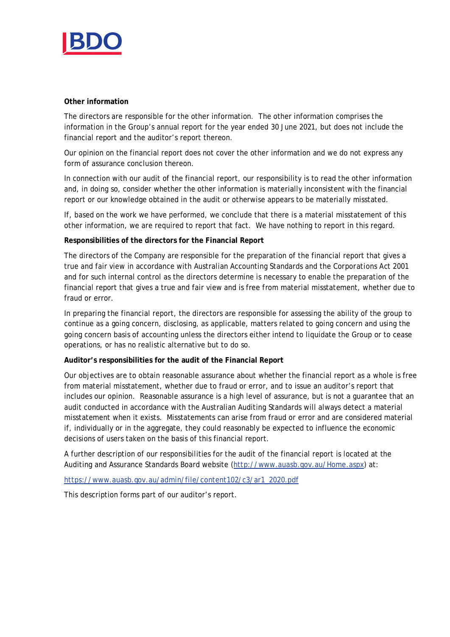

# **Other information**

The directors are responsible for the other information. The other information comprises the information in the Group's annual report for the year ended 30 June 2021, but does not include the financial report and the auditor's report thereon.

Our opinion on the financial report does not cover the other information and we do not express any form of assurance conclusion thereon.

In connection with our audit of the financial report, our responsibility is to read the other information and, in doing so, consider whether the other information is materially inconsistent with the financial report or our knowledge obtained in the audit or otherwise appears to be materially misstated.

If, based on the work we have performed, we conclude that there is a material misstatement of this other information, we are required to report that fact. We have nothing to report in this regard.

**Responsibilities of the directors for the Financial Report**

The directors of the Company are responsible for the preparation of the financial report that gives a true and fair view in accordance with Australian Accounting Standards and the *Corporations Act 2001* and for such internal control as the directors determine is necessary to enable the preparation of the financial report that gives a true and fair view and is free from material misstatement, whether due to fraud or error.

In preparing the financial report, the directors are responsible for assessing the ability of the group to continue as a going concern, disclosing, as applicable, matters related to going concern and using the going concern basis of accounting unless the directors either intend to liquidate the Group or to cease operations, or has no realistic alternative but to do so.

**Auditor's responsibilities for the audit of the Financial Report**

Our objectives are to obtain reasonable assurance about whether the financial report as a whole is free from material misstatement, whether due to fraud or error, and to issue an auditor's report that includes our opinion. Reasonable assurance is a high level of assurance, but is not a guarantee that an audit conducted in accordance with the Australian Auditing Standards will always detect a material misstatement when it exists. Misstatements can arise from fraud or error and are considered material if, individually or in the aggregate, they could reasonably be expected to influence the economic decisions of users taken on the basis of this financial report.

A further description of our responsibilities for the audit of the financial report is located at the Auditing and Assurance Standards Board website (http://www.auasb.gov.au/Home.aspx) at:

https://www.auasb.gov.au/admin/file/content102/c3/ar1\_2020.pdf

This description forms part of our auditor's report.